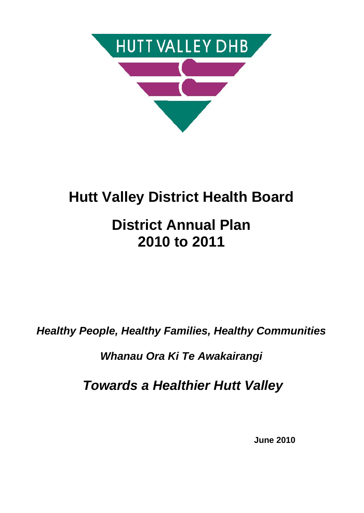

# **Hutt Valley District Health Board**

# **District Annual Plan 2010 to 2011**

*Healthy People, Healthy Families, Healthy Communities*

*Whanau Ora Ki Te Awakairangi*

 *Towards a Healthier Hutt Valley*

**June 2010**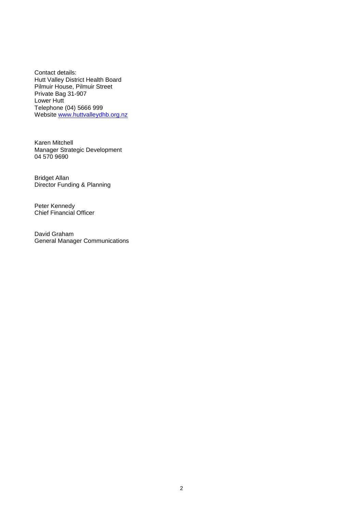Contact details: Hutt Valley District Health Board Pilmuir House, Pilmuir Street Private Bag 31-907 Lower Hutt Telephone (04) 5666 999 Website <u><www.huttvalleydhb.org.nz></u>

Karen Mitchell Manager Strategic Development 04 570 9690

Bridget Allan Director Funding & Planning

Peter Kennedy Chief Financial Officer

David Graham General Manager Communications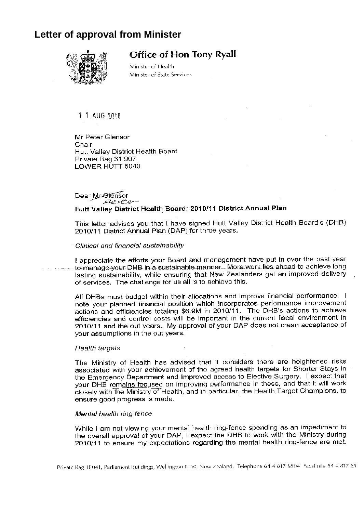## **Letter of approval from Minister**



## **Office of Hon Tony Ryall**

Minister of Health Minister of State Services

1 1 AUG 2010

Mr Peter Glensor Chair Hutt Valley District Health Board Private Bag 31 907 LOWER HUTT 5040

### Dear Mr-Olenson  $\mathcal{P}$  steer Hutt Valley District Health Board: 2010/11 District Annual Plan

This letter advises you that I have signed Hutt Valley District Health Board's (DHB) 2010/11 District Annual Plan (DAP) for three years.

### Clinical and financial sustainability

I appreciate the efforts your Board and management have put in over the past year to manage your DHB in a sustainable manner. More work lies ahead to achieve long lasting sustainability, while ensuring that New Zealanders get an improved delivery of services. The challenge for us all is to achieve this.

All DHBs must budget within their allocations and improve financial performance. I note your planned financial position which incorporates performance improvement actions and efficiencies totaling \$6.9M in 2010/11. The DHB's actions to achieve efficiencies and control costs will be important in the current fiscal environment in 2010/11 and the out years. My approval of your DAP does not mean acceptance of your assumptions in the out years.

### Health targets

The Ministry of Health has advised that it considers there are heightened risks associated with your achievement of the agreed health targets for Shorter Stays in the Emergency Department and Improved access to Elective Surgery. I expect that your DHB remains focused on improving performance in these, and that it will work closely with the Ministry of Health, and in particular, the Health Target Champions, to ensure good progress is made.

### Mental health ring fence

While I am not viewing your mental health ring-fence spending as an impediment to the overall approval of your DAP, I expect the DHB to work with the Ministry during 2010/11 to ensure my expectations regarding the mental health ring-fence are met.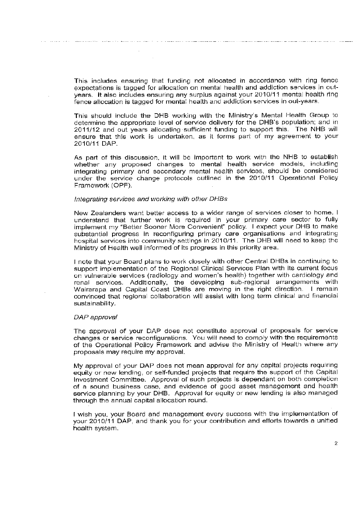This includes ensuring that funding not allocated in accordance with ring fence expectations is tagged for allocation on mental health and addiction services in outyears. It also includes ensuring any surplus against your 2010/11 mental health ring fence allocation is tagged for mental health and addiction services in out-years.

This should include the DHB working with the Ministry's Mental Health Group to determine the appropriate level of service delivery for the DHB's population; and in 2011/12 and out years allocating sufficient funding to support this. The NHB will ensure that this work is undertaken, as it forms part of my agreement to your 2010/11 DAP.

As part of this discussion, it will be important to work with the NHB to establish whether any proposed changes to mental health service models, including integrating primary and secondary mental health services, should be considered under the service change protocols outlined in the 2010/11 Operational Policy Framework (OPF).

### Integrating services and working with other DHBs

 $\sim$ 

New Zealanders want better access to a wider range of services closer to home. I understand that further work is required in your primary care sector to fully implement my "Better Sooner More Convenient" policy. I expect your DHB to make substantial progress in reconfiguring primary care organisations and integrating hospital services into community settings in 2010/11. The DHB will need to keep the Ministry of Health well informed of its progress in this priority area.

I note that your Board plans to work closely with other Central DHBs in continuing to support implementation of the Regional Clinical Services Plan with its current focus on vulnerable services (radiology and women's health) together with cardiology and renal services. Additionally, the developing sub-regional arrangements with Wairarapa and Capital Coast DHBs are moving in the right direction. I remain convinced that regional collaboration will assist with long term clinical and financial sustainability.

### DAP approval

The approval of your DAP does not constitute approval of proposals for service changes or service reconfigurations. You will need to comply with the requirements of the Operational Policy Framework and advise the Ministry of Health where any proposals may require my approval.

My approval of your DAP does not mean approval for any capital projects requiring equity or new lending, or self-funded projects that require the support of the Capital Investment Committee. Approval of such projects is dependant on both completion of a sound business case, and evidence of good asset management and health service planning by your DHB. Approval for equity or new lending is also managed through the annual capital allocation round.

I wish you, your Board and management every success with the implementation of your 2010/11 DAP, and thank you for your contribution and efforts towards a unified health system.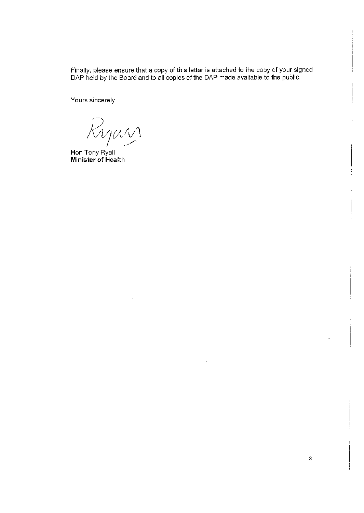Finally, please ensure that a copy of this letter is attached to the copy of your signed DAP held by the Board and to all copies of the DAP made available to the public.

Yours sincerely

Ryan

Hon Tony Ryall Minister of Health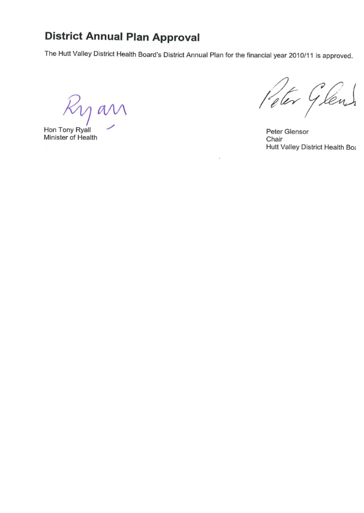# **District Annual Plan Approval**

The Hutt Valley District Health Board's District Annual Plan for the financial year 2010/11 is approved.

 $\mathcal{K}_1$ g an

Hon Tony Ryall Minister of Health

 $\overline{\phantom{a}}$ 

Peter Glens

Peter Glensor Chair Hutt Valley District Health Boa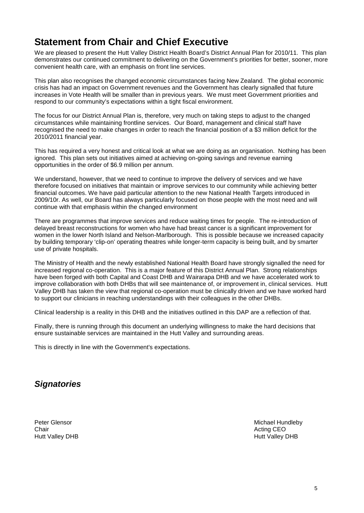## **Statement from Chair and Chief Executive**

We are pleased to present the Hutt Valley District Health Board's District Annual Plan for 2010/11. This plan demonstrates our continued commitment to delivering on the Government's priorities for better, sooner, more convenient health care, with an emphasis on front line services.

This plan also recognises the changed economic circumstances facing New Zealand. The global economic crisis has had an impact on Government revenues and the Government has clearly signalled that future increases in Vote Health will be smaller than in previous years. We must meet Government priorities and respond to our community's expectations within a tight fiscal environment.

The focus for our District Annual Plan is, therefore, very much on taking steps to adjust to the changed circumstances while maintaining frontline services. Our Board, management and clinical staff have recognised the need to make changes in order to reach the financial position of a \$3 million deficit for the 2010/2011 financial year.

This has required a very honest and critical look at what we are doing as an organisation. Nothing has been ignored. This plan sets out initiatives aimed at achieving on-going savings and revenue earning opportunities in the order of \$6.9 million per annum.

We understand, however, that we need to continue to improve the delivery of services and we have therefore focused on initiatives that maintain or improve services to our community while achieving better financial outcomes. We have paid particular attention to the new National Health Targets introduced in 2009/10r. As well, our Board has always particularly focused on those people with the most need and will continue with that emphasis within the changed environment

There are programmes that improve services and reduce waiting times for people. The re-introduction of delayed breast reconstructions for women who have had breast cancer is a significant improvement for women in the lower North Island and Nelson-Marlborough. This is possible because we increased capacity by building temporary 'clip-on' operating theatres while longer-term capacity is being built, and by smarter use of private hospitals.

The Ministry of Health and the newly established National Health Board have strongly signalled the need for increased regional co-operation. This is a major feature of this District Annual Plan. Strong relationships have been forged with both Capital and Coast DHB and Wairarapa DHB and we have accelerated work to improve collaboration with both DHBs that will see maintenance of, or improvement in, clinical services. Hutt Valley DHB has taken the view that regional co-operation must be clinically driven and we have worked hard to support our clinicians in reaching understandings with their colleagues in the other DHBs.

Clinical leadership is a reality in this DHB and the initiatives outlined in this DAP are a reflection of that.

Finally, there is running through this document an underlying willingness to make the hard decisions that ensure sustainable services are maintained in the Hutt Valley and surrounding areas.

This is directly in line with the Government's expectations.

## *Signatories*

Hutt Valley DHB

Peter Glensor **Michael Hundleby**<br>
Chair **Michael Hundleby**<br>
Chair **Acting CEO** Acting CEO<br>Hutt Vallev DHB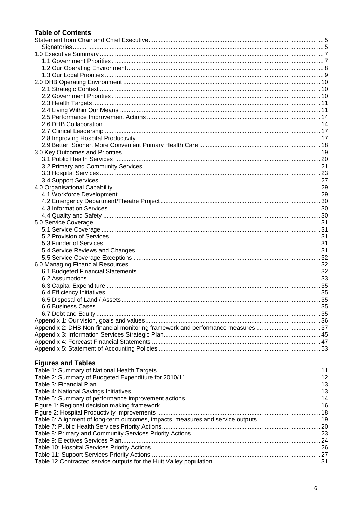### **Table of Contents**

| <b>Figures and Tables</b>                                                           |  |
|-------------------------------------------------------------------------------------|--|
|                                                                                     |  |
|                                                                                     |  |
|                                                                                     |  |
|                                                                                     |  |
|                                                                                     |  |
|                                                                                     |  |
|                                                                                     |  |
| Table 6: Alignment of long-term outcomes, impacts, measures and service outputs  19 |  |
|                                                                                     |  |
|                                                                                     |  |
|                                                                                     |  |
|                                                                                     |  |
|                                                                                     |  |
|                                                                                     |  |
|                                                                                     |  |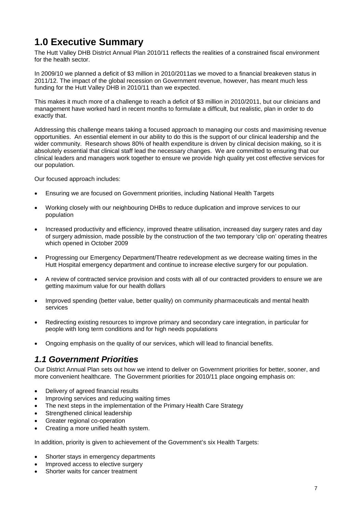## **1.0 Executive Summary**

The Hutt Valley DHB District Annual Plan 2010/11 reflects the realities of a constrained fiscal environment for the health sector.

In 2009/10 we planned a deficit of \$3 million in 2010/2011as we moved to a financial breakeven status in 2011/12. The impact of the global recession on Government revenue, however, has meant much less funding for the Hutt Valley DHB in 2010/11 than we expected.

This makes it much more of a challenge to reach a deficit of \$3 million in 2010/2011, but our clinicians and management have worked hard in recent months to formulate a difficult, but realistic, plan in order to do exactly that.

Addressing this challenge means taking a focused approach to managing our costs and maximising revenue opportunities. An essential element in our ability to do this is the support of our clinical leadership and the wider community. Research shows 80% of health expenditure is driven by clinical decision making, so it is absolutely essential that clinical staff lead the necessary changes. We are committed to ensuring that our clinical leaders and managers work together to ensure we provide high quality yet cost effective services for our population.

Our focused approach includes:

- Ensuring we are focused on Government priorities, including National Health Targets
- Working closely with our neighbouring DHBs to reduce duplication and improve services to our population
- Increased productivity and efficiency, improved theatre utilisation, increased day surgery rates and day of surgery admission, made possible by the construction of the two temporary 'clip on' operating theatres which opened in October 2009
- Progressing our Emergency Department/Theatre redevelopment as we decrease waiting times in the Hutt Hospital emergency department and continue to increase elective surgery for our population.
- A review of contracted service provision and costs with all of our contracted providers to ensure we are getting maximum value for our health dollars
- Improved spending (better value, better quality) on community pharmaceuticals and mental health services
- Redirecting existing resources to improve primary and secondary care integration, in particular for people with long term conditions and for high needs populations
- Ongoing emphasis on the quality of our services, which will lead to financial benefits.

## *1.1 Government Priorities*

Our District Annual Plan sets out how we intend to deliver on Government priorities for better, sooner, and more convenient healthcare. The Government priorities for 2010/11 place ongoing emphasis on:

- Delivery of agreed financial results
- Improving services and reducing waiting times
- The next steps in the implementation of the Primary Health Care Strategy
- Strengthened clinical leadership
- Greater regional co-operation
- Creating a more unified health system.

In addition, priority is given to achievement of the Government's six Health Targets:

- Shorter stays in emergency departments
- Improved access to elective surgery
- Shorter waits for cancer treatment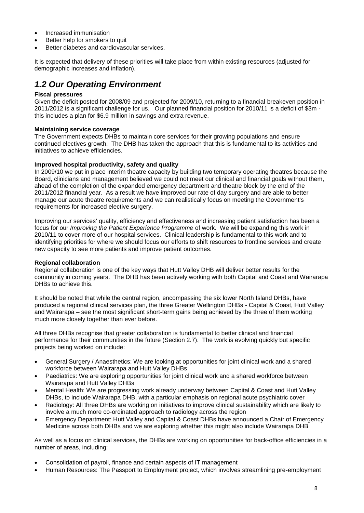- Increased immunisation
- Better help for smokers to quit
- Better diabetes and cardiovascular services.

It is expected that delivery of these priorities will take place from within existing resources (adjusted for demographic increases and inflation).

## *1.2 Our Operating Environment*

### **Fiscal pressures**

Given the deficit posted for 2008/09 and projected for 2009/10, returning to a financial breakeven position in 2011/2012 is a significant challenge for us. Our planned financial position for 2010/11 is a deficit of \$3m this includes a plan for \$6.9 million in savings and extra revenue.

### **Maintaining service coverage**

The Government expects DHBs to maintain core services for their growing populations and ensure continued electives growth. The DHB has taken the approach that this is fundamental to its activities and initiatives to achieve efficiencies.

### **Improved hospital productivity, safety and quality**

In 2009/10 we put in place interim theatre capacity by building two temporary operating theatres because the Board, clinicians and management believed we could not meet our clinical and financial goals without them, ahead of the completion of the expanded emergency department and theatre block by the end of the 2011/2012 financial year. As a result we have improved our rate of day surgery and are able to better manage our acute theatre requirements and we can realistically focus on meeting the Government's requirements for increased elective surgery.

Improving our services' quality, efficiency and effectiveness and increasing patient satisfaction has been a focus for our *Improving the Patient Experience Programme* of work. We will be expanding this work in 2010/11 to cover more of our hospital services. Clinical leadership is fundamental to this work and to identifying priorities for where we should focus our efforts to shift resources to frontline services and create new capacity to see more patients and improve patient outcomes.

### **Regional collaboration**

Regional collaboration is one of the key ways that Hutt Valley DHB will deliver better results for the community in coming years. The DHB has been actively working with both Capital and Coast and Wairarapa DHBs to achieve this.

It should be noted that while the central region, encompassing the six lower North Island DHBs, have produced a regional clinical services plan, the three Greater Wellington DHBs - Capital & Coast, Hutt Valley and Wairarapa – see the most significant short-term gains being achieved by the three of them working much more closely together than ever before.

All three DHBs recognise that greater collaboration is fundamental to better clinical and financial performance for their communities in the future (Section 2.7). The work is evolving quickly but specific projects being worked on include:

- General Surgery / Anaesthetics: We are looking at opportunities for joint clinical work and a shared workforce between Wairarapa and Hutt Valley DHBs
- Paediatrics: We are exploring opportunities for joint clinical work and a shared workforce between Wairarapa and Hutt Valley DHBs
- Mental Health: We are progressing work already underway between Capital & Coast and Hutt Valley DHBs, to include Wairarapa DHB, with a particular emphasis on regional acute psychiatric cover
- Radiology: All three DHBs are working on initiatives to improve clinical sustainability which are likely to involve a much more co-ordinated approach to radiology across the region
- Emergency Department: Hutt Valley and Capital & Coast DHBs have announced a Chair of Emergency Medicine across both DHBs and we are exploring whether this might also include Wairarapa DHB

As well as a focus on clinical services, the DHBs are working on opportunities for back-office efficiencies in a number of areas, including:

- Consolidation of payroll, finance and certain aspects of IT management
- Human Resources: The Passport to Employment project, which involves streamlining pre-employment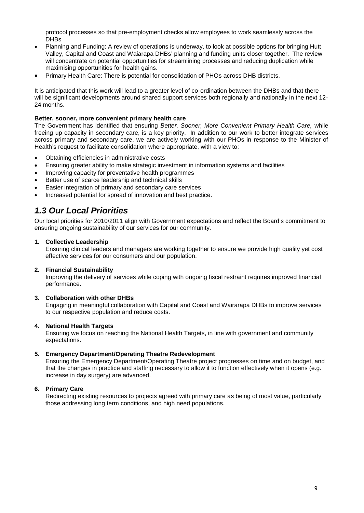protocol processes so that pre-employment checks allow employees to work seamlessly across the **DHBs** 

- Planning and Funding: A review of operations is underway, to look at possible options for bringing Hutt Valley, Capital and Coast and Waiarapa DHBs' planning and funding units closer together. The review will concentrate on potential opportunities for streamlining processes and reducing duplication while maximising opportunities for health gains.
- Primary Health Care: There is potential for consolidation of PHOs across DHB districts.

It is anticipated that this work will lead to a greater level of co-ordination between the DHBs and that there will be significant developments around shared support services both regionally and nationally in the next 12- 24 months.

### **Better, sooner, more convenient primary health care**

The Government has identified that ensuring *Better, Sooner, More Convenient Primary Health Care,* while freeing up capacity in secondary care, is a key priority. In addition to our work to better integrate services across primary and secondary care, we are actively working with our PHOs in response to the Minister of Health's request to facilitate consolidation where appropriate, with a view to:

- Obtaining efficiencies in administrative costs
- Ensuring greater ability to make strategic investment in information systems and facilities
- Improving capacity for preventative health programmes
- Better use of scarce leadership and technical skills
- Easier integration of primary and secondary care services
- Increased potential for spread of innovation and best practice.

## *1.3 Our Local Priorities*

Our local priorities for 2010/2011 align with Government expectations and reflect the Board's commitment to ensuring ongoing sustainability of our services for our community.

### **1. Collective Leadership**

Ensuring clinical leaders and managers are working together to ensure we provide high quality yet cost effective services for our consumers and our population.

### **2. Financial Sustainability**

Improving the delivery of services while coping with ongoing fiscal restraint requires improved financial performance.

### **3. Collaboration with other DHBs**

Engaging in meaningful collaboration with Capital and Coast and Wairarapa DHBs to improve services to our respective population and reduce costs.

### **4. National Health Targets**

Ensuring we focus on reaching the National Health Targets, in line with government and community expectations.

### **5. Emergency Department/Operating Theatre Redevelopment**

Ensuring the Emergency Department/Operating Theatre project progresses on time and on budget, and that the changes in practice and staffing necessary to allow it to function effectively when it opens (e.g. increase in day surgery) are advanced.

### **6. Primary Care**

Redirecting existing resources to projects agreed with primary care as being of most value, particularly those addressing long term conditions, and high need populations.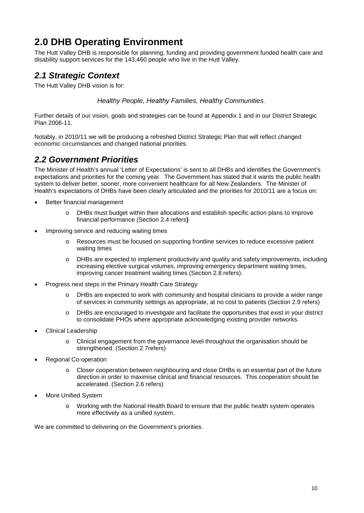## **2.0 DHB Operating Environment**

The Hutt Valley DHB is responsible for planning, funding and providing government funded health care and disability support services for the 143,460 people who live in the Hutt Valley.

## *2.1 Strategic Context*

The Hutt Valley DHB vision is for:

*Healthy People, Healthy Families, Healthy Communities.*

Further details of our vision, goals and strategies can be found at Appendix 1 and in our District Strategic Plan 2006-11.

Notably, in 2010/11 we will be producing a refreshed District Strategic Plan that will reflect changed economic circumstances and changed national priorities.

## *2.2 Government Priorities*

The Minister of Health's annual 'Letter of Expectations' is sent to all DHBs and identifies the Government's expectations and priorities for the coming year. The Government has stated that it wants the public health system to deliver better, sooner, more convenient healthcare for all New Zealanders. The Minister of Health's expectations of DHBs have been clearly articulated and the priorities for 2010/11 are a focus on:

- Better financial management
	- o DHBs must budget within their allocations and establish specific action plans to improve financial performance (Section 2.4 refers**)**
- Improving service and reducing waiting times
	- o Resources must be focused on supporting frontline services to reduce excessive patient waiting times
	- o DHBs are expected to implement productivity and quality and safety improvements, including increasing elective surgical volumes, improving emergency department waiting times, improving cancer treatment waiting times (Section 2.8 refers).
- Progress next steps in the Primary Health Care Strategy
	- o DHBs are expected to work with community and hospital clinicians to provide a wider range of services in community settings as appropriate, at no cost to patients (Section 2.9 refers)
	- o DHBs are encouraged to investigate and facilitate the opportunities that exist in your district to consolidate PHOs where appropriate acknowledging existing provider networks.
- Clinical Leadership
	- o Clinical engagement from the governance level throughout the organisation should be strengthened. (Section 2.7refers)
- Regional Co-operation
	- o Closer cooperation between neighbouring and close DHBs is an essential part of the future direction in order to maximise clinical and financial resources. This cooperation should be accelerated. (Section 2.6 refers)
- More Unified System
	- o Working with the National Health Board to ensure that the public health system operates more effectively as a unified system.

We are committed to delivering on the Government's priorities.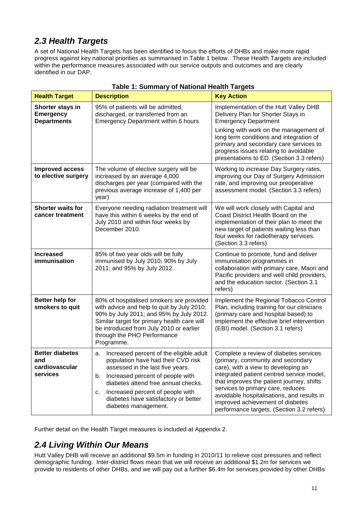## *2.3 Health Targets*

A set of National Health Targets has been identified to focus the efforts of DHBs and make more rapid progress against key national priorities as summarised in Table 1 below. These Health Targets are included within the performance measures associated with our service outputs and outcomes and are clearly identified in our DAP.

| Table T. Summary of National Health Targets                                                                                                                                                                                                                                                                    |                                                                                                                                                                                                                                                                                                                    |                                                                                                                                                                                                                                                                                                                                                                                  |  |
|----------------------------------------------------------------------------------------------------------------------------------------------------------------------------------------------------------------------------------------------------------------------------------------------------------------|--------------------------------------------------------------------------------------------------------------------------------------------------------------------------------------------------------------------------------------------------------------------------------------------------------------------|----------------------------------------------------------------------------------------------------------------------------------------------------------------------------------------------------------------------------------------------------------------------------------------------------------------------------------------------------------------------------------|--|
| <b>Health Target</b>                                                                                                                                                                                                                                                                                           | <b>Description</b>                                                                                                                                                                                                                                                                                                 | <b>Key Action</b>                                                                                                                                                                                                                                                                                                                                                                |  |
| Shorter stays in<br><b>Emergency</b><br><b>Departments</b>                                                                                                                                                                                                                                                     | 95% of patients will be admitted,<br>discharged, or transferred from an<br><b>Emergency Department within 6 hours</b>                                                                                                                                                                                              | Implementation of the Hutt Valley DHB<br>Delivery Plan for Shorter Stays in<br><b>Emergency Department</b><br>Linking with work on the management of<br>long term conditions and integration of                                                                                                                                                                                  |  |
|                                                                                                                                                                                                                                                                                                                |                                                                                                                                                                                                                                                                                                                    | primary and secondary care services to<br>progress issues relating to avoidable<br>presentations to ED. (Section 3.3 refers)                                                                                                                                                                                                                                                     |  |
| <b>Improved access</b><br>to elective surgery                                                                                                                                                                                                                                                                  | The volume of elective surgery will be<br>increased by an average 4,000<br>discharges per year (compared with the<br>previous average increase of 1,400 per<br>year)                                                                                                                                               | Working to increase Day Surgery rates,<br>improving our Day of Surgery Admission<br>rate, and improving our preoperative<br>assessment model. (Section 3.3 refers)                                                                                                                                                                                                               |  |
| <b>Shorter waits for</b><br>cancer treatment                                                                                                                                                                                                                                                                   | Everyone needing radiation treatment will<br>have this within 6 weeks by the end of<br>July 2010 and within four weeks by<br>December 2010.                                                                                                                                                                        | We will work closely with Capital and<br>Coast District Health Board on the<br>implementation of their plan to meet the<br>new target of patients waiting less than<br>four weeks for radiotherapy services.<br>(Section 3.3 refers)                                                                                                                                             |  |
| <b>Increased</b><br>immunisation                                                                                                                                                                                                                                                                               | 85% of two year olds will be fully<br>immunised by July 2010; 90% by July<br>2011; and 95% by July 2012.                                                                                                                                                                                                           | Continue to promote, fund and deliver<br>immunisation programmes in<br>collaboration with primary care, Maori and<br>Pacific providers and well child providers,<br>and the education sector. (Section 3.1<br>refers)                                                                                                                                                            |  |
| Better help for<br>80% of hospitalised smokers are provided<br>smokers to quit<br>with advice and help to quit by July 2010;<br>90% by July 2011; and 95% by July 2012.<br>Similar target for primary health care will<br>be introduced from July 2010 or earlier<br>through the PHO Performance<br>Programme. |                                                                                                                                                                                                                                                                                                                    | Implement the Regional Tobacco Control<br>Plan, including training for our clinicians<br>(primary care and hospital based) to<br>implement the effective brief intervention<br>(EBI) model. (Section 3.1 refers)                                                                                                                                                                 |  |
| <b>Better diabetes</b><br>and<br>cardiovascular<br>services                                                                                                                                                                                                                                                    | Increased percent of the eligible adult<br>а.<br>population have had their CVD risk<br>assessed in the last five years.<br>Increased percent of people with<br>b.<br>diabetes attend free annual checks.<br>Increased percent of people with<br>c.<br>diabetes have satisfactory or better<br>diabetes management. | Complete a review of diabetes services<br>(primary, community and secondary<br>care), with a view to developing an<br>integrated patient centred service model,<br>that improves the patient journey, shifts<br>services to primary care, reduces<br>avoidable hospitalisations, and results in<br>improved achievement of diabetes<br>performance targets. (Section 3.2 refers) |  |

### **Table 1: Summary of National Health Targets**

Further detail on the Health Target measures is included at Appendix 2.

## *2.4 Living Within Our Means*

Hutt Valley DHB will receive an additional \$9.5m in funding in 2010/11 to relieve cost pressures and reflect demographic funding. Inter-district flows mean that we will receive an additional \$1.2m for services we provide to residents of other DHBs, and we will pay out a further \$6.4m for services provided by other DHBs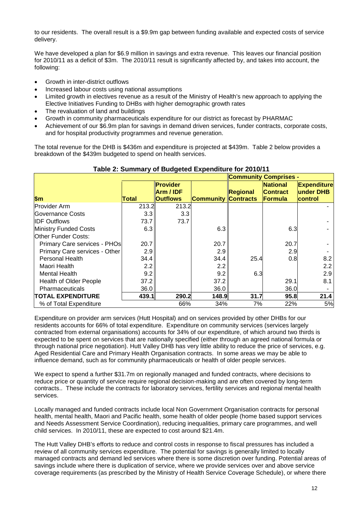to our residents. The overall result is a \$9.9m gap between funding available and expected costs of service delivery.

We have developed a plan for \$6.9 million in savings and extra revenue. This leaves our financial position for 2010/11 as a deficit of \$3m. The 2010/11 result is significantly affected by, and takes into account, the following:

- Growth in inter-district outflows
- Increased labour costs using national assumptions
- Limited growth in electives revenue as a result of the Ministry of Health's new approach to applying the Elective Initiatives Funding to DHBs with higher demographic growth rates
- The revaluation of land and buildings
- Growth in community pharmaceuticals expenditure for our district as forecast by PHARMAC
- Achievement of our \$6.9m plan for savings in demand driven services, funder contracts, corporate costs, and for hospital productivity programmes and revenue generation.

The total revenue for the DHB is \$436m and expenditure is projected at \$439m. Table 2 below provides a breakdown of the \$439m budgeted to spend on health services.

|                               |       |                                          |                            | <b>Community Comprises -</b> |                                               |                                            |
|-------------------------------|-------|------------------------------------------|----------------------------|------------------------------|-----------------------------------------------|--------------------------------------------|
| \$m\$                         | Total | Provider<br>Arm / IDF<br><b>Outflows</b> | <b>Community Contracts</b> | Regional                     | <b>National</b><br><b>Contract</b><br>Formula | <b>Expenditure</b><br>under DHB<br>control |
| <b>Provider Arm</b>           | 213.2 | 213.2                                    |                            |                              |                                               |                                            |
| Governance Costs              | 3.3   | 3.3                                      |                            |                              |                                               |                                            |
| <b>IDF Outflows</b>           | 73.7  | 73.7                                     |                            |                              |                                               |                                            |
| <b>Ministry Funded Costs</b>  | 6.3   |                                          | 6.3                        |                              | 6.3                                           |                                            |
| <b>Other Funder Costs:</b>    |       |                                          |                            |                              |                                               |                                            |
| Primary Care services - PHOs  | 20.7  |                                          | 20.7                       |                              | 20.7                                          |                                            |
| Primary Care services - Other | 2.9   |                                          | 2.9                        |                              | 2.9                                           |                                            |
| <b>Personal Health</b>        | 34.4  |                                          | 34.4                       | 25.4                         | 0.8                                           | 8.2                                        |
| Maori Health                  | 2.2   |                                          | 2.2                        |                              |                                               | 2.2                                        |
| Mental Health                 | 9.2   |                                          | 9.2                        | 6.3                          |                                               | 2.9                                        |
| <b>Health of Older People</b> | 37.2  |                                          | 37.2                       |                              | 29.1                                          | 8.1                                        |
| <b>Pharmaceuticals</b>        | 36.0  |                                          | 36.0                       |                              | 36.0                                          |                                            |
| <b>TOTAL EXPENDITURE</b>      | 439.1 | 290.2                                    | 148.9                      | 31.7                         | 95.8                                          | 21.4                                       |
| % of Total Expenditure        |       | 66%                                      | 34%                        | 7%                           | 22%                                           | 5%                                         |

### **Table 2: Summary of Budgeted Expenditure for 2010/11**

Expenditure on provider arm services (Hutt Hospital) and on services provided by other DHBs for our residents accounts for 66% of total expenditure. Expenditure on community services (services largely contracted from external organisations) accounts for 34% of our expenditure, of which around two thirds is expected to be spent on services that are nationally specified (either through an agreed national formula or through national price negotiation). Hutt Valley DHB has very little ability to reduce the price of services, e.g. Aged Residential Care and Primary Health Organisation contracts. In some areas we may be able to influence demand, such as for community pharmaceuticals or health of older people services.

We expect to spend a further \$31.7m on regionally managed and funded contracts, where decisions to reduce price or quantity of service require regional decision-making and are often covered by long-term contracts.. These include the contracts for laboratory services, fertility services and regional mental health services.

Locally managed and funded contracts include local Non Government Organisation contracts for personal health, mental health, Maori and Pacific health, some health of older people (home based support services and Needs Assessment Service Coordination), reducing inequalities, primary care programmes, and well child services. In 2010/11, these are expected to cost around \$21.4m.

The Hutt Valley DHB's efforts to reduce and control costs in response to fiscal pressures has included a review of all community services expenditure. The potential for savings is generally limited to locally managed contracts and demand led services where there is some discretion over funding. Potential areas of savings include where there is duplication of service, where we provide services over and above service coverage requirements (as prescribed by the Ministry of Health Service Coverage Schedule), or where there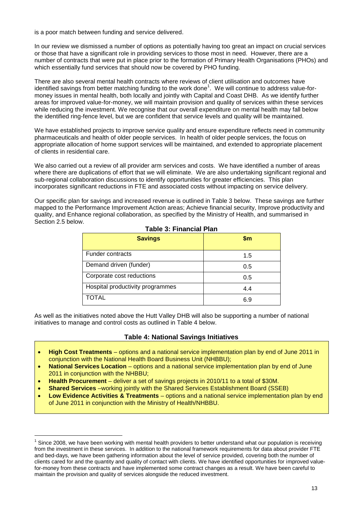is a poor match between funding and service delivered.

In our review we dismissed a number of options as potentially having too great an impact on crucial services or those that have a significant role in providing services to those most in need. However, there are a number of contracts that were put in place prior to the formation of Primary Health Organisations (PHOs) and which essentially fund services that should now be covered by PHO funding.

There are also several mental health contracts where reviews of client utilisation and outcomes have identified savings from better matching funding to the work done $^1$ . We will continue to address value-formoney issues in mental health, both locally and jointly with Capital and Coast DHB. As we identify further areas for improved value-for-money, we will maintain provision and quality of services within these services while reducing the investment. We recognise that our overall expenditure on mental health may fall below the identified ring-fence level, but we are confident that service levels and quality will be maintained.

We have established projects to improve service quality and ensure expenditure reflects need in community pharmaceuticals and health of older people services. In health of older people services, the focus on appropriate allocation of home support services will be maintained, and extended to appropriate placement of clients in residential care.

We also carried out a review of all provider arm services and costs. We have identified a number of areas where there are duplications of effort that we will eliminate. We are also undertaking significant regional and sub-regional collaboration discussions to identify opportunities for greater efficiencies. This plan incorporates significant reductions in FTE and associated costs without impacting on service delivery.

Our specific plan for savings and increased revenue is outlined in Table 3 below. These savings are further mapped to the Performance Improvement Action areas; Achieve financial security, Improve productivity and quality, and Enhance regional collaboration, as specified by the Ministry of Health, and summarised in Section 2.5 below.

| <b>Savings</b>                   | $\mathsf{Sm}$ |
|----------------------------------|---------------|
| Funder contracts                 | 1.5           |
| Demand driven (funder)           | 0.5           |
| Corporate cost reductions        | 0.5           |
| Hospital productivity programmes | 4.4           |
| <b>TOTAL</b>                     | 6.9           |

### **Table 3: Financial Plan**

As well as the initiatives noted above the Hutt Valley DHB will also be supporting a number of national initiatives to manage and control costs as outlined in Table 4 below.

### **Table 4: National Savings Initiatives**

- **High Cost Treatments** options and a national service implementation plan by end of June 2011 in conjunction with the National Health Board Business Unit (NHBBU);
- **National Services Location** options and a national service implementation plan by end of June 2011 in conjunction with the NHBBU;
- **Health Procurement** deliver a set of savings projects in 2010/11 to a total of \$30M.
- **Shared Services** –working jointly with the Shared Services Establishment Board (SSEB)
- **Low Evidence Activities & Treatments** options and a national service implementation plan by end of June 2011 in conjunction with the Ministry of Health/NHBBU.

<sup>1</sup> Since 2008, we have been working with mental health providers to better understand what our population is receiving from the investment in these services. In addition to the national framework requirements for data about provider FTE and bed-days, we have been gathering information about the level of service provided, covering both the number of clients cared for and the quantity and quality of contact with clients. We have identified opportunities for improved valuefor-money from these contracts and have implemented some contract changes as a result. We have been careful to maintain the provision and quality of services alongside the reduced investment.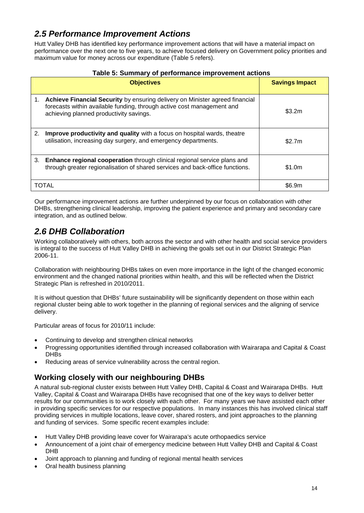## *2.5 Performance Improvement Actions*

Hutt Valley DHB has identified key performance improvement actions that will have a material impact on performance over the next one to five years, to achieve focused delivery on Government policy priorities and maximum value for money across our expenditure (Table 5 refers).

|    | <b>Objectives</b>                                                                                                                                                                                 | <b>Savings Impact</b> |
|----|---------------------------------------------------------------------------------------------------------------------------------------------------------------------------------------------------|-----------------------|
| 1. | Achieve Financial Security by ensuring delivery on Minister agreed financial<br>forecasts within available funding, through active cost management and<br>achieving planned productivity savings. | \$3.2m                |
| 2. | Improve productivity and quality with a focus on hospital wards, theatre<br>utilisation, increasing day surgery, and emergency departments.                                                       | \$2.7m                |
| 3. | <b>Enhance regional cooperation</b> through clinical regional service plans and<br>through greater regionalisation of shared services and back-office functions.                                  | \$1.0m                |
|    | <b>TOTAL</b>                                                                                                                                                                                      | \$6.9m                |

Our performance improvement actions are further underpinned by our focus on collaboration with other DHBs, strengthening clinical leadership, improving the patient experience and primary and secondary care integration, and as outlined below.

## *2.6 DHB Collaboration*

Working collaboratively with others, both across the sector and with other health and social service providers is integral to the success of Hutt Valley DHB in achieving the goals set out in our District Strategic Plan 2006-11.

Collaboration with neighbouring DHBs takes on even more importance in the light of the changed economic environment and the changed national priorities within health, and this will be reflected when the District Strategic Plan is refreshed in 2010/2011.

It is without question that DHBs' future sustainability will be significantly dependent on those within each regional cluster being able to work together in the planning of regional services and the aligning of service delivery.

Particular areas of focus for 2010/11 include:

- Continuing to develop and strengthen clinical networks
- Progressing opportunities identified through increased collaboration with Wairarapa and Capital & Coast DH<sub>Bs</sub>
- Reducing areas of service vulnerability across the central region.

## **Working closely with our neighbouring DHBs**

A natural sub-regional cluster exists between Hutt Valley DHB, Capital & Coast and Wairarapa DHBs. Hutt Valley, Capital & Coast and Wairarapa DHBs have recognised that one of the key ways to deliver better results for our communities is to work closely with each other. For many years we have assisted each other in providing specific services for our respective populations. In many instances this has involved clinical staff providing services in multiple locations, leave cover, shared rosters, and joint approaches to the planning and funding of services. Some specific recent examples include:

- Hutt Valley DHB providing leave cover for Wairarapa's acute orthopaedics service
- Announcement of a joint chair of emergency medicine between Hutt Valley DHB and Capital & Coast DHB
- Joint approach to planning and funding of regional mental health services
- Oral health business planning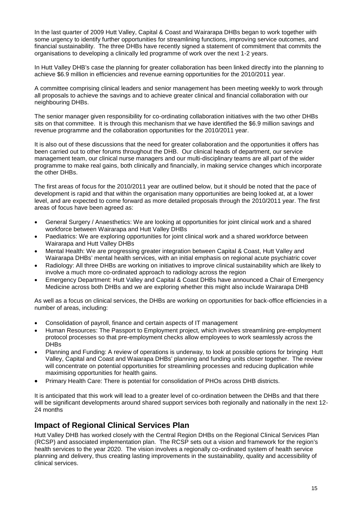In the last quarter of 2009 Hutt Valley, Capital & Coast and Wairarapa DHBs began to work together with some urgency to identify further opportunities for streamlining functions, improving service outcomes, and financial sustainability. The three DHBs have recently signed a statement of commitment that commits the organisations to developing a clinically led programme of work over the next 1-2 years.

In Hutt Valley DHB's case the planning for greater collaboration has been linked directly into the planning to achieve \$6.9 million in efficiencies and revenue earning opportunities for the 2010/2011 year.

A committee comprising clinical leaders and senior management has been meeting weekly to work through all proposals to achieve the savings and to achieve greater clinical and financial collaboration with our neighbouring DHBs.

The senior manager given responsibility for co-ordinating collaboration initiatives with the two other DHBs sits on that committee. It is through this mechanism that we have identified the \$6.9 million savings and revenue programme and the collaboration opportunities for the 2010/2011 year.

It is also out of these discussions that the need for greater collaboration and the opportunities it offers has been carried out to other forums throughout the DHB. Our clinical heads of department, our service management team, our clinical nurse managers and our multi-disciplinary teams are all part of the wider programme to make real gains, both clinically and financially, in making service changes which incorporate the other DHBs.

The first areas of focus for the 2010/2011 year are outlined below, but it should be noted that the pace of development is rapid and that within the organisation many opportunities are being looked at, at a lower level, and are expected to come forward as more detailed proposals through the 2010/2011 year. The first areas of focus have been agreed as:

- General Surgery / Anaesthetics: We are looking at opportunities for joint clinical work and a shared workforce between Wairarapa and Hutt Valley DHBs
- Paediatrics: We are exploring opportunities for joint clinical work and a shared workforce between Wairarapa and Hutt Valley DHBs
- Mental Health: We are progressing greater integration between Capital & Coast, Hutt Valley and Wairarapa DHBs' mental health services, with an initial emphasis on regional acute psychiatric cover
- Radiology: All three DHBs are working on initiatives to improve clinical sustainability which are likely to involve a much more co-ordinated approach to radiology across the region
- Emergency Department: Hutt Valley and Capital & Coast DHBs have announced a Chair of Emergency Medicine across both DHBs and we are exploring whether this might also include Wairarapa DHB

As well as a focus on clinical services, the DHBs are working on opportunities for back-office efficiencies in a number of areas, including:

- Consolidation of payroll, finance and certain aspects of IT management
- Human Resources: The Passport to Employment project, which involves streamlining pre-employment protocol processes so that pre-employment checks allow employees to work seamlessly across the **DHBs**
- Planning and Funding: A review of operations is underway, to look at possible options for bringing Hutt Valley, Capital and Coast and Waiarapa DHBs' planning and funding units closer together. The review will concentrate on potential opportunities for streamlining processes and reducing duplication while maximising opportunities for health gains.
- Primary Health Care: There is potential for consolidation of PHOs across DHB districts.

It is anticipated that this work will lead to a greater level of co-ordination between the DHBs and that there will be significant developments around shared support services both regionally and nationally in the next 12- 24 months

### **Impact of Regional Clinical Services Plan**

Hutt Valley DHB has worked closely with the Central Region DHBs on the Regional Clinical Services Plan (RCSP) and associated implementation plan. The RCSP sets out a vision and framework for the region's health services to the year 2020. The vision involves a regionally co-ordinated system of health service planning and delivery, thus creating lasting improvements in the sustainability, quality and accessibility of clinical services.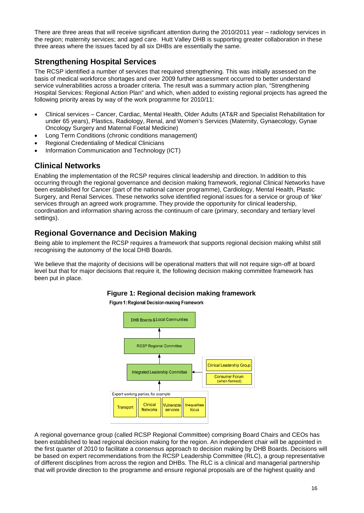There are three areas that will receive significant attention during the 2010/2011 year – radiology services in the region; maternity services; and aged care. Hutt Valley DHB is supporting greater collaboration in these three areas where the issues faced by all six DHBs are essentially the same.

## **Strengthening Hospital Services**

The RCSP identified a number of services that required strengthening. This was initially assessed on the basis of medical workforce shortages and over 2009 further assessment occurred to better understand service vulnerabilities across a broader criteria. The result was a summary action plan, "Strengthening Hospital Services: Regional Action Plan" and which, when added to existing regional projects has agreed the following priority areas by way of the work programme for 2010/11:

- Clinical services Cancer, Cardiac, Mental Health, Older Adults (AT&R and Specialist Rehabilitation for under 65 years), Plastics, Radiology, Renal, and Women's Services (Maternity, Gynaecology, Gynae Oncology Surgery and Maternal Foetal Medicine)
- Long Term Conditions (chronic conditions management)
- Regional Credentialing of Medical Clinicians
- Information Communication and Technology (ICT)

## **Clinical Networks**

Enabling the implementation of the RCSP requires clinical leadership and direction. In addition to this occurring through the regional governance and decision making framework, regional Clinical Networks have been established for Cancer (part of the national cancer programme), Cardiology, Mental Health, Plastic Surgery, and Renal Services. These networks solve identified regional issues for a service or group of 'like' services through an agreed work programme. They provide the opportunity for clinical leadership, coordination and information sharing across the continuum of care (primary, secondary and tertiary level settings).

### **Regional Governance and Decision Making**

Being able to implement the RCSP requires a framework that supports regional decision making whilst still recognising the autonomy of the local DHB Boards.

We believe that the majority of decisions will be operational matters that will not require sign-off at board level but that for major decisions that require it, the following decision making committee framework has been put in place.



**Figure 1: Regional decision making framework**

A regional governance group (called RCSP Regional Committee) comprising Board Chairs and CEOs has been established to lead regional decision making for the region. An independent chair will be appointed in the first quarter of 2010 to facilitate a consensus approach to decision making by DHB Boards. Decisions will be based on expert recommendations from the RCSP Leadership Committee (RLC), a group representative of different disciplines from across the region and DHBs. The RLC is a clinical and managerial partnership that will provide direction to the programme and ensure regional proposals are of the highest quality and

16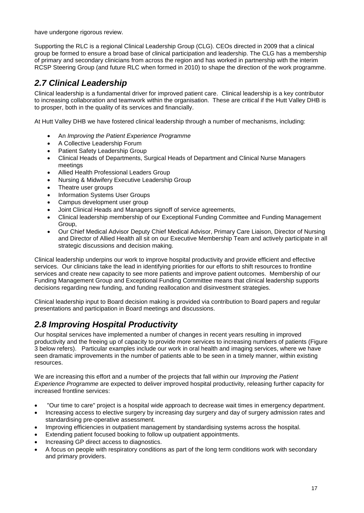have undergone rigorous review.

Supporting the RLC is a regional Clinical Leadership Group (CLG). CEOs directed in 2009 that a clinical group be formed to ensure a broad base of clinical participation and leadership. The CLG has a membership of primary and secondary clinicians from across the region and has worked in partnership with the interim RCSP Steering Group (and future RLC when formed in 2010) to shape the direction of the work programme.

## *2.7 Clinical Leadership*

Clinical leadership is a fundamental driver for improved patient care. Clinical leadership is a key contributor to increasing collaboration and teamwork within the organisation. These are critical if the Hutt Valley DHB is to prosper, both in the quality of its services and financially.

At Hutt Valley DHB we have fostered clinical leadership through a number of mechanisms, including:

- An *Improving the Patient Experience Programme*
- A Collective Leadership Forum
- Patient Safety Leadership Group
- Clinical Heads of Departments, Surgical Heads of Department and Clinical Nurse Managers meetings
- Allied Health Professional Leaders Group
- Nursing & Midwifery Executive Leadership Group
- Theatre user groups
- Information Systems User Groups
- Campus development user group
- Joint Clinical Heads and Managers signoff of service agreements,
- Clinical leadership membership of our Exceptional Funding Committee and Funding Management Group,
- Our Chief Medical Advisor Deputy Chief Medical Advisor, Primary Care Liaison, Director of Nursing and Director of Allied Health all sit on our Executive Membership Team and actively participate in all strategic discussions and decision making.

Clinical leadership underpins our work to improve hospital productivity and provide efficient and effective services. Our clinicians take the lead in identifying priorities for our efforts to shift resources to frontline services and create new capacity to see more patients and improve patient outcomes. Membership of our Funding Management Group and Exceptional Funding Committee means that clinical leadership supports decisions regarding new funding, and funding reallocation and disinvestment strategies.

Clinical leadership input to Board decision making is provided via contribution to Board papers and regular presentations and participation in Board meetings and discussions.

## *2.8 Improving Hospital Productivity*

Our hospital services have implemented a number of changes in recent years resulting in improved productivity and the freeing up of capacity to provide more services to increasing numbers of patients (Figure 3 below refers). Particular examples include our work in oral health and imaging services, where we have seen dramatic improvements in the number of patients able to be seen in a timely manner, within existing resources.

We are increasing this effort and a number of the projects that fall within our *Improving the Patient Experience Programme* are expected to deliver improved hospital productivity, releasing further capacity for increased frontline services:

- "Our time to care" project is a hospital wide approach to decrease wait times in emergency department.
- Increasing access to elective surgery by increasing day surgery and day of surgery admission rates and standardising pre-operative assessment.
- Improving efficiencies in outpatient management by standardising systems across the hospital.
- Extending patient focused booking to follow up outpatient appointments.
- Increasing GP direct access to diagnostics.
- A focus on people with respiratory conditions as part of the long term conditions work with secondary and primary providers.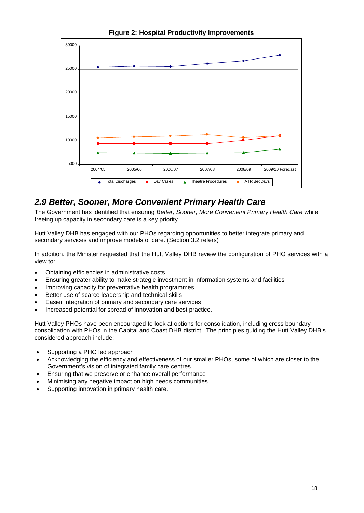

**Figure 2: Hospital Productivity Improvements**

## *2.9 Better, Sooner, More Convenient Primary Health Care*

The Government has identified that ensuring *Better, Sooner, More Convenient Primary Health Care* while freeing up capacity in secondary care is a key priority.

Hutt Valley DHB has engaged with our PHOs regarding opportunities to better integrate primary and secondary services and improve models of care. (Section 3.2 refers)

In addition, the Minister requested that the Hutt Valley DHB review the configuration of PHO services with a view to:

- Obtaining efficiencies in administrative costs
- Ensuring greater ability to make strategic investment in information systems and facilities
- Improving capacity for preventative health programmes
- Better use of scarce leadership and technical skills
- Easier integration of primary and secondary care services
- Increased potential for spread of innovation and best practice.

Hutt Valley PHOs have been encouraged to look at options for consolidation, including cross boundary consolidation with PHOs in the Capital and Coast DHB district. The principles guiding the Hutt Valley DHB's considered approach include:

- Supporting a PHO led approach
- Acknowledging the efficiency and effectiveness of our smaller PHOs, some of which are closer to the Government's vision of integrated family care centres
- Ensuring that we preserve or enhance overall performance
- Minimising any negative impact on high needs communities
- Supporting innovation in primary health care.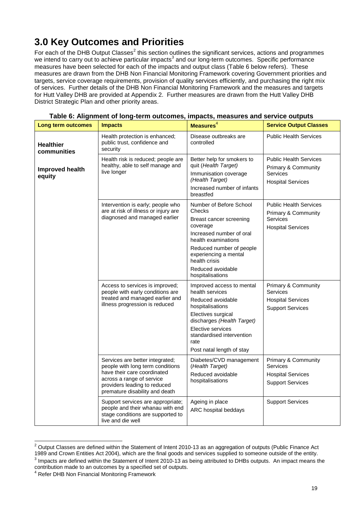## **3.0 Key Outcomes and Priorities**

For each of the DHB Output Classes<sup>2</sup> this section outlines the significant services, actions and programmes we intend to carry out to achieve particular impacts<sup>3</sup> and our long-term outcomes. Specific performance measures have been selected for each of the impacts and output class (Table 6 below refers). These measures are drawn from the DHB Non Financial Monitoring Framework covering Government priorities and targets, service coverage requirements, provision of quality services efficiently, and purchasing the right mix of services. Further details of the DHB Non Financial Monitoring Framework and the measures and targets for Hutt Valley DHB are provided at Appendix 2. Further measures are drawn from the Hutt Valley DHB District Strategic Plan and other priority areas.

| Long term outcomes              | <b>Impacts</b>                                                                                                                                                                                    | Measures <sup>4</sup>                                                                                                                                                                                                                      | <b>Service Output Classes</b>                                                                |
|---------------------------------|---------------------------------------------------------------------------------------------------------------------------------------------------------------------------------------------------|--------------------------------------------------------------------------------------------------------------------------------------------------------------------------------------------------------------------------------------------|----------------------------------------------------------------------------------------------|
| <b>Healthier</b><br>communities | Health protection is enhanced;<br>public trust, confidence and<br>security                                                                                                                        | Disease outbreaks are<br>controlled                                                                                                                                                                                                        | <b>Public Health Services</b>                                                                |
| Improved health<br>equity       | Health risk is reduced; people are<br>healthy, able to self manage and<br>live longer                                                                                                             | Better help for smokers to<br>quit (Health Target)<br>Immunisation coverage<br>(Health Target)<br>Increased number of infants<br>breastfed                                                                                                 | <b>Public Health Services</b><br>Primary & Community<br>Services<br><b>Hospital Services</b> |
|                                 | Intervention is early; people who<br>are at risk of illness or injury are<br>diagnosed and managed earlier                                                                                        | Number of Before School<br>Checks<br>Breast cancer screening<br>coverage<br>Increased number of oral<br>health examinations<br>Reduced number of people<br>experiencing a mental<br>health crisis<br>Reduced avoidable<br>hospitalisations | <b>Public Health Services</b><br>Primary & Community<br>Services<br><b>Hospital Services</b> |
|                                 | Access to services is improved;<br>people with early conditions are<br>treated and managed earlier and<br>illness progression is reduced                                                          | Improved access to mental<br>health services<br>Reduced avoidable<br>hospitalisations<br>Electives surgical<br>discharges (Health Target)<br>Elective services<br>standardised intervention<br>rate<br>Post natal length of stay           | Primary & Community<br>Services<br><b>Hospital Services</b><br><b>Support Services</b>       |
|                                 | Services are better integrated;<br>people with long term conditions<br>have their care coordinated<br>across a range of service<br>providers leading to reduced<br>premature disability and death | Diabetes/CVD management<br>(Health Target)<br>Reduced avoidable<br>hospitalisations                                                                                                                                                        | Primary & Community<br>Services<br><b>Hospital Services</b><br><b>Support Services</b>       |
|                                 | Support services are appropriate;<br>people and their whanau with end<br>stage conditions are supported to<br>live and die well                                                                   | Ageing in place<br>ARC hospital beddays                                                                                                                                                                                                    | <b>Support Services</b>                                                                      |

| Table 6: Alignment of long-term outcomes, impacts, measures and service outputs |  |
|---------------------------------------------------------------------------------|--|
|---------------------------------------------------------------------------------|--|

 $^{\text{2}}$  Output Classes are defined within the Statement of Intent 2010-13 as an aggregation of outputs (Public Finance Act 1989 and Crown Entities Act 2004), which are the final goods and services supplied to someone outside of the entity.

 $^3$  Impacts are defined within the Statement of Intent 2010-13 as being attributed to DHBs outputs. An impact means the contribution made to an outcomes by a specified set of outputs.

<sup>4</sup> Refer DHB Non Financial Monitoring Framework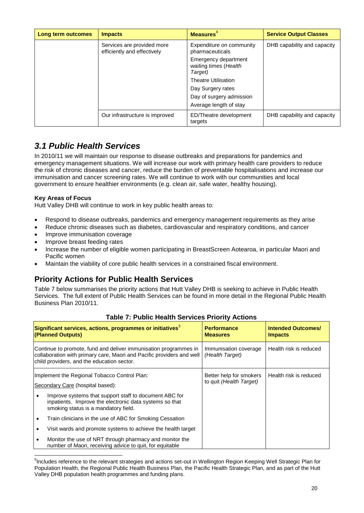| Long term outcomes | <b>Impacts</b>                                            | Measures <sup>4</sup>                                    | <b>Service Output Classes</b> |
|--------------------|-----------------------------------------------------------|----------------------------------------------------------|-------------------------------|
|                    | Services are provided more<br>efficiently and effectively | Expenditure on community<br>pharmaceuticals              | DHB capability and capacity   |
|                    |                                                           | Emergency department<br>waiting times (Health<br>Target) |                               |
|                    |                                                           | <b>Theatre Utilisation</b>                               |                               |
|                    |                                                           | Day Surgery rates                                        |                               |
|                    |                                                           | Day of surgery admission                                 |                               |
|                    |                                                           | Average length of stay                                   |                               |
|                    | Our infrastructure is improved                            | ED/Theatre development<br>targets                        | DHB capability and capacity   |

## *3.1 Public Health Services*

In 2010/11 we will maintain our response to disease outbreaks and preparations for pandemics and emergency management situations. We will increase our work with primary health care providers to reduce the risk of chronic diseases and cancer, reduce the burden of preventable hospitalisations and increase our immunisation and cancer screening rates. We will continue to work with our communities and local government to ensure healthier environments (e.g. clean air, safe water, healthy housing).

### **Key Areas of Focus**

Hutt Valley DHB will continue to work in key public health areas to:

- Respond to disease outbreaks, pandemics and emergency management requirements as they arise
- Reduce chronic diseases such as diabetes, cardiovascular and respiratory conditions, and cancer
- Improve immunisation coverage
- Improve breast feeding rates
- Increase the number of eligible women participating in BreastScreen Aotearoa, in particular Maori and Pacific women
- Maintain the viability of core public health services in a constrained fiscal environment.

## **Priority Actions for Public Health Services**

Table 7 below summarises the priority actions that Hutt Valley DHB is seeking to achieve in Public Health Services. The full extent of Public Health Services can be found in more detail in the Regional Public Health Business Plan 2010/11.

|                                                                                                                                                                                         | Significant services, actions, programmes or initiatives <sup>5</sup><br>(Planned Outputs)                                                                | <b>Performance</b><br><b>Measures</b>              | <b>Intended Outcomes/</b><br><b>Impacts</b> |
|-----------------------------------------------------------------------------------------------------------------------------------------------------------------------------------------|-----------------------------------------------------------------------------------------------------------------------------------------------------------|----------------------------------------------------|---------------------------------------------|
| Continue to promote, fund and deliver immunisation programmes in<br>collaboration with primary care, Maori and Pacific providers and well<br>child providers, and the education sector. |                                                                                                                                                           | Immunisation coverage<br>(Health Target)           | Health risk is reduced                      |
| Implement the Regional Tobacco Control Plan:<br>Secondary Care (hospital based):                                                                                                        |                                                                                                                                                           | Better help for smokers<br>to quit (Health Target) | Health risk is reduced                      |
|                                                                                                                                                                                         | Improve systems that support staff to document ABC for<br>inpatients. Improve the electronic data systems so that<br>smoking status is a mandatory field. |                                                    |                                             |
|                                                                                                                                                                                         | Train clinicians in the use of ABC for Smoking Cessation                                                                                                  |                                                    |                                             |
| ٠                                                                                                                                                                                       | Visit wards and promote systems to achieve the health target                                                                                              |                                                    |                                             |
| ٠                                                                                                                                                                                       | Monitor the use of NRT through pharmacy and monitor the<br>number of Maori, receiving advice to quit, for equitable                                       |                                                    |                                             |

### **Table 7: Public Health Services Priority Actions**

<sup>&</sup>lt;sup>5</sup>Includes reference to the relevant strategies and actions set-out in Wellington Region Keeping Well Strategic Plan for Population Health, the Regional Public Health Business Plan, the Pacific Health Strategic Plan, and as part of the Hutt Valley DHB population health programmes and funding plans.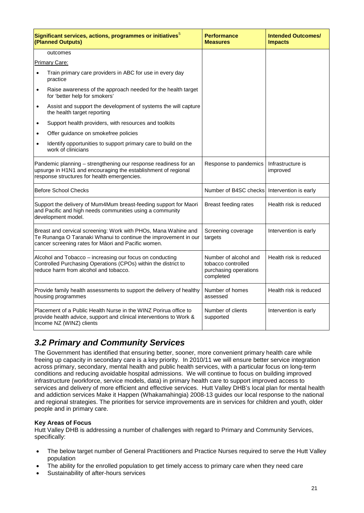| Significant services, actions, programmes or initiatives $^5$<br>(Planned Outputs)                                                                                  |                                                                                                                                                                                          | <b>Performance</b><br><b>Measures</b>                                             | <b>Intended Outcomes/</b><br><b>Impacts</b> |
|---------------------------------------------------------------------------------------------------------------------------------------------------------------------|------------------------------------------------------------------------------------------------------------------------------------------------------------------------------------------|-----------------------------------------------------------------------------------|---------------------------------------------|
|                                                                                                                                                                     | outcomes                                                                                                                                                                                 |                                                                                   |                                             |
|                                                                                                                                                                     | Primary Care:                                                                                                                                                                            |                                                                                   |                                             |
| $\bullet$                                                                                                                                                           | Train primary care providers in ABC for use in every day<br>practice                                                                                                                     |                                                                                   |                                             |
| $\bullet$                                                                                                                                                           | Raise awareness of the approach needed for the health target<br>for 'better help for smokers'                                                                                            |                                                                                   |                                             |
| $\bullet$                                                                                                                                                           | Assist and support the development of systems the will capture<br>the health target reporting                                                                                            |                                                                                   |                                             |
| $\bullet$                                                                                                                                                           | Support health providers, with resources and toolkits                                                                                                                                    |                                                                                   |                                             |
| $\bullet$                                                                                                                                                           | Offer guidance on smokefree policies                                                                                                                                                     |                                                                                   |                                             |
| $\bullet$                                                                                                                                                           | Identify opportunities to support primary care to build on the<br>work of clinicians                                                                                                     |                                                                                   |                                             |
|                                                                                                                                                                     | Pandemic planning - strengthening our response readiness for an<br>upsurge in H1N1 and encouraging the establishment of regional<br>response structures for health emergencies.          | Response to pandemics                                                             | Infrastructure is<br>improved               |
|                                                                                                                                                                     | <b>Before School Checks</b>                                                                                                                                                              | Number of B4SC checks                                                             | Intervention is early                       |
|                                                                                                                                                                     | Support the delivery of Mum4Mum breast-feeding support for Maori<br>and Pacific and high needs communities using a community<br>development model.                                       | Breast feeding rates                                                              | Health risk is reduced                      |
|                                                                                                                                                                     | Breast and cervical screening: Work with PHOs, Mana Wahine and<br>Te Runanga O Taranaki Whanui to continue the improvement in our<br>cancer screening rates for M ori and Pacific women. | Screening coverage<br>targets                                                     | Intervention is early                       |
| Alcohol and Tobacco - increasing our focus on conducting<br>Controlled Purchasing Operations (CPOs) within the district to<br>reduce harm from alcohol and tobacco. |                                                                                                                                                                                          | Number of alcohol and<br>tobacco controlled<br>purchasing operations<br>completed | Health risk is reduced                      |
|                                                                                                                                                                     | Provide family health assessments to support the delivery of healthy<br>housing programmes                                                                                               | Number of homes<br>assessed                                                       | Health risk is reduced                      |
| Placement of a Public Health Nurse in the WINZ Porirua office to<br>provide health advice, support and clinical interventions to Work &<br>Income NZ (WINZ) clients |                                                                                                                                                                                          | Number of clients<br>supported                                                    | Intervention is early                       |

## *3.2 Primary and Community Services*

The Government has identified that ensuring better, sooner, more convenient primary health care while freeing up capacity in secondary care is a key priority. In 2010/11 we will ensure better service integration across primary, secondary, mental health and public health services, with a particular focus on long-term conditions and reducing avoidable hospital admissions. We will continue to focus on building improved infrastructure (workforce, service models, data) in primary health care to support improved access to services and delivery of more efficient and effective services. Hutt Valley DHB's local plan for mental health and addiction services Make it Happen (Whakamahingia) 2008-13 guides our local response to the national and regional strategies. The priorities for service improvements are in services for children and youth, older people and in primary care.

### **Key Areas of Focus**

Hutt Valley DHB is addressing a number of challenges with regard to Primary and Community Services, specifically:

- The below target number of General Practitioners and Practice Nurses required to serve the Hutt Valley population
- The ability for the enrolled population to get timely access to primary care when they need care
- Sustainability of after-hours services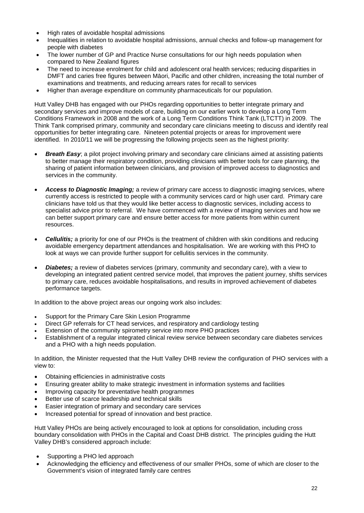- High rates of avoidable hospital admissions
- Inequalities in relation to avoidable hospital admissions, annual checks and follow-up management for people with diabetes
- The lower number of GP and Practice Nurse consultations for our high needs population when compared to New Zealand figures
- The need to increase enrolment for child and adolescent oral health services; reducing disparities in DMFT and caries free figures between M ori, Pacific and other children, increasing the total number of examinations and treatments, and reducing arrears rates for recall to services
- Higher than average expenditure on community pharmaceuticals for our population.

Hutt Valley DHB has engaged with our PHOs regarding opportunities to better integrate primary and secondary services and improve models of care, building on our earlier work to develop a Long Term Conditions Framework in 2008 and the work of a Long Term Conditions Think Tank (LTCTT) in 2009. The Think Tank comprised primary, community and secondary care clinicians meeting to discuss and identify real opportunities for better integrating care. Nineteen potential projects or areas for improvement were identified. In 2010/11 we will be progressing the following projects seen as the highest priority:

- *Breath Easy:* a pilot project involving primary and secondary care clinicians aimed at assisting patients to better manage their respiratory condition, providing clinicians with better tools for care planning, the sharing of patient information between clinicians, and provision of improved access to diagnostics and services in the community.
- *Access to Diagnostic Imaging;* a review of primary care access to diagnostic imaging services, where currently access is restricted to people with a community services card or high user card. Primary care clinicians have told us that they would like better access to diagnostic services, including access to specialist advice prior to referral. We have commenced with a review of imaging services and how we can better support primary care and ensure better access for more patients from within current resources.
- **Cellulitis;** a priority for one of our PHOs is the treatment of children with skin conditions and reducing avoidable emergency department attendances and hospitalisation. We are working with this PHO to look at ways we can provide further support for cellulitis services in the community.
- *Diabetes;* a review of diabetes services (primary, community and secondary care), with a view to developing an integrated patient centred service model, that improves the patient journey, shifts services to primary care, reduces avoidable hospitalisations, and results in improved achievement of diabetes performance targets.

In addition to the above project areas our ongoing work also includes:

- Support for the Primary Care Skin Lesion Programme
- Direct GP referrals for CT head services, and respiratory and cardiology testing
- Extension of the community spirometry service into more PHO practices
- Establishment of a regular integrated clinical review service between secondary care diabetes services and a PHO with a high needs population.

In addition, the Minister requested that the Hutt Valley DHB review the configuration of PHO services with a view to:

- Obtaining efficiencies in administrative costs
- Ensuring greater ability to make strategic investment in information systems and facilities
- Improving capacity for preventative health programmes
- Better use of scarce leadership and technical skills
- Easier integration of primary and secondary care services
- Increased potential for spread of innovation and best practice.

Hutt Valley PHOs are being actively encouraged to look at options for consolidation, including cross boundary consolidation with PHOs in the Capital and Coast DHB district. The principles guiding the Hutt Valley DHB's considered approach include:

- Supporting a PHO led approach
- Acknowledging the efficiency and effectiveness of our smaller PHOs, some of which are closer to the Government's vision of integrated family care centres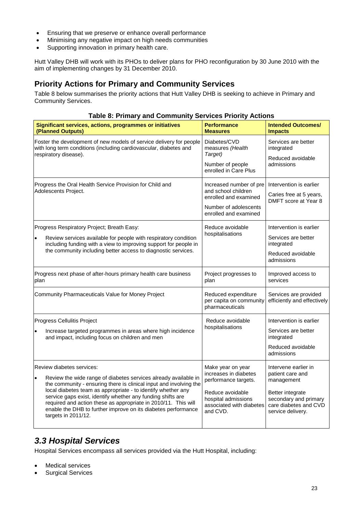- Ensuring that we preserve or enhance overall performance
- Minimising any negative impact on high needs communities
- Supporting innovation in primary health care.

Hutt Valley DHB will work with its PHOs to deliver plans for PHO reconfiguration by 30 June 2010 with the aim of implementing changes by 31 December 2010.

## **Priority Actions for Primary and Community Services**

Table 8 below summarises the priority actions that Hutt Valley DHB is seeking to achieve in Primary and Community Services.

### **Table 8: Primary and Community Services Priority Actions**

| Significant services, actions, programmes or initiatives<br>(Planned Outputs)                                                                                                                                                                                                                                                                                                                                                                               | <b>Performance</b><br><b>Measures</b>                                                                                                                 | <b>Intended Outcomes/</b><br><b>Impacts</b>                                                                                                       |
|-------------------------------------------------------------------------------------------------------------------------------------------------------------------------------------------------------------------------------------------------------------------------------------------------------------------------------------------------------------------------------------------------------------------------------------------------------------|-------------------------------------------------------------------------------------------------------------------------------------------------------|---------------------------------------------------------------------------------------------------------------------------------------------------|
| Foster the development of new models of service delivery for people<br>with long term conditions (including cardiovascular, diabetes and<br>respiratory disease).                                                                                                                                                                                                                                                                                           | Diabetes/CVD<br>measures (Health<br>Target)<br>Number of people<br>enrolled in Care Plus                                                              | Services are better<br>integrated<br>Reduced avoidable<br>admissions                                                                              |
| Progress the Oral Health Service Provision for Child and<br>Adolescents Project.                                                                                                                                                                                                                                                                                                                                                                            | Increased number of pre<br>and school children<br>enrolled and examined<br>Number of adolescents<br>enrolled and examined                             | Intervention is earlier<br>Caries free at 5 years,<br>DMFT score at Year 8                                                                        |
| Progress Respiratory Project; Breath Easy:<br>Review services available for people with respiratory condition<br>$\bullet$<br>including funding with a view to improving support for people in<br>the community including better access to diagnostic services.                                                                                                                                                                                             | Reduce avoidable<br>hospitalisations                                                                                                                  | Intervention is earlier<br>Services are better<br>integrated<br>Reduced avoidable<br>admissions                                                   |
| Progress next phase of after-hours primary health care business<br>plan                                                                                                                                                                                                                                                                                                                                                                                     | Project progresses to<br>plan                                                                                                                         | Improved access to<br>services                                                                                                                    |
| Community Pharmaceuticals Value for Money Project                                                                                                                                                                                                                                                                                                                                                                                                           | Reduced expenditure<br>per capita on community<br>pharmaceuticals                                                                                     | Services are provided<br>efficiently and effectively                                                                                              |
| Progress Cellulitis Project<br>Increase targeted programmes in areas where high incidence<br>$\bullet$<br>and impact, including focus on children and men                                                                                                                                                                                                                                                                                                   | Reduce avoidable<br>hospitalisations                                                                                                                  | Intervention is earlier<br>Services are better<br>integrated<br>Reduced avoidable<br>admissions                                                   |
| Review diabetes services:<br>Review the wide range of diabetes services already available in<br>the community - ensuring there is clinical input and involving the<br>local diabetes team as appropriate - to identify whether any<br>service gaps exist, identify whether any funding shifts are<br>required and action these as appropriate in 2010/11. This will<br>enable the DHB to further improve on its diabetes performance<br>targets in 2011/12. | Make year on year<br>increases in diabetes<br>performance targets.<br>Reduce avoidable<br>hospital admissions<br>associated with diabetes<br>and CVD. | Intervene earlier in<br>patient care and<br>management<br>Better integrate<br>secondary and primary<br>care diabetes and CVD<br>service delivery. |

## *3.3 Hospital Services*

Hospital Services encompass all services provided via the Hutt Hospital, including:

- Medical services
- Surgical Services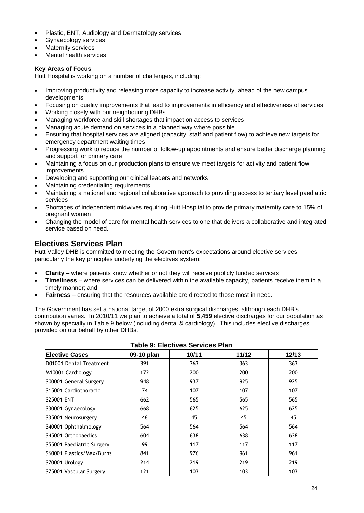- Plastic, ENT, Audiology and Dermatology services
- Gynaecology services
- Maternity services
- Mental health services

### **Key Areas of Focus**

Hutt Hospital is working on a number of challenges, including:

- Improving productivity and releasing more capacity to increase activity, ahead of the new campus developments
- Focusing on quality improvements that lead to improvements in efficiency and effectiveness of services
- Working closely with our neighbouring DHBs
- Managing workforce and skill shortages that impact on access to services
- Managing acute demand on services in a planned way where possible
- Ensuring that hospital services are aligned (capacity, staff and patient flow) to achieve new targets for emergency department waiting times
- Progressing work to reduce the number of follow-up appointments and ensure better discharge planning and support for primary care
- Maintaining a focus on our production plans to ensure we meet targets for activity and patient flow improvements
- Developing and supporting our clinical leaders and networks
- Maintaining credentialing requirements
- Maintaining a national and regional collaborative approach to providing access to tertiary level paediatric services
- Shortages of independent midwives requiring Hutt Hospital to provide primary maternity care to 15% of pregnant women
- Changing the model of care for mental health services to one that delivers a collaborative and integrated service based on need.

### **Electives Services Plan**

Hutt Valley DHB is committed to meeting the Government's expectations around elective services, particularly the key principles underlying the electives system:

- **Clarity** where patients know whether or not they will receive publicly funded services
- **Timeliness** where services can be delivered within the available capacity, patients receive them in a timely manner; and
- **Fairness** ensuring that the resources available are directed to those most in need.

The Government has set a national target of 2000 extra surgical discharges, although each DHB's contribution varies. In 2010/11 we plan to achieve a total of **5,459** elective discharges for our population as shown by specialty in Table 9 below (including dental & cardiology). This includes elective discharges provided on our behalf by other DHBs.

| Table 9: Electives Services Plan |            |       |       |       |  |
|----------------------------------|------------|-------|-------|-------|--|
| <b>Elective Cases</b>            | 09-10 plan | 10/11 | 11/12 | 12/13 |  |
| ID01001 Dental Treatment         | 391        | 363   | 363   | 363   |  |
| M10001 Cardiology                | 172        | 200   | 200   | 200   |  |
| S00001 General Surgery           | 948        | 937   | 925   | 925   |  |
| IS15001 Cardiothoracic           | 74         | 107   | 107   | 107   |  |
| <b>S25001 ENT</b>                | 662        | 565   | 565   | 565   |  |
| S30001 Gynaecology               | 668        | 625   | 625   | 625   |  |
| S35001 Neurosurgery              | 46         | 45    | 45    | 45    |  |
| S40001 Ophthalmology             | 564        | 564   | 564   | 564   |  |
| S45001 Orthopaedics              | 604        | 638   | 638   | 638   |  |
| S55001 Paediatric Surgery        | 99         | 117   | 117   | 117   |  |
| IS60001 Plastics/Max/Burns       | 841        | 976   | 961   | 961   |  |
| S70001 Urology                   | 214        | 219   | 219   | 219   |  |
| S75001 Vascular Surgery          | 121        | 103   | 103   | 103   |  |

**Table 9: Electives Services Plan**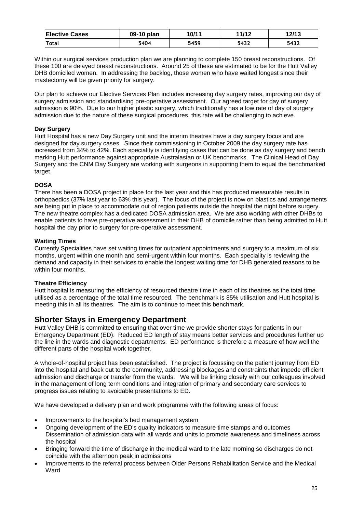| <b>Elective Cases</b> | 09-10 plan | 10/11 | 11/12 | 12/13 |
|-----------------------|------------|-------|-------|-------|
| <b>Total</b>          | 5404       | 5459  | 5432  | 5432  |

Within our surgical services production plan we are planning to complete 150 breast reconstructions. Of these 100 are delayed breast reconstructions. Around 25 of these are estimated to be for the Hutt Valley DHB domiciled women. In addressing the backlog, those women who have waited longest since their mastectomy will be given priority for surgery.

Our plan to achieve our Elective Services Plan includes increasing day surgery rates, improving our day of surgery admission and standardising pre-operative assessment. Our agreed target for day of surgery admission is 90%. Due to our higher plastic surgery, which traditionally has a low rate of day of surgery admission due to the nature of these surgical procedures, this rate will be challenging to achieve.

### **Day Surgery**

Hutt Hospital has a new Day Surgery unit and the interim theatres have a day surgery focus and are designed for day surgery cases. Since their commissioning in October 2009 the day surgery rate has increased from 34% to 42%. Each speciality is identifying cases that can be done as day surgery and bench marking Hutt performance against appropriate Australasian or UK benchmarks. The Clinical Head of Day Surgery and the CNM Day Surgery are working with surgeons in supporting them to equal the benchmarked target.

### **DOSA**

There has been a DOSA project in place for the last year and this has produced measurable results in orthopaedics (37% last year to 63% this year). The focus of the project is now on plastics and arrangements are being put in place to accommodate out of region patients outside the hospital the night before surgery. The new theatre complex has a dedicated DOSA admission area. We are also working with other DHBs to enable patients to have pre-operative assessment in their DHB of domicile rather than being admitted to Hutt hospital the day prior to surgery for pre-operative assessment.

### **Waiting Times**

Currently Specialities have set waiting times for outpatient appointments and surgery to a maximum of six months, urgent within one month and semi-urgent within four months. Each speciality is reviewing the demand and capacity in their services to enable the longest waiting time for DHB generated reasons to be within four months.

### **Theatre Efficiency**

Hutt hospital is measuring the efficiency of resourced theatre time in each of its theatres as the total time utilised as a percentage of the total time resourced. The benchmark is 85% utilisation and Hutt hospital is meeting this in all its theatres. The aim is to continue to meet this benchmark.

### **Shorter Stays in Emergency Department**

Hutt Valley DHB is committed to ensuring that over time we provide shorter stays for patients in our Emergency Department (ED). Reduced ED length of stay means better services and procedures further up the line in the wards and diagnostic departments. ED performance is therefore a measure of how well the different parts of the hospital work together.

A whole-of-hospital project has been established. The project is focussing on the patient journey from ED into the hospital and back out to the community, addressing blockages and constraints that impede efficient admission and discharge or transfer from the wards. We will be linking closely with our colleagues involved in the management of long term conditions and integration of primary and secondary care services to progress issues relating to avoidable presentations to ED.

We have developed a delivery plan and work programme with the following areas of focus:

- Improvements to the hospital's bed management system
- Ongoing development of the ED's quality indicators to measure time stamps and outcomes Dissemination of admission data with all wards and units to promote awareness and timeliness across the hospital
- Bringing forward the time of discharge in the medical ward to the late morning so discharges do not coincide with the afternoon peak in admissions
- Improvements to the referral process between Older Persons Rehabilitation Service and the Medical Ward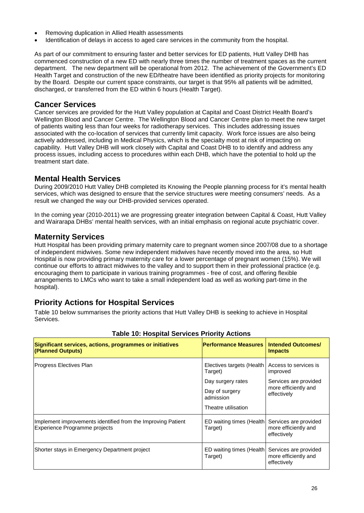- Removing duplication in Allied Health assessments
- Identification of delays in access to aged care services in the community from the hospital.

As part of our commitment to ensuring faster and better services for ED patients, Hutt Valley DHB has commenced construction of a new ED with nearly three times the number of treatment spaces as the current department. The new department will be operational from 2012. The achievement of the Government's ED Health Target and construction of the new ED/theatre have been identified as priority projects for monitoring by the Board. Despite our current space constraints, our target is that 95% all patients will be admitted, discharged, or transferred from the ED within 6 hours (Health Target).

### **Cancer Services**

Cancer services are provided for the Hutt Valley population at Capital and Coast District Health Board's Wellington Blood and Cancer Centre. The Wellington Blood and Cancer Centre plan to meet the new target of patients waiting less than four weeks for radiotherapy services. This includes addressing issues associated with the co-location of services that currently limit capacity. Work force issues are also being actively addressed, including in Medical Physics, which is the specialty most at risk of impacting on capability. Hutt Valley DHB will work closely with Capital and Coast DHB to to identify and address any process issues, including access to procedures within each DHB, which have the potential to hold up the treatment start date.

### **Mental Health Services**

During 2009/2010 Hutt Valley DHB completed its Knowing the People planning process for it's mental health services, which was designed to ensure that the service structures were meeting consumers' needs. As a result we changed the way our DHB-provided services operated.

In the coming year (2010-2011) we are progressing greater integration between Capital & Coast, Hutt Valley and Wairarapa DHBs' mental health services, with an initial emphasis on regional acute psychiatric cover.

### **Maternity Services**

Hutt Hospital has been providing primary maternity care to pregnant women since 2007/08 due to a shortage of independent midwives. Some new independent midwives have recently moved into the area, so Hutt Hospital is now providing primary maternity care for a lower percentage of pregnant women (15%). We will continue our efforts to attract midwives to the valley and to support them in their professional practice (e.g. encouraging them to participate in various training programmes - free of cost, and offering flexible arrangements to LMCs who want to take a small independent load as well as working part-time in the hospital).

## **Priority Actions for Hospital Services**

Table 10 below summarises the priority actions that Hutt Valley DHB is seeking to achieve in Hospital Services.

| Significant services, actions, programmes or initiatives<br>(Planned Outputs)                 | <b>Performance Measures</b>          | <b>Intended Outcomes/</b><br><b>Impacts</b>                  |
|-----------------------------------------------------------------------------------------------|--------------------------------------|--------------------------------------------------------------|
| Progress Electives Plan                                                                       | Electives targets (Health<br>Target) | Access to services is<br>improved                            |
|                                                                                               | Day surgery rates                    | Services are provided                                        |
|                                                                                               | Day of surgery<br>admission          | more efficiently and<br>effectively                          |
|                                                                                               | Theatre utilisation                  |                                                              |
| Implement improvements identified from the Improving Patient<br>Experience Programme projects | ED waiting times (Health<br>Target)  | Services are provided<br>more efficiently and<br>effectively |
| Shorter stays in Emergency Department project                                                 | ED waiting times (Health<br>Target)  | Services are provided<br>more efficiently and<br>effectively |

### **Table 10: Hospital Services Priority Actions**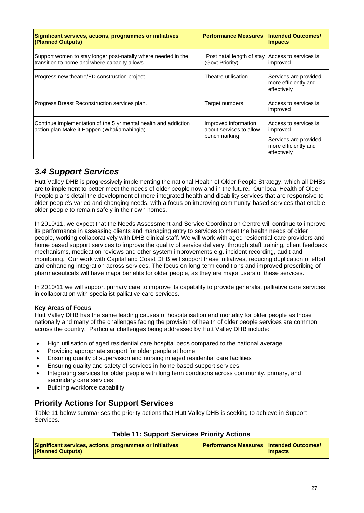| Significant services, actions, programmes or initiatives<br>(Planned Outputs)                                  | <b>Performance Measures</b>                                        | <b>Intended Outcomes/</b><br><b>Impacts</b>                                                       |
|----------------------------------------------------------------------------------------------------------------|--------------------------------------------------------------------|---------------------------------------------------------------------------------------------------|
| Support women to stay longer post-natally where needed in the<br>transition to home and where capacity allows. | Post natal length of stay Access to services is<br>(Govt Priority) | improved                                                                                          |
| Progress new theatre/ED construction project                                                                   | Theatre utilisation                                                | Services are provided<br>more efficiently and<br>effectively                                      |
| Progress Breast Reconstruction services plan.                                                                  | Target numbers                                                     | Access to services is<br>improved                                                                 |
| Continue implementation of the 5 yr mental health and addiction<br>action plan Make it Happen (Whakamahingia). | Improved information<br>about services to allow<br>benchmarking    | Access to services is<br>improved<br>Services are provided<br>more efficiently and<br>effectively |

## *3.4 Support Services*

Hutt Valley DHB is progressively implementing the national Health of Older People Strategy, which all DHBs are to implement to better meet the needs of older people now and in the future. Our local Health of Older People plans detail the development of more integrated health and disability services that are responsive to older people's varied and changing needs, with a focus on improving community-based services that enable older people to remain safely in their own homes.

In 2010/11, we expect that the Needs Assessment and Service Coordination Centre will continue to improve its performance in assessing clients and managing entry to services to meet the health needs of older people, working collaboratively with DHB clinical staff. We will work with aged residential care providers and home based support services to improve the quality of service delivery, through staff training, client feedback mechanisms, medication reviews and other system improvements e.g. incident recording, audit and monitoring. Our work with Capital and Coast DHB will support these initiatives, reducing duplication of effort and enhancing integration across services. The focus on long-term conditions and improved prescribing of pharmaceuticals will have major benefits for older people, as they are major users of these services.

In 2010/11 we will support primary care to improve its capability to provide generalist palliative care services in collaboration with specialist palliative care services.

### **Key Areas of Focus**

Hutt Valley DHB has the same leading causes of hospitalisation and mortality for older people as those nationally and many of the challenges facing the provision of health of older people services are common across the country. Particular challenges being addressed by Hutt Valley DHB include:

- High utilisation of aged residential care hospital beds compared to the national average
- Providing appropriate support for older people at home
- Ensuring quality of supervision and nursing in aged residential care facilities
- Ensuring quality and safety of services in home based support services
- Integrating services for older people with long term conditions across community, primary, and secondary care services
- Building workforce capability.

## **Priority Actions for Support Services**

Table 11 below summarises the priority actions that Hutt Valley DHB is seeking to achieve in Support Services.

### **Table 11: Support Services Priority Actions**

| Significant services, actions, programmes or initiatives | <b>Performance Measures   Intended Outcomes/</b> |         |  |
|----------------------------------------------------------|--------------------------------------------------|---------|--|
| (Planned Outputs)                                        |                                                  | Impacts |  |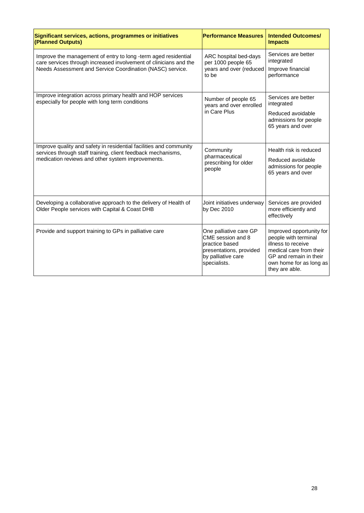| Significant services, actions, programmes or initiatives<br>(Planned Outputs)                                                                                                                    | <b>Performance Measures</b>                                                                                                    | <b>Intended Outcomes/</b><br><b>Impacts</b>                                                                                                                              |
|--------------------------------------------------------------------------------------------------------------------------------------------------------------------------------------------------|--------------------------------------------------------------------------------------------------------------------------------|--------------------------------------------------------------------------------------------------------------------------------------------------------------------------|
| Improve the management of entry to long -term aged residential<br>care services through increased involvement of clinicians and the<br>Needs Assessment and Service Coordination (NASC) service. | ARC hospital bed-days<br>per 1000 people 65<br>years and over (reduced<br>to be                                                | Services are better<br>integrated<br>Improve financial<br>performance                                                                                                    |
| Improve integration across primary health and HOP services<br>especially for people with long term conditions                                                                                    | Number of people 65<br>years and over enrolled<br>in Care Plus                                                                 | Services are better<br>integrated<br>Reduced avoidable<br>admissions for people<br>65 years and over                                                                     |
| Improve quality and safety in residential facilities and community<br>services through staff training, client feedback mechanisms,<br>medication reviews and other system improvements.          | Community<br>pharmaceutical<br>prescribing for older<br>people                                                                 | Health risk is reduced<br>Reduced avoidable<br>admissions for people<br>65 years and over                                                                                |
| Developing a collaborative approach to the delivery of Health of<br>Older People services with Capital & Coast DHB                                                                               | Joint initiatives underway<br>by Dec 2010                                                                                      | Services are provided<br>more efficiently and<br>effectively                                                                                                             |
| Provide and support training to GPs in palliative care                                                                                                                                           | One palliative care GP<br>CME session and 8<br>practice based<br>presentations, provided<br>by palliative care<br>specialists. | Improved opportunity for<br>people with terminal<br>illness to receive<br>medical care from their<br>GP and remain in their<br>own home for as long as<br>they are able. |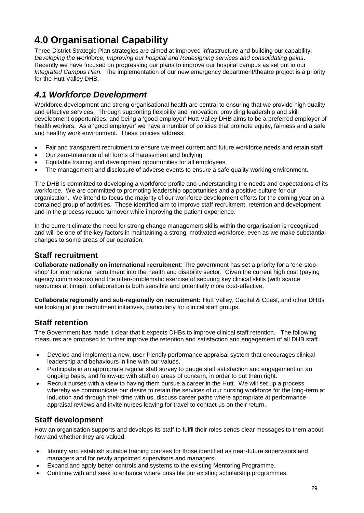## **4.0 Organisational Capability**

Three District Strategic Plan strategies are aimed at improved infrastructure and building our capability; *Developing the workforce, Improving our hospital and Redesigning services and consolidating gains*. Recently we have focused on progressing our plans to improve our hospital campus as set out in our *Integrated Campus Plan.* The implementation of our new emergency department/theatre project is a priority for the Hutt Valley DHB.

## *4.1 Workforce Development*

Workforce development and strong organisational health are central to ensuring that we provide high quality and effective services. Through supporting flexibility and innovation; providing leadership and skill development opportunities; and being a 'good employer' Hutt Valley DHB aims to be a preferred employer of health workers. As a 'good employer' we have a number of policies that promote equity, fairness and a safe and healthy work environment. These policies address:

- Fair and transparent recruitment to ensure we meet current and future workforce needs and retain staff
- Our zero-tolerance of all forms of harassment and bullying
- Equitable training and development opportunities for all employees
- The management and disclosure of adverse events to ensure a safe quality working environment.

The DHB is committed to developing a workforce profile and understanding the needs and expectations of its workforce. We are committed to promoting leadership opportunities and a positive culture for our organisation. We intend to focus the majority of our workforce development efforts for the coming year on a contained group of activities. Those identified aim to improve staff recruitment, retention and development and in the process reduce turnover while improving the patient experience.

In the current climate the need for strong change management skills within the organisation is recognised and will be one of the key factors in maintaining a strong, motivated workforce, even as we make substantial changes to some areas of our operation.

### **Staff recruitment**

**Collaborate nationally on international recruitment**: The government has set a priority for a 'one-stopshop' for international recruitment into the health and disability sector. Given the current high cost (paying agency commissions) and the often-problematic exercise of securing key clinical skills (with scarce resources at times), collaboration is both sensible and potentially more cost-effective.

**Collaborate regionally and sub-regionally on recruitment:** Hutt Valley, Capital & Coast, and other DHBs are looking at joint recruitment initiatives, particularly for clinical staff groups.

### **Staff retention**

The Government has made it clear that it expects DHBs to improve clinical staff retention. The following measures are proposed to further improve the retention and satisfaction and engagement of all DHB staff.

- Develop and implement a new, user-friendly performance appraisal system that encourages clinical leadership and behaviours in line with our values.
- Participate in an appropriate regular staff survey to gauge staff satisfaction and engagement on an ongoing basis, and follow-up with staff on areas of concern, in order to put them right.
- Recruit nurses with a view to having them pursue a career in the Hutt. We will set up a process whereby we communicate our desire to retain the services of our nursing workforce for the long-term at induction and through their time with us, discuss career paths where appropriate at performance appraisal reviews and invite nurses leaving for travel to contact us on their return.

## **Staff development**

How an organisation supports and develops its staff to fulfil their roles sends clear messages to them about how and whether they are valued.

- Identify and establish suitable training courses for those identified as near-future supervisors and managers and for newly appointed supervisors and managers.
- Expand and apply better controls and systems to the existing Mentoring Programme.
- Continue with and seek to enhance where possible our existing scholarship programmes.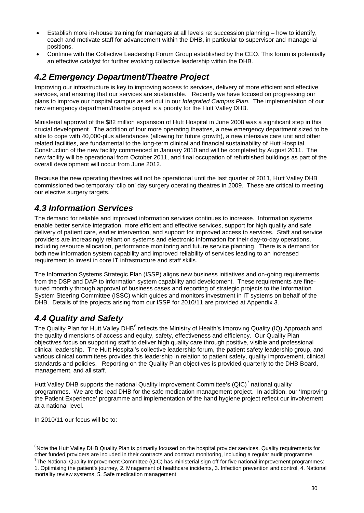- Establish more in-house training for managers at all levels re: succession planning how to identify, coach and motivate staff for advancement within the DHB, in particular to supervisor and managerial positions.
- Continue with the Collective Leadership Forum Group established by the CEO. This forum is potentially an effective catalyst for further evolving collective leadership within the DHB.

## *4.2 Emergency Department/Theatre Project*

Improving our infrastructure is key to improving access to services, delivery of more efficient and effective services, and ensuring that our services are sustainable. Recently we have focused on progressing our plans to improve our hospital campus as set out in our *Integrated Campus Plan.* The implementation of our new emergency department/theatre project is a priority for the Hutt Valley DHB.

Ministerial approval of the \$82 million expansion of Hutt Hospital in June 2008 was a significant step in this crucial development. The addition of four more operating theatres, a new emergency department sized to be able to cope with 40,000-plus attendances (allowing for future growth), a new intensive care unit and other related facilities, are fundamental to the long-term clinical and financial sustainability of Hutt Hospital. Construction of the new facility commenced in January 2010 and will be completed by August 2011. The new facility will be operational from October 2011, and final occupation of refurbished buildings as part of the overall development will occur from June 2012.

Because the new operating theatres will not be operational until the last quarter of 2011, Hutt Valley DHB commissioned two temporary 'clip on' day surgery operating theatres in 2009. These are critical to meeting our elective surgery targets.

## *4.3 Information Services*

The demand for reliable and improved information services continues to increase. Information systems enable better service integration, more efficient and effective services, support for high quality and safe delivery of patient care, earlier intervention, and support for improved access to services. Staff and service providers are increasingly reliant on systems and electronic information for their day-to-day operations, including resource allocation, performance monitoring and future service planning. There is a demand for both new information system capability and improved reliability of services leading to an increased requirement to invest in core IT infrastructure and staff skills.

The Information Systems Strategic Plan (ISSP) aligns new business initiatives and on-going requirements from the DSP and DAP to information system capability and development. These requirements are finetuned monthly through approval of business cases and reporting of strategic projects to the Information System Steering Committee (ISSC) which guides and monitors investment in IT systems on behalf of the DHB. Details of the projects arising from our ISSP for 2010/11 are provided at Appendix 3.

## *4.4 Quality and Safety*

The Quality Plan for Hutt Valley DHB $^6$  reflects the Ministry of Health's Improving Quality (IQ) Approach and the quality dimensions of access and equity, safety, effectiveness and efficiency. Our Quality Plan objectives focus on supporting staff to deliver high quality care through positive, visible and professional clinical leadership. The Hutt Hospital's collective leadership forum, the patient safety leadership group, and various clinical committees provides this leadership in relation to patient safety, quality improvement, clinical standards and policies. Reporting on the Quality Plan objectives is provided quarterly to the DHB Board, management, and all staff.

Hutt Valley DHB supports the national Quality Improvement Committee's (QIC)<sup>7</sup> national quality programmes. We are the lead DHB for the safe medication management project. In addition, our 'Improving the Patient Experience' programme and implementation of the hand hygiene project reflect our involvement at a national level.

In 2010/11 our focus will be to:

<sup>&</sup>lt;sup>6</sup>Note the Hutt Valley DHB Quality Plan is primarily focused on the hospital provider services. Quality requirements for other funded providers are included in their contracts and contract monitoring, including a regular audit programme.

 $^7$ The National Quality Improvement Committee (QIC) has ministerial sign off for five national improvement programmes: 1. Optimising the patient's journey, 2. Mnagement of healthcare incidents, 3. Infection prevention and control, 4. National mortality review systems, 5. Safe medication management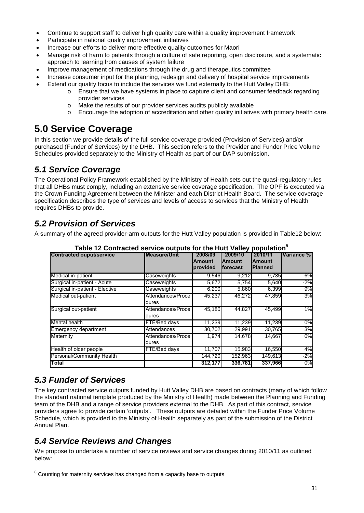- Continue to support staff to deliver high quality care within a quality improvement framework
- Participate in national quality improvement initiatives
- Increase our efforts to deliver more effective quality outcomes for Maori
- Manage risk of harm to patients through a culture of safe reporting, open disclosure, and a systematic approach to learning from causes of system failure
- Improve management of medications through the drug and therapeutics committee
- Increase consumer input for the planning, redesign and delivery of hospital service improvements
	- Extend our quality focus to include the services we fund externally to the Hutt Valley DHB:
		- o Ensure that we have systems in place to capture client and consumer feedback regarding provider services
			- o Make the results of our provider services audits publicly available
			- o Encourage the adoption of accreditation and other quality initiatives with primary health care.

## **5.0 Service Coverage**

In this section we provide details of the full service coverage provided (Provision of Services) and/or purchased (Funder of Services) by the DHB. This section refers to the Provider and Funder Price Volume Schedules provided separately to the Ministry of Health as part of our DAP submission.

## *5.1 Service Coverage*

The Operational Policy Framework established by the Ministry of Health sets out the quasi-regulatory rules that all DHBs must comply, including an extensive service coverage specification. The OPF is executed via the Crown Funding Agreement between the Minister and each District Health Board. The service coverage specification describes the type of services and levels of access to services that the Ministry of Health requires DHBs to provide.

## *5.2 Provision of Services*

A summary of the agreed provider-arm outputs for the Hutt Valley population is provided in Table12 below:

| <b>Contracted ouput/service</b> | <b>Measure/Unit</b>        | 2008/09<br><b>Amount</b><br>provided | 2009/10<br><b>Amount</b><br>forecast | 2010/11<br><b>Amount</b><br><b>Planned</b> | Variance % l |
|---------------------------------|----------------------------|--------------------------------------|--------------------------------------|--------------------------------------------|--------------|
| Medical in-patient              | Caseweights                | 9,546                                | 9,212                                | 9,735                                      | 6%           |
| Surgical in-patient - Acute     | Caseweights                | 5,672                                | 5,754                                | 5,640                                      | $-2%$        |
| Surgical in-patient - Elective  | Caseweights                | 6,200                                | 5,860                                | 6,399                                      | 9%           |
| Medical out-patient             | Attendances/Proce<br>dures | 45,237                               | 46,272                               | 47,859                                     | 3%           |
| Surgical out-patient            | Attendances/Proce<br>dures | 45,180                               | 44.827                               | 45.499                                     | 1%           |
| Mental health                   | FTE/Bed days               | 11,239                               | 11,239                               | 11,239                                     | 0%           |
| <b>Emergency department</b>     | Attendances                | 30,702                               | 29,991                               | 30,765                                     | 3%           |
| Maternity                       | Attendances/Proce<br>dures | 1,974                                | 14,678                               | 14.667                                     | 0%           |
| Health of older people          | FTE/Bed days               | 11,707                               | 15,983                               | 16,550                                     | 4%           |
| Personal/Community Health       |                            | 144,720                              | 152,963                              | 149,613                                    | $-2%$        |
| Total                           |                            | 312,177                              | 336,781                              | 337,966                                    | 0%           |

**Table 12 Contracted service outputs for the Hutt Valley population<sup>8</sup>**

## *5.3 Funder of Services*

The key contracted service outputs funded by Hutt Valley DHB are based on contracts (many of which follow the standard national template produced by the Ministry of Health) made between the Planning and Funding team of the DHB and a range of service providers external to the DHB. As part of this contract, service providers agree to provide certain 'outputs'. These outputs are detailed within the Funder Price Volume Schedule, which is provided to the Ministry of Health separately as part of the submission of the District Annual Plan.

## *5.4 Service Reviews and Changes*

We propose to undertake a number of service reviews and service changes during 2010/11 as outlined below:

 $8$  Counting for maternity services has changed from a capacity base to outputs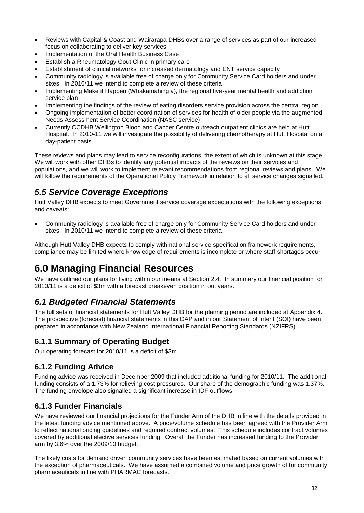- Reviews with Capital & Coast and Wairarapa DHBs over a range of services as part of our increased focus on collaborating to deliver key services
- Implementation of the Oral Health Business Case
- Establish a Rheumatology Gout Clinic in primary care
- Establishment of clinical networks for increased dermatology and ENT service capacity
- Community radiology is available free of charge only for Community Service Card holders and under sixes. In 2010/11 we intend to complete a review of these criteria
- Implementing Make it Happen (Whakamahingia), the regional five-year mental health and addiction service plan
- Implementing the findings of the review of eating disorders service provision across the central region
- Ongoing implementation of better coordination of services for health of older people via the augmented Needs Assessment Service Coordination (NASC service)
- Currently CCDHB Wellington Blood and Cancer Centre outreach outpatient clinics are held at Hutt Hospital. In 2010-11 we will investigate the possibility of delivering chemotherapy at Hutt Hospital on a day-patient basis.

These reviews and plans may lead to service reconfigurations, the extent of which is unknown at this stage. We will work with other DHBs to identify any potential impacts of the reviews on their services and populations, and we will work to implement relevant recommendations from regional reviews and plans. We will follow the requirements of the Operational Policy Framework in relation to all service changes signalled.

## *5.5 Service Coverage Exceptions*

Hutt Valley DHB expects to meet Government service coverage expectations with the following exceptions and caveats:

 Community radiology is available free of charge only for Community Service Card holders and under sixes. In 2010/11 we intend to complete a review of these criteria.

Although Hutt Valley DHB expects to comply with national service specification framework requirements, compliance may be limited where knowledge of requirements is incomplete or where staff shortages occur

## **6.0 Managing Financial Resources**

We have outlined our plans for living within our means at Section 2.4. In summary our financial position for 2010/11 is a deficit of \$3m with a forecast breakeven position in out years.

## *6.1 Budgeted Financial Statements*

The full sets of financial statements for Hutt Valley DHB for the planning period are included at Appendix 4. The prospective (forecast) financial statements in this DAP and in our Statement of Intent (SOI) have been prepared in accordance with New Zealand International Financial Reporting Standards (NZIFRS).

## **6.1.1 Summary of Operating Budget**

Our operating forecast for 2010/11 is a deficit of \$3m.

## **6.1.2 Funding Advice**

Funding advice was received in December 2009 that included additional funding for 2010/11. The additional funding consists of a 1.73% for relieving cost pressures. Our share of the demographic funding was 1.37%. The funding envelope also signalled a significant increase in IDF outflows.

### **6.1.3 Funder Financials**

We have reviewed our financial projections for the Funder Arm of the DHB in line with the details provided in the latest funding advice mentioned above. A price/volume schedule has been agreed with the Provider Arm to reflect national pricing guidelines and required contract volumes. This schedule includes contract volumes covered by additional elective services funding. Overall the Funder has increased funding to the Provider arm by 3.6% over the 2009/10 budget.

The likely costs for demand driven community services have been estimated based on current volumes with the exception of pharmaceuticals. We have assumed a combined volume and price growth of for community pharmaceuticals in line with PHARMAC forecasts.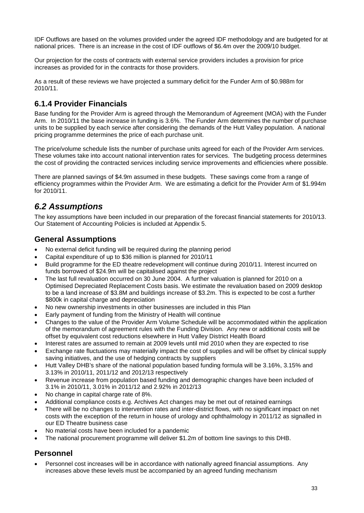IDF Outflows are based on the volumes provided under the agreed IDF methodology and are budgeted for at national prices. There is an increase in the cost of IDF outflows of \$6.4m over the 2009/10 budget.

Our projection for the costs of contracts with external service providers includes a provision for price increases as provided for in the contracts for those providers.

As a result of these reviews we have projected a summary deficit for the Funder Arm of \$0.988m for 2010/11.

## **6.1.4 Provider Financials**

Base funding for the Provider Arm is agreed through the Memorandum of Agreement (MOA) with the Funder Arm. In 2010/11 the base increase in funding is 3.6%. The Funder Arm determines the number of purchase units to be supplied by each service after considering the demands of the Hutt Valley population. A national pricing programme determines the price of each purchase unit.

The price/volume schedule lists the number of purchase units agreed for each of the Provider Arm services. These volumes take into account national intervention rates for services. The budgeting process determines the cost of providing the contracted services including service improvements and efficiencies where possible.

There are planned savings of \$4.9m assumed in these budgets. These savings come from a range of efficiency programmes within the Provider Arm. We are estimating a deficit for the Provider Arm of \$1.994m for 2010/11.

## *6.2 Assumptions*

The key assumptions have been included in our preparation of the forecast financial statements for 2010/13. Our Statement of Accounting Policies is included at Appendix 5.

### **General Assumptions**

- No external deficit funding will be required during the planning period
- Capital expenditure of up to \$36 million is planned for 2010/11
- Build programme for the ED theatre redevelopment will continue during 2010/11. Interest incurred on funds borrowed of \$24.9m will be capitalised against the project
- The last full revaluation occurred on 30 June 2004. A further valuation is planned for 2010 on a Optimised Depreciated Replacement Costs basis. We estimate the revaluation based on 2009 desktop to be a land increase of \$3.8M and buildings increase of \$3.2m. This is expected to be cost a further \$800k in capital charge and depreciation
- No new ownership investments in other businesses are included in this Plan
- Early payment of funding from the Ministry of Health will continue
- Changes to the value of the Provider Arm Volume Schedule will be accommodated within the application of the memorandum of agreement rules with the Funding Division. Any new or additional costs will be offset by equivalent cost reductions elsewhere in Hutt Valley District Health Board
- Interest rates are assumed to remain at 2009 levels until mid 2010 when they are expected to rise
- Exchange rate fluctuations may materially impact the cost of supplies and will be offset by clinical supply saving initiatives, and the use of hedging contracts by suppliers
- Hutt Valley DHB's share of the national population based funding formula will be 3.16%, 3.15% and 3.13% in 2010/11, 2011/12 and 2012/13 respectively
- Revenue increase from population based funding and demographic changes have been included of 3.1% in 2010/11, 3.01% in 2011/12 and 2.92% in 2012/13
- No change in capital charge rate of 8%.
- Additional compliance costs e.g. Archives Act changes may be met out of retained earnings
- There will be no changes to intervention rates and inter-district flows, with no significant impact on net costs with the exception of the return in house of urology and ophthalmology in 2011/12 as signalled in our ED Theatre business case
- No material costs have been included for a pandemic
- The national procurement programme will deliver \$1.2m of bottom line savings to this DHB.

## **Personnel**

 Personnel cost increases will be in accordance with nationally agreed financial assumptions. Any increases above these levels must be accompanied by an agreed funding mechanism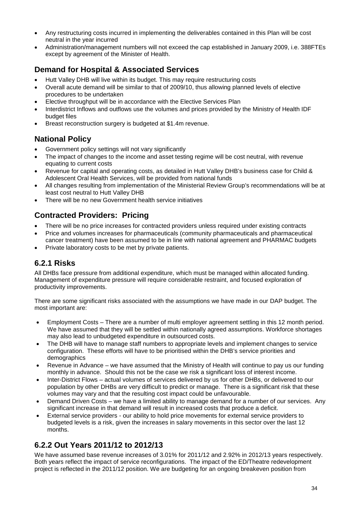- Any restructuring costs incurred in implementing the deliverables contained in this Plan will be cost neutral in the year incurred
- Administration/management numbers will not exceed the cap established in January 2009, i.e. 388FTEs except by agreement of the Minister of Health.

## **Demand for Hospital & Associated Services**

- Hutt Valley DHB will live within its budget. This may require restructuring costs
- Overall acute demand will be similar to that of 2009/10, thus allowing planned levels of elective procedures to be undertaken
- Elective throughput will be in accordance with the Elective Services Plan
- Interdistrict Inflows and outflows use the volumes and prices provided by the Ministry of Health IDF budget files
- Breast reconstruction surgery is budgeted at \$1.4m revenue.

### **National Policy**

- Government policy settings will not vary significantly
- The impact of changes to the income and asset testing regime will be cost neutral, with revenue equating to current costs
- Revenue for capital and operating costs, as detailed in Hutt Valley DHB's business case for Child & Adolescent Oral Health Services, will be provided from national funds
- All changes resulting from implementation of the Ministerial Review Group's recommendations will be at least cost neutral to Hutt Valley DHB
- There will be no new Government health service initiatives

### **Contracted Providers: Pricing**

- There will be no price increases for contracted providers unless required under existing contracts
- Price and volumes increases for pharmaceuticals (community pharmaceuticals and pharmaceutical cancer treatment) have been assumed to be in line with national agreement and PHARMAC budgets
- Private laboratory costs to be met by private patients.

## **6.2.1 Risks**

All DHBs face pressure from additional expenditure, which must be managed within allocated funding. Management of expenditure pressure will require considerable restraint, and focused exploration of productivity improvements.

There are some significant risks associated with the assumptions we have made in our DAP budget. The most important are:

- Employment Costs There are a number of multi employer agreement settling in this 12 month period. We have assumed that they will be settled within nationally agreed assumptions. Workforce shortages may also lead to unbudgeted expenditure in outsourced costs.
- The DHB will have to manage staff numbers to appropriate levels and implement changes to service configuration. These efforts will have to be prioritised within the DHB's service priorities and demographics
- Revenue in Advance we have assumed that the Ministry of Health will continue to pay us our funding monthly in advance. Should this not be the case we risk a significant loss of interest income.
- Inter-District Flows actual volumes of services delivered by us for other DHBs, or delivered to our population by other DHBs are very difficult to predict or manage. There is a significant risk that these volumes may vary and that the resulting cost impact could be unfavourable.
- Demand Driven Costs we have a limited ability to manage demand for a number of our services. Any significant increase in that demand will result in increased costs that produce a deficit.
- External service providers our ability to hold price movements for external service providers to budgeted levels is a risk, given the increases in salary movements in this sector over the last 12 months.

## **6.2.2 Out Years 2011/12 to 2012/13**

We have assumed base revenue increases of 3.01% for 2011/12 and 2.92% in 2012/13 years respectively. Both years reflect the impact of service reconfigurations. The impact of the ED/Theatre redevelopment project is reflected in the 2011/12 position. We are budgeting for an ongoing breakeven position from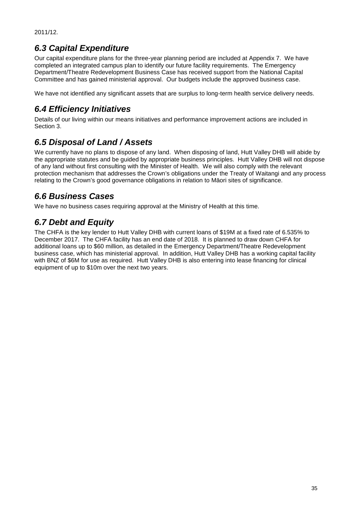2011/12.

## *6.3 Capital Expenditure*

Our capital expenditure plans for the three-year planning period are included at Appendix 7. We have completed an integrated campus plan to identify our future facility requirements. The Emergency Department/Theatre Redevelopment Business Case has received support from the National Capital Committee and has gained ministerial approval. Our budgets include the approved business case.

We have not identified any significant assets that are surplus to long-term health service delivery needs.

## *6.4 Efficiency Initiatives*

Details of our living within our means initiatives and performance improvement actions are included in Section 3.

## *6.5 Disposal of Land / Assets*

We currently have no plans to dispose of any land. When disposing of land, Hutt Valley DHB will abide by the appropriate statutes and be guided by appropriate business principles. Hutt Valley DHB will not dispose of any land without first consulting with the Minister of Health. We will also comply with the relevant protection mechanism that addresses the Crown's obligations under the Treaty of Waitangi and any process relating to the Crown's good governance obligations in relation to M ori sites of significance.

## *6.6 Business Cases*

We have no business cases requiring approval at the Ministry of Health at this time.

## *6.7 Debt and Equity*

The CHFA is the key lender to Hutt Valley DHB with current loans of \$19M at a fixed rate of 6.535% to December 2017. The CHFA facility has an end date of 2018. It is planned to draw down CHFA for additional loans up to \$60 million, as detailed in the Emergency Department/Theatre Redevelopment business case, which has ministerial approval. In addition, Hutt Valley DHB has a working capital facility with BNZ of \$6M for use as required. Hutt Valley DHB is also entering into lease financing for clinical equipment of up to \$10m over the next two years.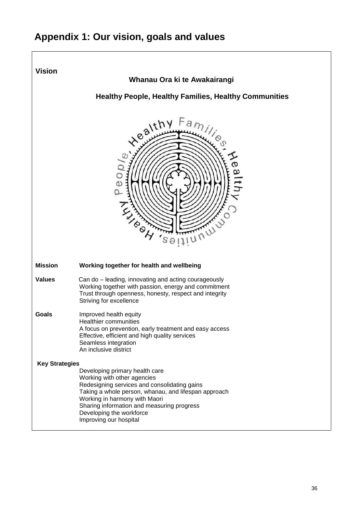## **Appendix 1: Our vision, goals and values**

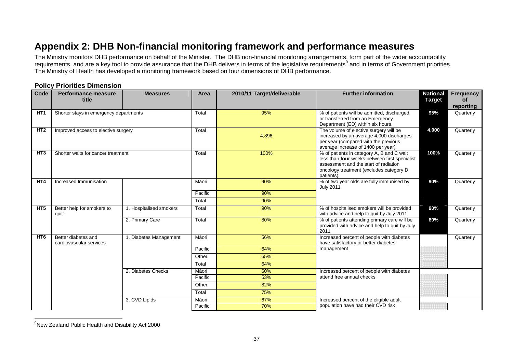## **Appendix 2: DHB Non-financial monitoring framework and performance measures**

The Ministry monitors DHB performance on behalf of the Minister. The DHB non-financial monitoring arrangements, form part of the wider accountability requirements, and are a key tool to provide assurance that the DHB delivers in terms of the legislative requirements<sup>9</sup> and in terms of Government priorities. The Ministry of Health has developed a monitoring framework based on four dimensions of DHB performance.

### **Policy Priorities Dimension**

| Code            | <b>Performance measure</b><br>title            | <b>Measures</b>         | Area    | 2010/11 Target/deliverable | <b>Further information</b>                                                                                                                                                                   | <b>National</b><br><b>Target</b> | <b>Frequency</b><br>οf |
|-----------------|------------------------------------------------|-------------------------|---------|----------------------------|----------------------------------------------------------------------------------------------------------------------------------------------------------------------------------------------|----------------------------------|------------------------|
|                 |                                                |                         |         |                            |                                                                                                                                                                                              |                                  | reporting              |
| HT <sub>1</sub> | Shorter stays in emergency departments         |                         | Total   | 95%                        | % of patients will be admitted, discharged,<br>or transferred from an Emergency<br>Department (ED) within six hours.                                                                         | 95%                              | Quarterly              |
| HT <sub>2</sub> | Improved access to elective surgery            |                         | Total   | 4,896                      | The volume of elective surgery will be<br>increased by an average 4,000 discharges<br>per year (compared with the previous<br>average increase of 1400 per year)                             | 4,000                            | Quarterly              |
| HT <sub>3</sub> | Shorter waits for cancer treatment             |                         | Total   | 100%                       | % of patients in category A, B and C wait<br>less than four weeks between first specialist<br>assessment and the start of radiation<br>oncology treatment (excludes category D<br>patients). | 100%                             | Quarterly              |
| HT <sub>4</sub> | Increased Immunisation                         |                         | M ori   | 90%                        | % of two year olds are fully immunised by<br><b>July 2011</b>                                                                                                                                | 90%                              | Quarterly              |
|                 |                                                |                         | Pacific | 90%                        |                                                                                                                                                                                              |                                  |                        |
|                 |                                                |                         | Total   | 90%                        |                                                                                                                                                                                              |                                  |                        |
| HT <sub>5</sub> | Better help for smokers to<br>quit:            | 1. Hospitalised smokers | Total   | 90%                        | % of hospitalised smokers will be provided<br>with advice and help to quit by July 2011                                                                                                      | 90%                              | Quarterly              |
|                 |                                                | 2. Primary Care         | Total   | 80%                        | % of patients attending primary care will be<br>provided with advice and help to quit by July<br>2011                                                                                        | 80%                              | Quarterly              |
| HT <sub>6</sub> | Better diabetes and<br>cardiovascular services | 1. Diabetes Management  | M ori   | 56%                        | Increased percent of people with diabetes<br>have satisfactory or better diabetes                                                                                                            |                                  | Quarterly              |
|                 |                                                |                         | Pacific | 64%                        | management                                                                                                                                                                                   |                                  |                        |
|                 |                                                |                         | Other   | 65%                        |                                                                                                                                                                                              |                                  |                        |
|                 |                                                |                         | Total   | 64%                        |                                                                                                                                                                                              |                                  |                        |
|                 |                                                | 2. Diabetes Checks      | M ori   | 60%                        | Increased percent of people with diabetes                                                                                                                                                    |                                  |                        |
|                 |                                                |                         | Pacific | 53%                        | attend free annual checks                                                                                                                                                                    |                                  |                        |
|                 |                                                |                         | Other   | 82%                        |                                                                                                                                                                                              |                                  |                        |
|                 |                                                |                         | Total   | 75%                        |                                                                                                                                                                                              |                                  |                        |
|                 |                                                | 3. CVD Lipids           | M ori   | 67%                        | Increased percent of the eligible adult                                                                                                                                                      |                                  |                        |
|                 |                                                |                         | Pacific | 70%                        | population have had their CVD risk                                                                                                                                                           |                                  |                        |

<sup>&</sup>lt;sup>9</sup>New Zealand Public Health and Disability Act 2000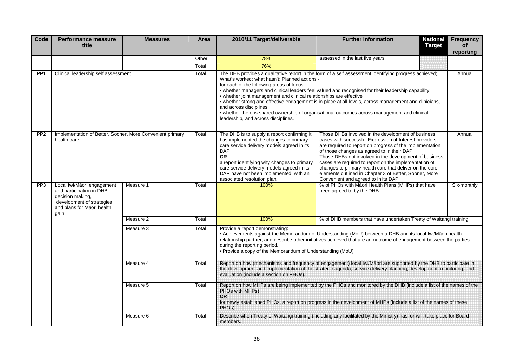| Code                                                                                                                                                                                                                                                                                                                                                                                    | <b>Performance measure</b><br>title                                                                                                           | <b>Measures</b> | Area  | 2010/11 Target/deliverable                                                                                                                                                                                                                                                                                                                                                                                                                                                                                                                                                                                                                                   | <b>Further information</b>                                                                                                                                                                                                                                                                                                                                                                                                                                                                              | <b>National</b><br><b>Frequency</b><br><b>Target</b><br><b>of</b><br>reporting |  |
|-----------------------------------------------------------------------------------------------------------------------------------------------------------------------------------------------------------------------------------------------------------------------------------------------------------------------------------------------------------------------------------------|-----------------------------------------------------------------------------------------------------------------------------------------------|-----------------|-------|--------------------------------------------------------------------------------------------------------------------------------------------------------------------------------------------------------------------------------------------------------------------------------------------------------------------------------------------------------------------------------------------------------------------------------------------------------------------------------------------------------------------------------------------------------------------------------------------------------------------------------------------------------------|---------------------------------------------------------------------------------------------------------------------------------------------------------------------------------------------------------------------------------------------------------------------------------------------------------------------------------------------------------------------------------------------------------------------------------------------------------------------------------------------------------|--------------------------------------------------------------------------------|--|
|                                                                                                                                                                                                                                                                                                                                                                                         |                                                                                                                                               |                 | Other | 78%                                                                                                                                                                                                                                                                                                                                                                                                                                                                                                                                                                                                                                                          | assessed in the last five years                                                                                                                                                                                                                                                                                                                                                                                                                                                                         |                                                                                |  |
|                                                                                                                                                                                                                                                                                                                                                                                         |                                                                                                                                               |                 | Total | 76%                                                                                                                                                                                                                                                                                                                                                                                                                                                                                                                                                                                                                                                          |                                                                                                                                                                                                                                                                                                                                                                                                                                                                                                         |                                                                                |  |
| PP <sub>1</sub>                                                                                                                                                                                                                                                                                                                                                                         | Clinical leadership self assessment                                                                                                           |                 | Total | The DHB provides a qualitative report in the form of a self assessment identifying progress achieved;<br>What's worked; what hasn't; Planned actions -<br>for each of the following areas of focus:<br>. whether managers and clinical leaders feel valued and recognised for their leadership capability<br>• whether joint management and clinical relationships are effective<br>. whether strong and effective engagement is in place at all levels, across management and clinicians,<br>and across disciplines<br>• whether there is shared ownership of organisational outcomes across management and clinical<br>leadership, and across disciplines. |                                                                                                                                                                                                                                                                                                                                                                                                                                                                                                         | Annual                                                                         |  |
| PP <sub>2</sub>                                                                                                                                                                                                                                                                                                                                                                         | Implementation of Better, Sooner, More Convenient primary<br>health care                                                                      |                 | Total | The DHB is to supply a report confirming it<br>has implemented the changes to primary<br>care service delivery models agreed in its<br><b>DAP</b><br><b>OR</b><br>a report identifying why changes to primary<br>care service delivery models agreed in its<br>DAP have not been implemented, with an<br>associated resolution plan.                                                                                                                                                                                                                                                                                                                         | Those DHBs involved in the development of business<br>cases with successful Expression of Interest providers<br>are required to report on progress of the implementation<br>of those changes as agreed to in their DAP.<br>Those DHBs not involved in the development of business<br>cases are required to report on the implementation of<br>changes to primary health care that deliver on the core<br>elements outlined in Chapter 3 of Better, Sooner, More<br>Convenient and agreed to in its DAP. | Annual                                                                         |  |
| PP <sub>3</sub>                                                                                                                                                                                                                                                                                                                                                                         | Local Iwi/M ori engagement<br>and participation in DHB<br>decision making,<br>development of strategies<br>and plans for M ori health<br>gain | Measure 1       | Total | 100%                                                                                                                                                                                                                                                                                                                                                                                                                                                                                                                                                                                                                                                         | % of PHOs with M ori Health Plans (MHPs) that have<br>been agreed to by the DHB                                                                                                                                                                                                                                                                                                                                                                                                                         | Six-monthly                                                                    |  |
|                                                                                                                                                                                                                                                                                                                                                                                         |                                                                                                                                               | Measure 2       | Total | 100%                                                                                                                                                                                                                                                                                                                                                                                                                                                                                                                                                                                                                                                         | % of DHB members that have undertaken Treaty of Waitangi training                                                                                                                                                                                                                                                                                                                                                                                                                                       |                                                                                |  |
| Provide a report demonstrating:<br>Measure 3<br>Total<br>. Achievements against the Memorandum of Understanding (MoU) between a DHB and its local lwi/M ori health<br>relationship partner, and describe other initiatives achieved that are an outcome of engagement between the parties<br>during the reporting period.<br>. Provide a copy of the Memorandum of Understanding (MoU). |                                                                                                                                               |                 |       |                                                                                                                                                                                                                                                                                                                                                                                                                                                                                                                                                                                                                                                              |                                                                                                                                                                                                                                                                                                                                                                                                                                                                                                         |                                                                                |  |
|                                                                                                                                                                                                                                                                                                                                                                                         | Measure 4<br>Measure 5                                                                                                                        |                 | Total | evaluation (include a section on PHOs).                                                                                                                                                                                                                                                                                                                                                                                                                                                                                                                                                                                                                      | Report on how (mechanisms and frequency of engagement) local Iwi/M ori are supported by the DHB to participate in<br>the development and implementation of the strategic agenda, service delivery planning, development, monitoring, and                                                                                                                                                                                                                                                                |                                                                                |  |
|                                                                                                                                                                                                                                                                                                                                                                                         |                                                                                                                                               |                 | Total | PHOs with MHPs)<br>OR.<br>PHO <sub>S</sub> ).                                                                                                                                                                                                                                                                                                                                                                                                                                                                                                                                                                                                                | Report on how MHPs are being implemented by the PHOs and monitored by the DHB (include a list of the names of the<br>for newly established PHOs, a report on progress in the development of MHPs (include a list of the names of these                                                                                                                                                                                                                                                                  |                                                                                |  |
|                                                                                                                                                                                                                                                                                                                                                                                         |                                                                                                                                               | Measure 6       | Total | members.                                                                                                                                                                                                                                                                                                                                                                                                                                                                                                                                                                                                                                                     | Describe when Treaty of Waitangi training (including any facilitated by the Ministry) has, or will, take place for Board                                                                                                                                                                                                                                                                                                                                                                                |                                                                                |  |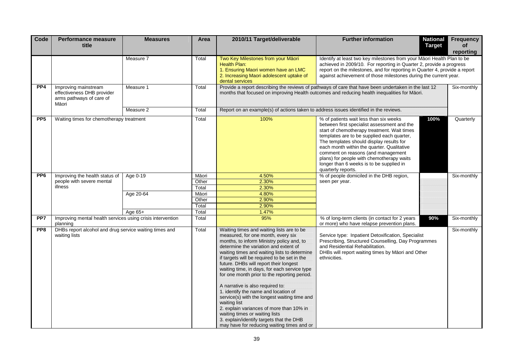| Code                      | <b>Performance measure</b><br>title                                                                                                                                                                                                                                                                                                                                                                                                                                                                                                                                                                                                                                                                                                                                                                                                                                        | <b>Measures</b> | Area                                                                                                                                                           | 2010/11 Target/deliverable                                                                                                                               | <b>Further information</b><br><b>National</b><br><b>Target</b>                                                                                                                                                                                                                                                                                                                                                                            | <b>Frequency</b><br>of<br>reporting |
|---------------------------|----------------------------------------------------------------------------------------------------------------------------------------------------------------------------------------------------------------------------------------------------------------------------------------------------------------------------------------------------------------------------------------------------------------------------------------------------------------------------------------------------------------------------------------------------------------------------------------------------------------------------------------------------------------------------------------------------------------------------------------------------------------------------------------------------------------------------------------------------------------------------|-----------------|----------------------------------------------------------------------------------------------------------------------------------------------------------------|----------------------------------------------------------------------------------------------------------------------------------------------------------|-------------------------------------------------------------------------------------------------------------------------------------------------------------------------------------------------------------------------------------------------------------------------------------------------------------------------------------------------------------------------------------------------------------------------------------------|-------------------------------------|
|                           |                                                                                                                                                                                                                                                                                                                                                                                                                                                                                                                                                                                                                                                                                                                                                                                                                                                                            | Measure 7       | Total                                                                                                                                                          | Two Key Milestones from your M ori<br>Health Plan:<br>1. Ensuring Maori women have an LMC<br>2. Increasing Maori adolescent uptake of<br>dental services | Identify at least two key milestones from your M ori Health Plan to be<br>achieved in 2009/10. For reporting in Quarter 2, provide a progress<br>report on the milestones, and for reporting in Quarter 4, provide a report<br>against achievement of those milestones during the current year.                                                                                                                                           |                                     |
| PP <sub>4</sub>           | Improving mainstream<br>effectiveness DHB provider<br>arms pathways of care of<br>M ori                                                                                                                                                                                                                                                                                                                                                                                                                                                                                                                                                                                                                                                                                                                                                                                    | Measure 1       | Total                                                                                                                                                          |                                                                                                                                                          | Provide a report describing the reviews of pathways of care that have been undertaken in the last 12<br>months that focused on improving Health outcomes and reducing health inequalities for M ori.                                                                                                                                                                                                                                      | Six-monthly                         |
|                           |                                                                                                                                                                                                                                                                                                                                                                                                                                                                                                                                                                                                                                                                                                                                                                                                                                                                            | Measure 2       | Total                                                                                                                                                          | Report on an example(s) of actions taken to address issues identified in the reviews.                                                                    |                                                                                                                                                                                                                                                                                                                                                                                                                                           |                                     |
| PP <sub>5</sub>           | Waiting times for chemotherapy treatment                                                                                                                                                                                                                                                                                                                                                                                                                                                                                                                                                                                                                                                                                                                                                                                                                                   |                 | Total                                                                                                                                                          | 100%                                                                                                                                                     | 100%<br>% of patients wait less than six weeks<br>between first specialist assessment and the<br>start of chemotherapy treatment. Wait times<br>templates are to be supplied each quarter,<br>The templates should display results for<br>each month within the quarter. Qualitative<br>comment on reasons (and management<br>plans) for people with chemotherapy waits<br>longer than 6 weeks is to be supplied in<br>quarterly reports. | Quarterly                           |
| PP <sub>6</sub>           | Improving the health status of                                                                                                                                                                                                                                                                                                                                                                                                                                                                                                                                                                                                                                                                                                                                                                                                                                             | Age 0-19        | M ori                                                                                                                                                          | 4.50%                                                                                                                                                    | % of people domiciled in the DHB region,                                                                                                                                                                                                                                                                                                                                                                                                  | Six-monthly                         |
| people with severe mental |                                                                                                                                                                                                                                                                                                                                                                                                                                                                                                                                                                                                                                                                                                                                                                                                                                                                            | Age 20-64       | Other                                                                                                                                                          | 2.30%                                                                                                                                                    | seen per year.                                                                                                                                                                                                                                                                                                                                                                                                                            |                                     |
|                           | illness                                                                                                                                                                                                                                                                                                                                                                                                                                                                                                                                                                                                                                                                                                                                                                                                                                                                    |                 | Total                                                                                                                                                          | 2.30%                                                                                                                                                    |                                                                                                                                                                                                                                                                                                                                                                                                                                           |                                     |
|                           |                                                                                                                                                                                                                                                                                                                                                                                                                                                                                                                                                                                                                                                                                                                                                                                                                                                                            |                 | M ori<br>Other                                                                                                                                                 | 4.80%<br>2.90%                                                                                                                                           |                                                                                                                                                                                                                                                                                                                                                                                                                                           |                                     |
|                           |                                                                                                                                                                                                                                                                                                                                                                                                                                                                                                                                                                                                                                                                                                                                                                                                                                                                            |                 | Total                                                                                                                                                          | 2.90%                                                                                                                                                    |                                                                                                                                                                                                                                                                                                                                                                                                                                           |                                     |
|                           |                                                                                                                                                                                                                                                                                                                                                                                                                                                                                                                                                                                                                                                                                                                                                                                                                                                                            | Age 65+         | Total                                                                                                                                                          | 1.47%                                                                                                                                                    |                                                                                                                                                                                                                                                                                                                                                                                                                                           |                                     |
| PP <sub>7</sub>           | Improving mental health services using crisis intervention<br>planning                                                                                                                                                                                                                                                                                                                                                                                                                                                                                                                                                                                                                                                                                                                                                                                                     |                 | Total                                                                                                                                                          | 95%                                                                                                                                                      | 90%<br>% of long-term clients (in contact for 2 years<br>or more) who have relapse prevention plans.                                                                                                                                                                                                                                                                                                                                      | Six-monthly                         |
| PP8                       | DHBs report alcohol and drug service waiting times and<br>Waiting times and waiting lists are to be<br>Total<br>measured, for one month, every six<br>waiting lists<br>months, to inform Ministry policy and, to<br>and Residential Rehabilitation.<br>determine the variation and extent of<br>waiting times and waiting lists to determine<br>if targets will be required to be set in the<br>ethnicities.<br>future. DHBs will report their longest<br>waiting time, in days, for each service type<br>for one month prior to the reporting period.<br>A narrative is also required to:<br>1. identify the name and location of<br>service(s) with the longest waiting time and<br>waiting list<br>2. explain variances of more than 10% in<br>waiting times or waiting lists<br>3. explain/identify targets that the DHB<br>may have for reducing waiting times and or |                 | Service type: Inpatient Detoxification, Specialist<br>Prescribing, Structured Counselling, Day Programmes<br>DHBs will report waiting times by M ori and Other | Six-monthly                                                                                                                                              |                                                                                                                                                                                                                                                                                                                                                                                                                                           |                                     |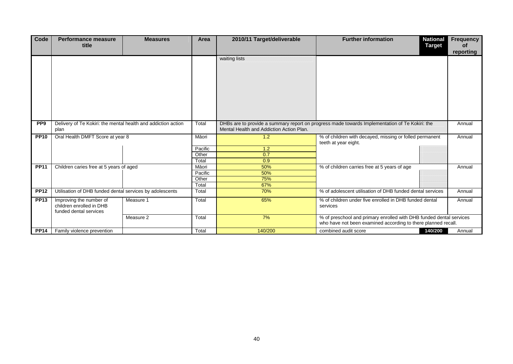| Code            | <b>Performance measure</b><br>title                                           | <b>Measures</b>                  | Area    | 2010/11 Target/deliverable                                                                                                                 | <b>National</b><br><b>Further information</b><br><b>Target</b>                                                                       | Frequency<br><b>of</b><br>reporting |
|-----------------|-------------------------------------------------------------------------------|----------------------------------|---------|--------------------------------------------------------------------------------------------------------------------------------------------|--------------------------------------------------------------------------------------------------------------------------------------|-------------------------------------|
|                 |                                                                               |                                  |         | waiting lists                                                                                                                              |                                                                                                                                      |                                     |
| PP <sub>9</sub> | Delivery of Te Kokiri: the mental health and addiction action<br>plan         |                                  | Total   | DHBs are to provide a summary report on progress made towards Implementation of Te Kokiri: the<br>Mental Health and Addiction Action Plan. |                                                                                                                                      | Annual                              |
| <b>PP10</b>     |                                                                               | Oral Health DMFT Score at year 8 |         | 1.2                                                                                                                                        | % of children with decayed, missing or folled permanent<br>teeth at year eight.                                                      | Annual                              |
|                 |                                                                               |                                  | Pacific | 1.2                                                                                                                                        |                                                                                                                                      |                                     |
|                 |                                                                               |                                  | Other   | 0.7                                                                                                                                        |                                                                                                                                      |                                     |
|                 |                                                                               |                                  | Total   | 0.9                                                                                                                                        |                                                                                                                                      |                                     |
| <b>PP11</b>     | Children caries free at 5 years of aged                                       |                                  | M ori   | 50%                                                                                                                                        | % of children carries free at 5 years of age                                                                                         | Annual                              |
|                 |                                                                               |                                  | Pacific | 50%                                                                                                                                        |                                                                                                                                      |                                     |
|                 |                                                                               |                                  | Other   | 75%                                                                                                                                        |                                                                                                                                      |                                     |
|                 |                                                                               |                                  | Total   | 67%                                                                                                                                        |                                                                                                                                      |                                     |
| <b>PP12</b>     | Utilisation of DHB funded dental services by adolescents                      |                                  | Total   | 70%                                                                                                                                        | % of adolescent utilisation of DHB funded dental services                                                                            | Annual                              |
| <b>PP13</b>     | Improving the number of<br>children enrolled in DHB<br>funded dental services | Measure 1                        | Total   | 65%                                                                                                                                        | % of children under five enrolled in DHB funded dental<br>services                                                                   | Annual                              |
|                 |                                                                               | Measure 2                        | Total   | 7%                                                                                                                                         | % of preschool and primary enrolled with DHB funded dental services<br>who have not been examined according to there planned recall. |                                     |
| <b>PP14</b>     | Family violence prevention                                                    |                                  | Total   | 140/200                                                                                                                                    | 140/200<br>combined audit score                                                                                                      | Annual                              |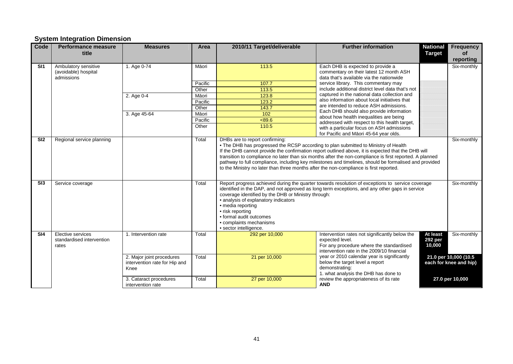### **System Integration Dimension**

| Code | Performance measure<br>title                               | <b>Measures</b>                                                    | Area    | 2010/11 Target/deliverable                                                                                                                                                                                                                                                                                                                                                                                                                                                                                                                               | <b>Further information</b>                                                                                                                                  | <b>National</b><br><b>Target</b>     | <b>Frequency</b><br>οf                          |  |
|------|------------------------------------------------------------|--------------------------------------------------------------------|---------|----------------------------------------------------------------------------------------------------------------------------------------------------------------------------------------------------------------------------------------------------------------------------------------------------------------------------------------------------------------------------------------------------------------------------------------------------------------------------------------------------------------------------------------------------------|-------------------------------------------------------------------------------------------------------------------------------------------------------------|--------------------------------------|-------------------------------------------------|--|
| SI1  | Ambulatory sensitive<br>(avoidable) hospital<br>admissions | 1. Age 0-74                                                        | M ori   | 113.5                                                                                                                                                                                                                                                                                                                                                                                                                                                                                                                                                    | Each DHB is expected to provide a<br>commentary on their latest 12 month ASH<br>data that's available via the nationwide                                    |                                      | reporting<br>Six-monthly                        |  |
|      |                                                            |                                                                    | Pacific | 107.7                                                                                                                                                                                                                                                                                                                                                                                                                                                                                                                                                    | service library. This commentary may                                                                                                                        |                                      |                                                 |  |
|      |                                                            |                                                                    | Other   | 113.5                                                                                                                                                                                                                                                                                                                                                                                                                                                                                                                                                    | include additional district level data that's not                                                                                                           |                                      |                                                 |  |
|      |                                                            | 2. Age 0-4                                                         | M ori   | 123.8                                                                                                                                                                                                                                                                                                                                                                                                                                                                                                                                                    | captured in the national data collection and                                                                                                                |                                      |                                                 |  |
|      |                                                            |                                                                    | Pacific | 123.2                                                                                                                                                                                                                                                                                                                                                                                                                                                                                                                                                    | also information about local initiatives that                                                                                                               |                                      |                                                 |  |
|      |                                                            |                                                                    | Other   | 143.7                                                                                                                                                                                                                                                                                                                                                                                                                                                                                                                                                    | are intended to reduce ASH admissions.                                                                                                                      |                                      |                                                 |  |
|      |                                                            | 3. Age 45-64                                                       | M ori   | $\frac{102}{ }$                                                                                                                                                                                                                                                                                                                                                                                                                                                                                                                                          | Each DHB should also provide information                                                                                                                    |                                      |                                                 |  |
|      |                                                            |                                                                    | Pacific | < 89.6                                                                                                                                                                                                                                                                                                                                                                                                                                                                                                                                                   | about how health inequalities are being                                                                                                                     |                                      |                                                 |  |
|      |                                                            |                                                                    | Other   | 110.5                                                                                                                                                                                                                                                                                                                                                                                                                                                                                                                                                    | addressed with respect to this health target,<br>with a particular focus on ASH admissions<br>for Pacific and M ori 45-64 year olds.                        |                                      |                                                 |  |
| SI2  | Regional service planning                                  |                                                                    | Total   | DHBs are to report confirming:<br>Six-monthly<br>. The DHB has progressed the RCSP according to plan submitted to Ministry of Health<br>If the DHB cannot provide the confirmation report outlined above, it is expected that the DHB will<br>transition to compliance no later than six months after the non-compliance is first reported. A planned<br>pathway to full compliance, including key milestones and timelines, should be formalised and provided<br>to the Ministry no later than three months after the non-compliance is first reported. |                                                                                                                                                             |                                      |                                                 |  |
| SI3  | Service coverage                                           |                                                                    | Total   | Report progress achieved during the quarter towards resolution of exceptions to service coverage<br>Six-monthly<br>identified in the DAP, and not approved as long term exceptions, and any other gaps in service<br>coverage identified by the DHB or Ministry through:<br>• analysis of explanatory indicators<br>• media reporting<br>• risk reporting<br>• formal audit outcomes<br>• complaints mechanisms<br>· sector intelligence.                                                                                                                |                                                                                                                                                             |                                      |                                                 |  |
| SI4  | Elective services<br>standardised intervention<br>rates    | 1. Intervention rate                                               | Total   | 292 per 10,000                                                                                                                                                                                                                                                                                                                                                                                                                                                                                                                                           | Intervention rates not significantly below the<br>expected level.<br>For any procedure where the standardised<br>intervention rate in the 2009/10 financial | At least<br><b>292 per</b><br>10,000 | Six-monthly                                     |  |
|      |                                                            | 2. Major joint procedures<br>intervention rate for Hip and<br>Knee | Total   | 21 per 10,000                                                                                                                                                                                                                                                                                                                                                                                                                                                                                                                                            | year or 2010 calendar year is significantly<br>below the target level a report<br>demonstrating:<br>1. what analysis the DHB has done to                    |                                      | 21.0 per 10,000 (10.5<br>each for knee and hip) |  |
|      |                                                            | 3. Cataract procedures<br>intervention rate                        | Total   | 27 per 10,000                                                                                                                                                                                                                                                                                                                                                                                                                                                                                                                                            | review the appropriateness of its rate<br><b>AND</b>                                                                                                        |                                      | 27.0 per 10,000                                 |  |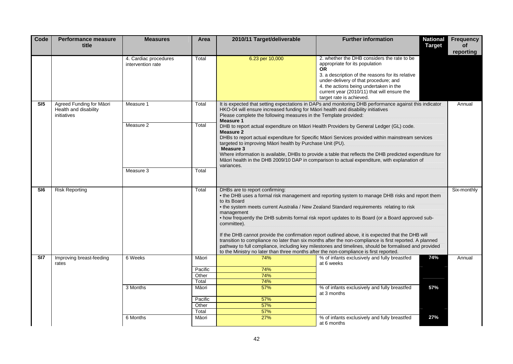| Code            | <b>Performance measure</b><br>title                              | <b>Measures</b>                            | Area             | 2010/11 Target/deliverable                                                                                                                                                                                                                                                                                                                                                                                                                                                                                                                                                                                                                                                                                                                                                                             | <b>Further information</b>                                                                                                                                                                                                                                                                             | <b>National</b><br><b>Target</b> | <b>Frequency</b><br><b>of</b><br>reporting |  |
|-----------------|------------------------------------------------------------------|--------------------------------------------|------------------|--------------------------------------------------------------------------------------------------------------------------------------------------------------------------------------------------------------------------------------------------------------------------------------------------------------------------------------------------------------------------------------------------------------------------------------------------------------------------------------------------------------------------------------------------------------------------------------------------------------------------------------------------------------------------------------------------------------------------------------------------------------------------------------------------------|--------------------------------------------------------------------------------------------------------------------------------------------------------------------------------------------------------------------------------------------------------------------------------------------------------|----------------------------------|--------------------------------------------|--|
|                 |                                                                  | 4. Cardiac procedures<br>intervention rate | Total            | 6.23 per 10,000                                                                                                                                                                                                                                                                                                                                                                                                                                                                                                                                                                                                                                                                                                                                                                                        | 2. whether the DHB considers the rate to be<br>appropriate for its population<br>OR.<br>3. a description of the reasons for its relative<br>under-delivery of that procedure; and<br>4. the actions being undertaken in the<br>current year (2010/11) that will ensure the<br>target rate is achieved. |                                  |                                            |  |
| SI <sub>5</sub> | Agreed Funding for M ori<br>Health and disability<br>initiatives | Measure 1                                  | Total            | It is expected that setting expectations in DAPs and monitoring DHB performance against this indicator<br>HKO-04 will ensure increased funding for M ori health and disability initiatives<br>Please complete the following measures in the Template provided:                                                                                                                                                                                                                                                                                                                                                                                                                                                                                                                                         |                                                                                                                                                                                                                                                                                                        |                                  | Annual                                     |  |
|                 |                                                                  | Measure 2                                  | Total            | Measure 1<br>DHB to report actual expenditure on M ori Health Providers by General Ledger (GL) code.<br><b>Measure 2</b><br>DHBs to report actual expenditure for Specific M ori Services provided within mainstream services<br>targeted to improving M ori health by Purchase Unit (PU).<br><b>Measure 3</b><br>Where information is available, DHBs to provide a table that reflects the DHB predicted expenditure for<br>M ori health in the DHB 2009/10 DAP in comparison to actual expenditure, with explanation of                                                                                                                                                                                                                                                                              |                                                                                                                                                                                                                                                                                                        |                                  |                                            |  |
|                 |                                                                  | Measure 3                                  | Total            | variances.                                                                                                                                                                                                                                                                                                                                                                                                                                                                                                                                                                                                                                                                                                                                                                                             |                                                                                                                                                                                                                                                                                                        |                                  |                                            |  |
| SI6             | <b>Risk Reporting</b>                                            |                                            | Total            | DHBs are to report confirming:<br>. the DHB uses a formal risk management and reporting system to manage DHB risks and report them<br>to its Board<br>• the system meets current Australia / New Zealand Standard requirements relating to risk<br>management<br>. how frequently the DHB submits formal risk report updates to its Board (or a Board approved sub-<br>committee).<br>If the DHB cannot provide the confirmation report outlined above, it is expected that the DHB will<br>transition to compliance no later than six months after the non-compliance is first reported. A planned<br>pathway to full compliance, including key milestones and timelines, should be formalised and provided<br>to the Ministry no later than three months after the non-compliance is first reported. |                                                                                                                                                                                                                                                                                                        |                                  | Six-monthly                                |  |
| SI <sub>7</sub> | Improving breast-feeding<br>rates                                | 6 Weeks                                    | M ori<br>Pacific | 74%<br>74%                                                                                                                                                                                                                                                                                                                                                                                                                                                                                                                                                                                                                                                                                                                                                                                             | % of infants exclusively and fully breastfed<br>at 6 weeks                                                                                                                                                                                                                                             | 74%                              | Annual                                     |  |
|                 |                                                                  |                                            | Other<br>Total   | 74%<br>74%                                                                                                                                                                                                                                                                                                                                                                                                                                                                                                                                                                                                                                                                                                                                                                                             |                                                                                                                                                                                                                                                                                                        |                                  |                                            |  |
|                 |                                                                  | 3 Months                                   | M ori            | 57%                                                                                                                                                                                                                                                                                                                                                                                                                                                                                                                                                                                                                                                                                                                                                                                                    | % of infants exclusively and fully breastfed<br>at 3 months                                                                                                                                                                                                                                            | 57%                              |                                            |  |
|                 |                                                                  |                                            | Pacific          | 57%                                                                                                                                                                                                                                                                                                                                                                                                                                                                                                                                                                                                                                                                                                                                                                                                    |                                                                                                                                                                                                                                                                                                        |                                  |                                            |  |
|                 |                                                                  |                                            | Other            | 57%                                                                                                                                                                                                                                                                                                                                                                                                                                                                                                                                                                                                                                                                                                                                                                                                    |                                                                                                                                                                                                                                                                                                        |                                  |                                            |  |
|                 |                                                                  | 6 Months                                   | Total<br>M ori   | 57%<br>27%                                                                                                                                                                                                                                                                                                                                                                                                                                                                                                                                                                                                                                                                                                                                                                                             | % of infants exclusively and fully breastfed                                                                                                                                                                                                                                                           | 27%                              |                                            |  |
|                 |                                                                  |                                            |                  |                                                                                                                                                                                                                                                                                                                                                                                                                                                                                                                                                                                                                                                                                                                                                                                                        | at 6 months                                                                                                                                                                                                                                                                                            |                                  |                                            |  |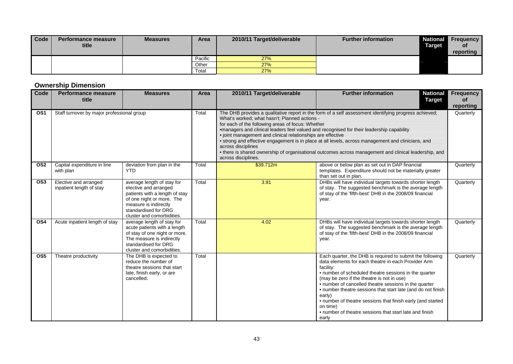| Code | Performance measure<br>title | <b>Measures</b> | <b>Area</b> | 2010/11 Target/deliverable | <b>Further information</b> | <b>Target</b> | <b>National Frequency</b><br>0f<br>reporting |
|------|------------------------------|-----------------|-------------|----------------------------|----------------------------|---------------|----------------------------------------------|
|      |                              |                 | Pacific     | 27%                        |                            |               |                                              |
|      |                              |                 | Other       | 27%                        |                            |               |                                              |
|      |                              |                 | Total       | 27%                        |                            |               |                                              |

### **Ownership Dimension**

| Code             | <b>Performance measure</b><br>title               | <b>Measures</b>                                                                                                                                                                                   | Area  | 2010/11 Target/deliverable                                                                                                                                                                                                                                                                                                                                                                                                                                                                                                                                                                                                          | <b>Further information</b><br><b>National</b><br><b>Target</b>                                                                                                                                                                                                                                                                                                                                                                                                                                                         | <b>Frequency</b><br>оf |  |
|------------------|---------------------------------------------------|---------------------------------------------------------------------------------------------------------------------------------------------------------------------------------------------------|-------|-------------------------------------------------------------------------------------------------------------------------------------------------------------------------------------------------------------------------------------------------------------------------------------------------------------------------------------------------------------------------------------------------------------------------------------------------------------------------------------------------------------------------------------------------------------------------------------------------------------------------------------|------------------------------------------------------------------------------------------------------------------------------------------------------------------------------------------------------------------------------------------------------------------------------------------------------------------------------------------------------------------------------------------------------------------------------------------------------------------------------------------------------------------------|------------------------|--|
|                  |                                                   |                                                                                                                                                                                                   |       |                                                                                                                                                                                                                                                                                                                                                                                                                                                                                                                                                                                                                                     |                                                                                                                                                                                                                                                                                                                                                                                                                                                                                                                        | reporting              |  |
| OS <sub>1</sub>  | Staff turnover by major professional group        |                                                                                                                                                                                                   | Total | The DHB provides a qualitative report in the form of a self assessment identifying progress achieved;<br>What's worked: what hasn't: Planned actions -<br>for each of the following areas of focus: Whether<br>•managers and clinical leaders feel valued and recognised for their leadership capability<br>· joint management and clinical relationships are effective<br>• strong and effective engagement is in place at all levels, across management and clinicians, and<br>across disciplines<br>• there is shared ownership of organisational outcomes across management and clinical leadership, and<br>across disciplines. |                                                                                                                                                                                                                                                                                                                                                                                                                                                                                                                        |                        |  |
| OS <sub>2</sub>  | Capital expenditure in line<br>with plan          | deviation from plan in the<br><b>YTD</b>                                                                                                                                                          | Total | \$39.712m                                                                                                                                                                                                                                                                                                                                                                                                                                                                                                                                                                                                                           | above or below plan as set out in DAP financial<br>templates. Expenditure should not be materially greater<br>than set out in plan.                                                                                                                                                                                                                                                                                                                                                                                    | Quarterly              |  |
| OS <sub>3</sub>  | Elective and arranged<br>inpatient length of stay | average length of stay for<br>elective and arranged<br>patients with a length of stay<br>of one night or more. The<br>measure is indirectly<br>standardised for DRG<br>cluster and comorbidities. | Total | 3.91                                                                                                                                                                                                                                                                                                                                                                                                                                                                                                                                                                                                                                | DHBs will have individual targets towards shorter length<br>of stay. The suggested benchmark is the average length<br>of stay of the 'fifth-best' DHB in the 2008/09 financial<br>year.                                                                                                                                                                                                                                                                                                                                | Quarterly              |  |
| OS <sub>4</sub>  | Acute inpatient length of stay                    | average length of stay for<br>acute patients with a length<br>of stay of one night or more.<br>The measure is indirectly<br>standardised for DRG<br>cluster and comorbidities.                    | Total | 4.02                                                                                                                                                                                                                                                                                                                                                                                                                                                                                                                                                                                                                                | DHBs will have individual targets towards shorter length<br>of stay. The suggested benchmark is the average length<br>of stay of the 'fifth-best' DHB in the 2008/09 financial<br>year.                                                                                                                                                                                                                                                                                                                                | Quarterly              |  |
| $\overline{OS5}$ | Theatre productivity                              | The DHB is expected to<br>reduce the number of<br>theatre sessions that start<br>late, finish early, or are<br>cancelled.                                                                         | Total |                                                                                                                                                                                                                                                                                                                                                                                                                                                                                                                                                                                                                                     | Each quarter, the DHB is required to submit the following<br>data elements for each theatre in each Provider Arm<br>facility:<br>• number of scheduled theatre sessions in the quarter<br>(may be zero if the theatre is not in use)<br>• number of cancelled theatre sessions in the quarter<br>• number theatre sessions that start late (and do not finish<br>early)<br>• number of theatre sessions that finish early (and started<br>on time)<br>• number of theatre sessions that start late and finish<br>early | Quarterly              |  |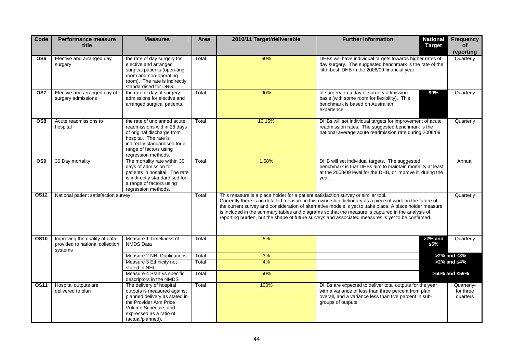| Code        | <b>Performance measure</b><br>title                                         | <b>Measures</b>                                                                                                                                                                                     | Area           | 2010/11 Target/deliverable                                                        | <b>Further information</b><br><b>National</b><br><b>Target</b>                                                                                                                                                                                                                                                                                                                                                                | <b>Frequency</b><br><b>of</b><br>reporting |
|-------------|-----------------------------------------------------------------------------|-----------------------------------------------------------------------------------------------------------------------------------------------------------------------------------------------------|----------------|-----------------------------------------------------------------------------------|-------------------------------------------------------------------------------------------------------------------------------------------------------------------------------------------------------------------------------------------------------------------------------------------------------------------------------------------------------------------------------------------------------------------------------|--------------------------------------------|
| OS6         | Elective and arranged day<br>surgery                                        | the rate of day surgery for<br>elective and arranged<br>surgical patients (operating<br>room and non-operating<br>room). The rate is indirectly<br>standardised for DRG.                            | Total          | 60%                                                                               | DHBs will have individual targets towards higher rates of<br>day surgery. The suggested benchmark is the rate of the<br>'fifth-best' DHB in the 2008/09 financial year.                                                                                                                                                                                                                                                       | Quarterly                                  |
| OS7         | Elective and arranged day of<br>surgery admissions                          | the rate of day of surgery<br>admissions for elective and<br>arranged surgical patients.                                                                                                            | Total          | 90%                                                                               | of surgery on a day of surgery admission<br>90%<br>basis (with some room for flexibility). This<br>benchmark is based on Australian<br>experience.                                                                                                                                                                                                                                                                            | Quarterly                                  |
| OS8         | Acute readmissions to<br>hospital                                           | the rate of unplanned acute<br>readmissions within 28 days<br>of original discharge from<br>hospital. The rate is<br>indirectly standardised for a<br>range of factors using<br>regression methods. | Total          | 10.15%                                                                            | DHBs will set individual targets for improvement of acute<br>readmission rates. The suggested benchmark is the<br>national average acute readmission rate during 2008/09.                                                                                                                                                                                                                                                     | Quarterly                                  |
| OS9         | 30 Day mortality                                                            | The mortality rate within 30<br>days of admission for<br>patients in hospital. The rate<br>is indirectly standardised for<br>a range of factors using<br>regression methods.                        | Total          | 1.58%                                                                             | DHB will set individual targets. The suggested<br>benchmark is that DHBs aim to maintain mortality at least<br>at the 2008/09 level for the DHB, or improve it, during the<br>year.                                                                                                                                                                                                                                           | Annual                                     |
| <b>OS12</b> | National patient satisfaction survey                                        |                                                                                                                                                                                                     | Total          | This measure is a place holder for a patient satisfaction survey or similar tool. | Currently there is no detailed measure in this ownership dictionary as a piece of work on the future of<br>the current survey and consideration of alternative models is yet to .take place. A place holder measure<br>is included in the summary tables and diagrams so that the measure is captured in the analysis of<br>reporting burden, but the shape of future surveys and associated measures is yet to be confirmed. | Quarterly                                  |
| <b>OS10</b> | Improving the quality of data<br>provided to national collection<br>systems | Measure 1 Timeliness of<br><b>NMDS Data</b>                                                                                                                                                         | Total          | 5%                                                                                | $>2\%$ and<br>5%                                                                                                                                                                                                                                                                                                                                                                                                              | Quarterly                                  |
|             |                                                                             | Measure 2 NHI Duplications<br>Measure 3 Ethnicity not<br>stated in NHI                                                                                                                              | Total<br>Total | 3%<br>4%                                                                          |                                                                                                                                                                                                                                                                                                                                                                                                                               | $>2\%$ and $3\%$<br>$>2\%$ and $4\%$       |
|             |                                                                             | Measure 4 Start vs specific<br>descriptors in the NMDS                                                                                                                                              | Total          | 50%                                                                               |                                                                                                                                                                                                                                                                                                                                                                                                                               | >50% and 59%                               |
| <b>OS11</b> | Hospital outputs are<br>delivered to plan                                   | The delivery of hospital<br>outputs is measured against<br>planned delivery as stated in<br>the Provider Arm Price<br>Volume Schedule, and<br>expressed as a ratio of<br>(actual/planned).          | Total          | 100%                                                                              | DHBs are expected to deliver total outputs for the year<br>with a variance of less than three percent from plan<br>overall, and a variance less than five percent in sub-<br>groups of outputs.                                                                                                                                                                                                                               | Quarterly-<br>for three<br>quarters        |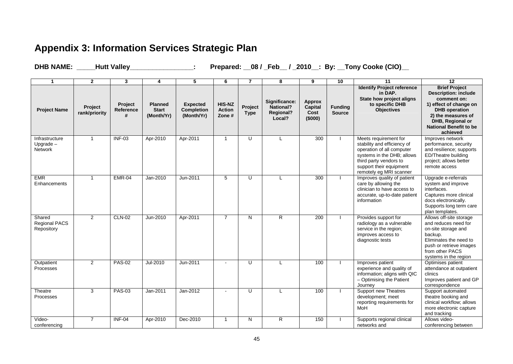## **Appendix 3: Information Services Strategic Plan**

**DHB NAME: \_\_\_\_\_Hutt Valley\_\_\_\_\_\_\_\_\_\_\_\_\_\_\_\_\_: Prepared: \_\_08 / \_Feb\_\_ / \_2010\_\_: By: \_\_Tony Cooke (CIO)\_\_**

 $\overline{a}$  and  $\overline{a}$  are the contract of  $\overline{a}$  and  $\overline{a}$  are the contract of  $\overline{a}$ 

|                                          | 2                        | 3                         |                                              | 5.                                          | 6                                       | 7                      | 8                                                               | 9                                                  | 10                              | 11                                                                                                                                                                                              | 12                                                                                                                                                                                                          |
|------------------------------------------|--------------------------|---------------------------|----------------------------------------------|---------------------------------------------|-----------------------------------------|------------------------|-----------------------------------------------------------------|----------------------------------------------------|---------------------------------|-------------------------------------------------------------------------------------------------------------------------------------------------------------------------------------------------|-------------------------------------------------------------------------------------------------------------------------------------------------------------------------------------------------------------|
| <b>Project Name</b>                      | Project<br>rank/priority | Project<br>Reference<br># | <b>Planned</b><br><b>Start</b><br>(Month/Yr) | <b>Expected</b><br>Completion<br>(Month/Yr) | <b>HIS-NZ</b><br><b>Action</b><br>Zone# | Project<br><b>Type</b> | Significance:<br><b>National?</b><br><b>Regional?</b><br>Local? | <b>Approx</b><br><b>Capital</b><br>Cost<br>(\$000) | <b>Funding</b><br><b>Source</b> | <b>Identify Project reference</b><br>in DAP.<br>State how project aligns<br>to specific DHB<br><b>Objectives</b>                                                                                | <b>Brief Project</b><br><b>Description: include</b><br>comment on:<br>1) effect of change on<br><b>DHB</b> operation<br>2) the measures of<br>DHB, Regional or<br><b>National Benefit to be</b><br>achieved |
| Infrastructure<br>$Upgrade -$<br>Network | 1                        | $INF-03$                  | Apr-2010                                     | Apr-2011                                    | $\mathbf{1}$                            | U                      | $\mathbf{L}$                                                    | $\overline{300}$                                   |                                 | Meets requirement for<br>stability and efficiency of<br>operation of all computer<br>systems in the DHB; allows<br>third party vendors to<br>support their equipment<br>remotely eg MRI scanner | Improves network<br>performance, security<br>and resilience; supports<br>ED/Theatre building<br>project; allows better<br>remote access                                                                     |
| <b>EMR</b><br>Enhancements               | $\mathbf{1}$             | <b>EMR-04</b>             | Jan-2010                                     | Jun-2011                                    | 5                                       | U                      | L                                                               | 300                                                |                                 | Improves quality of patient<br>care by allowing the<br>clinician to have access to<br>accurate, up-to-date patient<br>information                                                               | Upgrade e-referrals<br>system and improve<br>interfaces.<br>Captures more clinical<br>docs electronically.<br>Supports long term care<br>plan templates.                                                    |
| Shared<br>Regional PACS<br>Repository    | $\overline{2}$           | <b>CLN-02</b>             | Jun-2010                                     | Apr-2011                                    | $\overline{7}$                          | N                      | $\overline{R}$                                                  | 200                                                |                                 | Provides support for<br>radiology as a vulnerable<br>service in the region;<br>improves access to<br>diagnostic tests                                                                           | Allows off-site storage<br>and reduces need for<br>on-site storage and<br>backup.<br>Eliminates the need to<br>push or retrieve images<br>from other PACS<br>systems in the region                          |
| Outpatient<br>Processes                  | $\overline{2}$           | <b>PAS-02</b>             | Jul-2010                                     | Jun-2011                                    |                                         | U                      | L                                                               | 100                                                |                                 | Improves patient<br>experience and quality of<br>information; aligns with QIC<br>- Optimising the Patient<br>Journey                                                                            | Optimises patient<br>attendance at outpatient<br>clinics<br>Improves patient and GP<br>correspondence                                                                                                       |
| Theatre<br>Processes                     | 3                        | <b>PAS-03</b>             | Jan-2011                                     | Jan-2012                                    | $\blacksquare$                          | U                      | L                                                               | 100                                                |                                 | Support new Theatres<br>development; meet<br>reporting requirements for<br>MoH                                                                                                                  | Support automated<br>theatre booking and<br>clinical workflow; allows<br>more electronic capture<br>and tracking                                                                                            |
| Video-<br>conferencing                   | $\overline{7}$           | <b>INF-04</b>             | Apr-2010                                     | Dec-2010                                    | $\mathbf{1}$                            | N                      | R                                                               | 150                                                |                                 | Supports regional clinical<br>networks and                                                                                                                                                      | Allows video-<br>conferencing between                                                                                                                                                                       |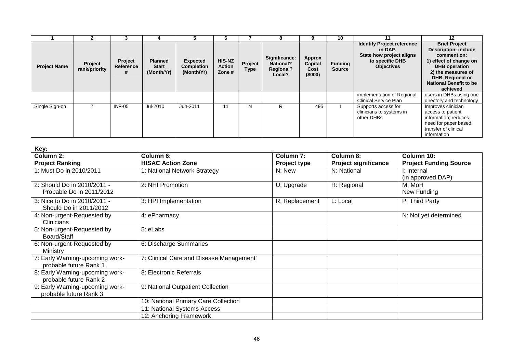|                     |                          |                           |                                              |                                                    |                                  |                 |                                                                 |                                             | 10                              |                                                                                                                  | 12                                                                                                                                                                                                                 |
|---------------------|--------------------------|---------------------------|----------------------------------------------|----------------------------------------------------|----------------------------------|-----------------|-----------------------------------------------------------------|---------------------------------------------|---------------------------------|------------------------------------------------------------------------------------------------------------------|--------------------------------------------------------------------------------------------------------------------------------------------------------------------------------------------------------------------|
| <b>Project Name</b> | Project<br>rank/priority | Project<br>Reference<br># | <b>Planned</b><br><b>Start</b><br>(Month/Yr) | <b>Expected</b><br><b>Completion</b><br>(Month/Yr) | HIS-NZ<br><b>Action</b><br>Zone# | Project<br>Type | Significance:<br><b>National?</b><br><b>Regional?</b><br>Local? | <b>Approx</b><br>Capital<br>Cost<br>(\$000) | <b>Funding</b><br><b>Source</b> | <b>Identify Project reference</b><br>in DAP.<br>State how project aligns<br>to specific DHB<br><b>Objectives</b> | <b>Brief Project</b><br><b>Description: include</b><br>comment on:<br>1) effect of change on<br><b>DHB</b> operation<br>2) the measures of<br><b>DHB, Regional or</b><br><b>National Benefit to be</b><br>achieved |
|                     |                          |                           |                                              |                                                    |                                  |                 |                                                                 |                                             |                                 | implementation of Regional<br><b>Clinical Service Plan</b>                                                       | users in DHBs using one<br>directory and technology                                                                                                                                                                |
| Single Sign-on      |                          | $INF-05$                  | Jul-2010                                     | Jun-2011                                           | 11                               | N               | R                                                               | 495                                         |                                 | Supports access for<br>clinicians to systems in<br>other DHBs                                                    | Improves clinician<br>access to patient<br>information; reduces<br>need for paper based<br>transfer of clinical<br>information                                                                                     |

| Key:                                                      |                                          |                                             |                                          |                                             |
|-----------------------------------------------------------|------------------------------------------|---------------------------------------------|------------------------------------------|---------------------------------------------|
| Column 2:<br><b>Project Ranking</b>                       | Column 6:<br><b>HISAC Action Zone</b>    | Column <sub>7:</sub><br><b>Project type</b> | Column 8:<br><b>Project significance</b> | Column 10:<br><b>Project Funding Source</b> |
| 1: Must Do in 2010/2011                                   | 1: National Network Strategy             | N: New                                      | N: National                              | I: Internal<br>(in approved DAP)            |
| 2: Should Do in 2010/2011 -<br>Probable Do in 2011/2012   | 2: NHI Promotion                         | U: Upgrade                                  | R: Regional                              | M: MoH<br>New Funding                       |
| 3: Nice to Do in 2010/2011 -<br>Should Do in 2011/2012    | 3: HPI Implementation                    | R: Replacement                              | L: Local                                 | P: Third Party                              |
| 4: Non-urgent-Requested by<br>Clinicians                  | 4: ePharmacy                             |                                             |                                          | N: Not yet determined                       |
| 5: Non-urgent-Requested by<br>Board/Staff                 | 5: eLabs                                 |                                             |                                          |                                             |
| 6: Non-urgent-Requested by<br>Ministry                    | 6: Discharge Summaries                   |                                             |                                          |                                             |
| 7: Early Warning-upcoming work-<br>probable future Rank 1 | 7: Clinical Care and Disease Management' |                                             |                                          |                                             |
| 8: Early Warning-upcoming work-<br>probable future Rank 2 | 8: Electronic Referrals                  |                                             |                                          |                                             |
| 9: Early Warning-upcoming work-<br>probable future Rank 3 | 9: National Outpatient Collection        |                                             |                                          |                                             |
|                                                           | 10: National Primary Care Collection     |                                             |                                          |                                             |
|                                                           | 11: National Systems Access              |                                             |                                          |                                             |
|                                                           | 12: Anchoring Framework                  |                                             |                                          |                                             |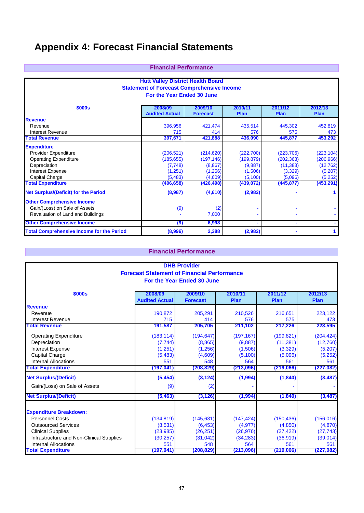## **Appendix 4: Forecast Financial Statements**

| <b>Financial Performance</b> |
|------------------------------|
|------------------------------|

| <b>Hutt Valley District Health Board</b><br><b>Statement of Forecast Comprehensive Income</b><br>For the Year Ended 30 June |                                  |                            |                        |                        |                 |  |  |  |
|-----------------------------------------------------------------------------------------------------------------------------|----------------------------------|----------------------------|------------------------|------------------------|-----------------|--|--|--|
| \$000s                                                                                                                      | 2008/09<br><b>Audited Actual</b> | 2009/10<br><b>Forecast</b> | 2010/11<br><b>Plan</b> | 2011/12<br><b>Plan</b> | 2012/13<br>Plan |  |  |  |
| <b>Revenue</b>                                                                                                              |                                  |                            |                        |                        |                 |  |  |  |
| Revenue                                                                                                                     | 396,956                          | 421,474                    | 435,514                | 445,302                | 452,819         |  |  |  |
| <b>Interest Revenue</b>                                                                                                     | 715                              | 414                        | 576                    | 575                    | 473             |  |  |  |
| <b>Total Revenue</b>                                                                                                        | 397,671                          | 421,888                    | 436,090                | 445,877                | 453,292         |  |  |  |
| <b>Expenditure</b>                                                                                                          |                                  |                            |                        |                        |                 |  |  |  |
| Provider Expenditure                                                                                                        | (206, 521)                       | (214, 620)                 | (222, 700)             | (223, 706)             | (223, 104)      |  |  |  |
| <b>Operating Expenditure</b>                                                                                                | (185, 655)                       | (197, 146)                 | (199, 879)             | (202, 363)             | (206, 966)      |  |  |  |
| Depreciation                                                                                                                | (7,748)                          | (8, 867)                   | (9,887)                | (11, 383)              | (12, 762)       |  |  |  |
| <b>Interest Expense</b>                                                                                                     | (1,251)                          | (1,256)                    | (1,506)                | (3,329)                | (5,207)         |  |  |  |
| Capital Charge                                                                                                              | (5, 483)                         | (4,609)                    | (5, 100)               | (5,096)                | (5,252)         |  |  |  |
| <b>Total Expenditure</b>                                                                                                    | (406, 658)                       | (426, 498)                 | (439,072)              | (445, 877)             | (453, 291)      |  |  |  |
| <b>Net Surplus/(Deficit) for the Period</b>                                                                                 | (8,987)                          | (4,610)                    | (2,982)                |                        |                 |  |  |  |
| <b>Other Comprehensive Income</b>                                                                                           |                                  |                            |                        |                        |                 |  |  |  |
| Gain/(Loss) on Sale of Assets                                                                                               | (9)                              | (2)                        |                        |                        |                 |  |  |  |
| Revaluation of Land and Buildings                                                                                           |                                  | 7,000                      |                        |                        |                 |  |  |  |
| <b>Other Comprehensive Income</b>                                                                                           | (9)                              | 6,998                      |                        |                        |                 |  |  |  |
| <b>Total Comprehensive Income for the Period</b>                                                                            | (8,996)                          | 2,388                      | (2,982)                |                        |                 |  |  |  |

### **Financial Performance**

|                                          |                                                    | <b>DHB Provider</b> |            |            |            |  |  |  |
|------------------------------------------|----------------------------------------------------|---------------------|------------|------------|------------|--|--|--|
|                                          | <b>Forecast Statement of Financial Performance</b> |                     |            |            |            |  |  |  |
| For the Year Ended 30 June               |                                                    |                     |            |            |            |  |  |  |
| <b>\$000s</b>                            | 2008/09                                            | 2009/10             | 2010/11    | 2011/12    | 2012/13    |  |  |  |
|                                          | <b>Audited Actual</b>                              | <b>Forecast</b>     | Plan       | Plan       | Plan       |  |  |  |
| <b>Revenue</b>                           |                                                    |                     |            |            |            |  |  |  |
| Revenue                                  | 190.872                                            | 205.291             | 210,526    | 216.651    | 223,122    |  |  |  |
| <b>Interest Revenue</b>                  | 715                                                | 414                 | 576        | 575        | 473        |  |  |  |
| <b>Total Revenue</b>                     | 191,587                                            | 205,705             | 211,102    | 217,226    | 223,595    |  |  |  |
| <b>Operating Expenditure</b>             | (183, 114)                                         | (194, 647)          | (197, 167) | (199, 821) | (204, 424) |  |  |  |
| Depreciation                             | (7, 744)                                           | (8,865)             | (9,887)    | (11, 381)  | (12,760)   |  |  |  |
| Interest Expense                         | (1,251)                                            | (1,256)             | (1,506)    | (3,329)    | (5,207)    |  |  |  |
| Capital Charge                           | (5, 483)                                           | (4,609)             | (5, 100)   | (5,096)    | (5,252)    |  |  |  |
| <b>Internal Allocations</b>              | 551                                                | 548                 | 564        | 561        | 561        |  |  |  |
| <b>Total Expenditure</b>                 | (197, 041)                                         | (208, 829)          | (213,096)  | (219,066)  | (227, 082) |  |  |  |
| <b>Net Surplus/(Deficit)</b>             | (5, 454)                                           | (3, 124)            | (1,994)    | (1, 840)   | (3, 487)   |  |  |  |
| Gain/(Loss) on Sale of Assets            | (9)                                                | (2)                 |            |            |            |  |  |  |
| <b>Net Surplus/(Deficit)</b>             | (5, 463)                                           | (3, 126)            | (1,994)    | (1, 840)   | (3, 487)   |  |  |  |
| <b>Expenditure Breakdown:</b>            |                                                    |                     |            |            |            |  |  |  |
| <b>Personnel Costs</b>                   | (134, 819)                                         | (145, 631)          | (147, 424) | (150, 436) | (156, 016) |  |  |  |
| <b>Outsourced Services</b>               | (8,531)                                            | (6, 453)            | (4, 977)   | (4,850)    | (4,870)    |  |  |  |
| <b>Clinical Supplies</b>                 | (23, 985)                                          | (26, 251)           | (26, 976)  | (27, 422)  | (27, 743)  |  |  |  |
| Infrastructure and Non-Clinical Supplies | (30, 257)                                          | (31,042)            | (34, 283)  | (36, 919)  | (39, 014)  |  |  |  |
| <b>Internal Allocations</b>              | 551                                                | 548                 | 564        | 561        | 561        |  |  |  |
| <b>Total Expenditure</b>                 | (197,041)                                          | (208, 829)          | (213,096)  | (219,066)  | (227, 082) |  |  |  |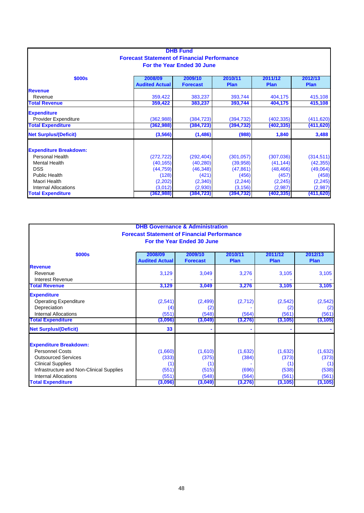|                                                               |                                                    | <b>DHB Fund</b>            |            |             |             |  |  |  |  |
|---------------------------------------------------------------|----------------------------------------------------|----------------------------|------------|-------------|-------------|--|--|--|--|
|                                                               | <b>Forecast Statement of Financial Performance</b> |                            |            |             |             |  |  |  |  |
|                                                               |                                                    | For the Year Ended 30 June |            |             |             |  |  |  |  |
| \$000s<br>2009/10<br>2012/13<br>2008/09<br>2010/11<br>2011/12 |                                                    |                            |            |             |             |  |  |  |  |
|                                                               | <b>Audited Actual</b>                              | <b>Forecast</b>            | Plan       | <b>Plan</b> | <b>Plan</b> |  |  |  |  |
| <b>Revenue</b>                                                |                                                    |                            |            |             |             |  |  |  |  |
| Revenue                                                       | 359,422                                            | 383,237                    | 393,744    | 404,175     | 415,108     |  |  |  |  |
| <b>Total Revenue</b>                                          | 359,422                                            | 383,237                    | 393,744    | 404,175     | 415,108     |  |  |  |  |
| <b>Expenditure</b>                                            |                                                    |                            |            |             |             |  |  |  |  |
| Provider Expenditure                                          | (362,988)                                          | (384, 723)                 | (394, 732) | (402, 335)  | (411, 620)  |  |  |  |  |
| <b>Total Expenditure</b>                                      | (362,988)                                          | (384,723)                  | (394, 732) | (402,335)   | (411, 620)  |  |  |  |  |
| <b>Net Surplus/(Deficit)</b>                                  | (3,566)                                            | (1,486)                    | (988)      | 1,840       | 3,488       |  |  |  |  |
| <b>Expenditure Breakdown:</b>                                 |                                                    |                            |            |             |             |  |  |  |  |
| <b>Personal Health</b>                                        | (272, 722)                                         | (292, 404)                 | (301, 057) | (307,036)   | (314, 511)  |  |  |  |  |
| <b>Mental Health</b>                                          | (40, 165)                                          | (40, 280)                  | (39, 958)  | (41, 144)   | (42, 355)   |  |  |  |  |
| <b>DSS</b>                                                    | (44, 759)                                          | (46, 348)                  | (47, 861)  | (48, 466)   | (49,064)    |  |  |  |  |
| <b>Public Health</b>                                          | (128)                                              | (421)                      | (456)      | (457)       | (458)       |  |  |  |  |
| Maori Health                                                  | (2,202)                                            | (2,340)                    | (2, 244)   | (2, 245)    | (2, 245)    |  |  |  |  |
| <b>Internal Allocations</b>                                   | (3,012)                                            | (2,930)                    | (3, 156)   | (2,987)     | (2,987)     |  |  |  |  |
| <b>Total Expenditure</b>                                      | (362, 988)                                         | (384,723)                  | (394, 732) | (402,335)   | (411, 620)  |  |  |  |  |

| <b>DHB Governance &amp; Administration</b><br><b>Forecast Statement of Financial Performance</b><br>For the Year Ended 30 June                                                        |                                           |                                           |                                    |                                           |                                           |  |  |  |
|---------------------------------------------------------------------------------------------------------------------------------------------------------------------------------------|-------------------------------------------|-------------------------------------------|------------------------------------|-------------------------------------------|-------------------------------------------|--|--|--|
| \$000s                                                                                                                                                                                | 2008/09<br><b>Audited Actual</b>          | 2009/10<br><b>Forecast</b>                | 2010/11<br><b>Plan</b>             | 2011/12<br><b>Plan</b>                    | 2012/13<br><b>Plan</b>                    |  |  |  |
| <b>Revenue</b><br>Revenue<br>Interest Revenue                                                                                                                                         | 3,129                                     | 3,049                                     | 3,276                              | 3,105                                     | 3,105                                     |  |  |  |
| <b>Total Revenue</b>                                                                                                                                                                  | 3,129                                     | 3,049                                     | 3,276                              | 3,105                                     | 3,105                                     |  |  |  |
| <b>Expenditure</b><br><b>Operating Expenditure</b><br>Depreciation<br><b>Internal Allocations</b><br><b>Total Expenditure</b>                                                         | (2,541)<br>(4)<br>(551)<br>(3,096)        | (2, 499)<br>(2)<br>(548)<br>(3,049)       | (2,712)<br>(564)<br>(3, 276)       | (2,542)<br>(2)<br>(561)<br>(3, 105)       | (2, 542)<br>(2)<br>(561)<br>(3, 105)      |  |  |  |
| <b>Net Surplus/(Deficit)</b>                                                                                                                                                          | 33                                        |                                           |                                    |                                           |                                           |  |  |  |
| <b>Expenditure Breakdown:</b><br><b>Personnel Costs</b><br><b>Outsourced Services</b><br><b>Clinical Supplies</b><br>Infrastructure and Non-Clinical Supplies<br>Internal Allocations | (1,660)<br>(333)<br>(1)<br>(551)<br>(551) | (1,610)<br>(375)<br>(1)<br>(515)<br>(548) | (1,632)<br>(384)<br>(696)<br>(564) | (1,632)<br>(373)<br>(1)<br>(538)<br>(561) | (1,632)<br>(373)<br>(1)<br>(538)<br>(561) |  |  |  |
| <b>Total Expenditure</b>                                                                                                                                                              | (3,096)                                   | (3,049)                                   | (3, 276)                           | (3, 105)                                  | (3,105)                                   |  |  |  |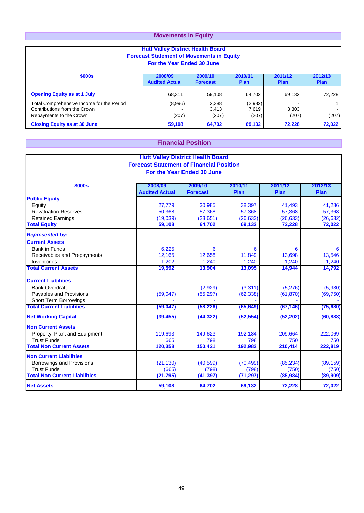### **Movements in Equity**

| <b>Hutt Valley District Health Board</b><br><b>Forecast Statement of Movements in Equity</b><br>For the Year Ended 30 June |                                  |                            |                           |                        |                        |  |  |  |
|----------------------------------------------------------------------------------------------------------------------------|----------------------------------|----------------------------|---------------------------|------------------------|------------------------|--|--|--|
| \$000s                                                                                                                     | 2008/09<br><b>Audited Actual</b> | 2009/10<br><b>Forecast</b> | 2010/11<br><b>Plan</b>    | 2011/12<br><b>Plan</b> | 2012/13<br><b>Plan</b> |  |  |  |
| <b>Opening Equity as at 1 July</b>                                                                                         | 68,311                           | 59,108                     | 64,702                    | 69.132                 | 72,228                 |  |  |  |
| Total Comprehensive Income for the Period<br>Contributions from the Crown<br>Repayments to the Crown                       | (8,996)<br>(207)                 | 2,388<br>3,413<br>(207)    | (2,982)<br>7,619<br>(207) | 3,303<br>(207)         | (207)                  |  |  |  |
| <b>Closing Equity as at 30 June</b>                                                                                        | 59,108                           | 64,702                     | 69,132                    | 72,228                 | 72.022                 |  |  |  |

### **Financial Position**

| <b>Hutt Valley District Health Board</b> |                                                 |                            |           |           |           |
|------------------------------------------|-------------------------------------------------|----------------------------|-----------|-----------|-----------|
|                                          | <b>Forecast Statement of Financial Position</b> |                            |           |           |           |
|                                          |                                                 | For the Year Ended 30 June |           |           |           |
|                                          |                                                 |                            |           |           |           |
| \$000s                                   | 2008/09                                         | 2009/10                    | 2010/11   | 2011/12   | 2012/13   |
|                                          | <b>Audited Actual</b>                           | <b>Forecast</b>            | Plan      | Plan      | Plan      |
| <b>Public Equity</b>                     |                                                 |                            |           |           |           |
| Equity                                   | 27,779                                          | 30,985                     | 38,397    | 41,493    | 41,286    |
| <b>Revaluation Reserves</b>              | 50,368                                          | 57,368                     | 57,368    | 57,368    | 57,368    |
| <b>Retained Earnings</b>                 | (19,039)                                        | (23, 651)                  | (26, 633) | (26, 633) | (26, 632) |
| <b>Total Equity</b>                      | 59,108                                          | 64,702                     | 69,132    | 72,228    | 72,022    |
| <b>Represented by:</b>                   |                                                 |                            |           |           |           |
| <b>Current Assets</b>                    |                                                 |                            |           |           |           |
| Bank in Funds                            | 6,225                                           | 6                          | 6         | 6         | 6         |
| Receivables and Prepayments              | 12,165                                          | 12.658                     | 11,849    | 13,698    | 13,546    |
| Inventories                              | 1,202                                           | 1,240                      | 1,240     | 1,240     | 1,240     |
| <b>Total Current Assets</b>              | 19,592                                          | 13,904                     | 13,095    | 14,944    | 14,792    |
| <b>Current Liabilities</b>               |                                                 |                            |           |           |           |
| <b>Bank Overdraft</b>                    |                                                 | (2,929)                    | (3,311)   | (5,276)   | (5,930)   |
| Payables and Provisions                  | (59, 047)                                       | (55, 297)                  | (62, 338) | (61, 870) | (69, 750) |
| <b>Short Term Borrowings</b>             |                                                 |                            |           |           |           |
| <b>Total Current Liabilities</b>         | (59, 047)                                       | (58, 226)                  | (65, 649) | (67, 146) | (75,680)  |
| <b>Net Working Capital</b>               | (39, 455)                                       | (44, 322)                  | (52, 554) | (52, 202) | (60, 888) |
| <b>Non Current Assets</b>                |                                                 |                            |           |           |           |
| Property, Plant and Equipment            | 119,693                                         | 149,623                    | 192,184   | 209,664   | 222,069   |
| <b>Trust Funds</b>                       | 665                                             | 798                        | 798       | 750       | 750       |
| <b>Total Non Current Assets</b>          | 120,358                                         | 150,421                    | 192,982   | 210,414   | 222,819   |
| <b>Non Current Liabilities</b>           |                                                 |                            |           |           |           |
| Borrowings and Provisions                | (21, 130)                                       | (40, 599)                  | (70, 499) | (85, 234) | (89, 159) |
| <b>Trust Funds</b>                       | (665)                                           | (798)                      | (798)     | (750)     | (750)     |
| <b>Total Non Current Liabilities</b>     | (21, 795)                                       | (41, 397)                  | (71, 297) | (85, 984) | (89,909)  |
| <b>Net Assets</b>                        | 59,108                                          | 64,702                     | 69,132    | 72,228    | 72,022    |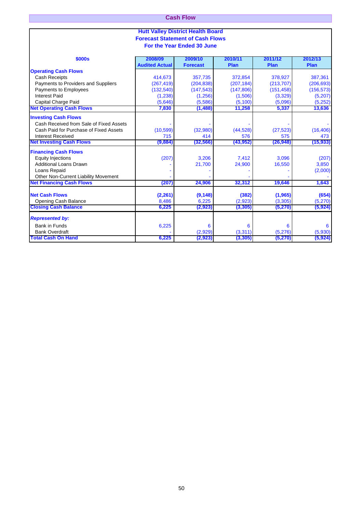| <b>Cash Flow</b>                         |
|------------------------------------------|
|                                          |
| <b>Hutt Valley District Health Board</b> |
| <b>Forecast Statement of Cash Flows</b>  |

**For the Year Ended 30 June**

| \$000s                                  | 2008/09<br><b>Audited Actual</b> | 2009/10<br><b>Forecast</b> | 2010/11<br>Plan | 2011/12<br>Plan | 2012/13<br>Plan |
|-----------------------------------------|----------------------------------|----------------------------|-----------------|-----------------|-----------------|
| <b>Operating Cash Flows</b>             |                                  |                            |                 |                 |                 |
| <b>Cash Receipts</b>                    | 414,673                          | 357,735                    | 372,854         | 378,927         | 387,361         |
| Payments to Providers and Suppliers     | (267, 419)                       | (204, 838)                 | (207, 184)      | (213, 707)      | (206, 693)      |
| Payments to Employees                   | (132, 540)                       | (147, 543)                 | (147, 806)      | (151, 458)      | (156, 573)      |
| <b>Interest Paid</b>                    | (1, 238)                         | (1,256)                    | (1,506)         | (3,329)         | (5,207)         |
| Capital Charge Paid                     | (5,646)                          | (5,586)                    | (5, 100)        | (5,096)         | (5,252)         |
| <b>Net Operating Cash Flows</b>         | 7,830                            | (1, 488)                   | 11,258          | 5,337           | 13,636          |
|                                         |                                  |                            |                 |                 |                 |
| <b>Investing Cash Flows</b>             |                                  |                            |                 |                 |                 |
| Cash Received from Sale of Fixed Assets |                                  |                            |                 |                 |                 |
| Cash Paid for Purchase of Fixed Assets  | (10,599)                         | (32,980)                   | (44, 528)       | (27, 523)       | (16, 406)       |
| <b>Interest Received</b>                | 715                              | 414                        | 576             | 575             | 473             |
| <b>Net Investing Cash Flows</b>         | (9,884)                          | (32, 566)                  | (43, 952)       | (26, 948)       | (15, 933)       |
| <b>Financing Cash Flows</b>             |                                  |                            |                 |                 |                 |
| <b>Equity Injections</b>                | (207)                            | 3,206                      | 7,412           | 3,096           | (207)           |
| <b>Additional Loans Drawn</b>           |                                  | 21,700                     | 24,900          | 16,550          | 3,850           |
| Loans Repaid                            |                                  |                            |                 |                 | (2,000)         |
| Other Non-Current Liability Movement    |                                  |                            |                 |                 |                 |
| <b>Net Financing Cash Flows</b>         | (207)                            | 24,906                     | 32,312          | 19,646          | 1,643           |
| <b>Net Cash Flows</b>                   | (2, 261)                         | (9, 148)                   | (382)           | (1,965)         | (654)           |
| <b>Opening Cash Balance</b>             | 8,486                            | 6,225                      | (2,923)         | (3, 305)        | (5,270)         |
| <b>Closing Cash Balance</b>             | 6,225                            | (2, 923)                   | (3, 305)        | (5,270)         | (5, 924)        |
| <b>Represented by:</b>                  |                                  |                            |                 |                 |                 |
| <b>Bank in Funds</b>                    | 6,225                            | 6                          | 6               | 6               | 6               |
| <b>Bank Overdraft</b>                   |                                  | (2,929)                    | (3,311)         | (5,276)         | (5,930)         |
| <b>Total Cash On Hand</b>               | 6,225                            | (2,923)                    | (3, 305)        | (5,270)         | (5,924)         |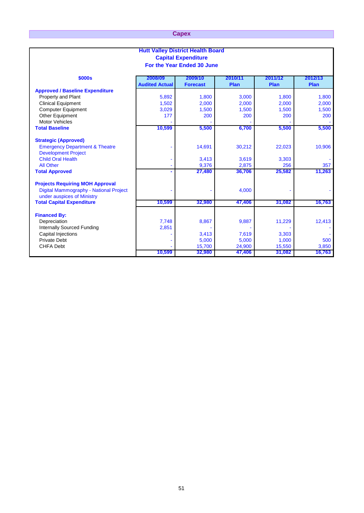### **Capex**

| <b>Hutt Valley District Health Board</b>                                |                       |                            |         |         |         |
|-------------------------------------------------------------------------|-----------------------|----------------------------|---------|---------|---------|
| <b>Capital Expenditure</b>                                              |                       |                            |         |         |         |
|                                                                         |                       | For the Year Ended 30 June |         |         |         |
|                                                                         |                       |                            |         |         |         |
| \$000s                                                                  | 2008/09               | 2009/10                    | 2010/11 | 2011/12 | 2012/13 |
|                                                                         | <b>Audited Actual</b> | <b>Forecast</b>            | Plan    | Plan    | Plan    |
| <b>Approved / Baseline Expenditure</b>                                  |                       |                            |         |         |         |
| Property and Plant                                                      | 5,892                 | 1,800                      | 3,000   | 1,800   | 1,800   |
| <b>Clinical Equipment</b>                                               | 1,502                 | 2,000                      | 2,000   | 2,000   | 2,000   |
| <b>Computer Equipment</b>                                               | 3,029                 | 1,500                      | 1,500   | 1,500   | 1,500   |
| Other Equipment                                                         | 177                   | 200                        | 200     | 200     | 200     |
| <b>Motor Vehicles</b>                                                   |                       |                            |         |         |         |
| <b>Total Baseline</b>                                                   | 10,599                | 5,500                      | 6,700   | 5,500   | 5,500   |
| <b>Strategic (Approved)</b>                                             |                       |                            |         |         |         |
| <b>Emergency Department &amp; Theatre</b><br><b>Development Project</b> |                       | 14,691                     | 30,212  | 22,023  | 10,906  |
| <b>Child Oral Health</b>                                                |                       | 3,413                      | 3,619   | 3,303   |         |
| <b>All Other</b>                                                        |                       | 9,376                      | 2,875   | 256     | 357     |
| <b>Total Approved</b>                                                   |                       | 27,480                     | 36,706  | 25,582  | 11,263  |
| <b>Projects Requiring MOH Approval</b>                                  |                       |                            |         |         |         |
| Digital Mammography - National Project<br>under auspices of Ministry    |                       |                            | 4,000   |         |         |
| <b>Total Capital Expenditure</b>                                        | 10,599                | 32,980                     | 47,406  | 31,082  | 16,763  |
| <b>Financed By:</b>                                                     |                       |                            |         |         |         |
| Depreciation                                                            | 7,748                 | 8,867                      | 9,887   | 11,229  | 12,413  |
| Internally Sourced Funding                                              | 2,851                 |                            |         |         |         |
| <b>Capital Injections</b>                                               |                       | 3,413                      | 7,619   | 3,303   |         |
| <b>Private Debt</b>                                                     |                       | 5,000                      | 5,000   | 1,000   | 500     |
| <b>CHFA Debt</b>                                                        |                       | 15,700                     | 24,900  | 15,550  | 3,850   |
|                                                                         | 10,599                | 32,980                     | 47,406  | 31,082  | 16,763  |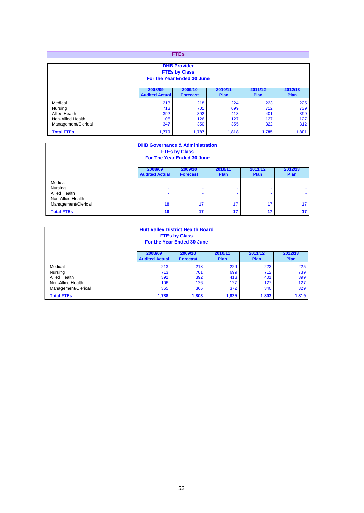| <b>FTEs</b>                                                                            |                                  |                                                                           |                                 |                                 |                                 |
|----------------------------------------------------------------------------------------|----------------------------------|---------------------------------------------------------------------------|---------------------------------|---------------------------------|---------------------------------|
|                                                                                        |                                  | <b>DHB Provider</b><br><b>FTEs by Class</b><br>For the Year Ended 30 June |                                 |                                 |                                 |
|                                                                                        | 2008/09<br><b>Audited Actual</b> | 2009/10<br><b>Forecast</b>                                                | 2010/1<br><b>Plan</b>           | 2011/12<br><b>Plan</b>          | 2012/13<br><b>Plan</b>          |
| Medical<br>Nursing<br><b>Allied Health</b><br>Non-Allied Health<br>Management/Clerical | 213<br>713<br>392<br>106<br>347  | 218<br>701<br>392<br>126<br>350                                           | 224<br>699<br>413<br>127<br>355 | 223<br>712<br>401<br>127<br>322 | 225<br>739<br>399<br>127<br>312 |
| <b>Total FTEs</b>                                                                      | 1,770                            | 1,787                                                                     | 1,818                           | 1,785                           | 1,801                           |

| <b>DHB Governance &amp; Administration</b><br><b>FTEs by Class</b><br>For The Year Ended 30 June |                                  |                            |                        |                 |                                |
|--------------------------------------------------------------------------------------------------|----------------------------------|----------------------------|------------------------|-----------------|--------------------------------|
|                                                                                                  | 2008/09<br><b>Audited Actual</b> | 2009/10<br><b>Forecast</b> | 2010/11<br><b>Plan</b> | 2011/12<br>Plan | 2012/13<br>Plan                |
| Medical<br>Nursing<br><b>Allied Health</b><br>Non-Allied Health<br>Management/Clerical           | 18                               | 17                         | ۰<br>17                | 17              | ٠<br>٠<br>٠<br>17 <sup>2</sup> |
| <b>Total FTEs</b>                                                                                | 18                               | 17                         | 17                     | 17              | 17                             |

| <b>Hutt Valley District Health Board</b><br><b>FTEs by Class</b><br>For the Year Ended 30 June |                                  |                            |                 |                        |                        |  |
|------------------------------------------------------------------------------------------------|----------------------------------|----------------------------|-----------------|------------------------|------------------------|--|
|                                                                                                | 2008/09<br><b>Audited Actual</b> | 2009/10<br><b>Forecast</b> | 2010/11<br>Plan | 2011/12<br><b>Plan</b> | 2012/13<br><b>Plan</b> |  |
| Medical                                                                                        | 213                              | 218                        | 224             | 223                    | 225                    |  |
| Nursing                                                                                        | 713                              | 701                        | 699             | 712                    | 739                    |  |
| <b>Allied Health</b>                                                                           | 392                              | 392                        | 413             | 401                    | 399                    |  |
| Non-Allied Health                                                                              | 106                              | 126                        | 127             | 127                    | 127                    |  |
| 366<br>365<br>372<br>329<br>Management/Clerical<br>340                                         |                                  |                            |                 |                        |                        |  |
| <b>Total FTEs</b>                                                                              | 1,788                            | 1,803                      | 1,835           | 1,803                  | 1,819                  |  |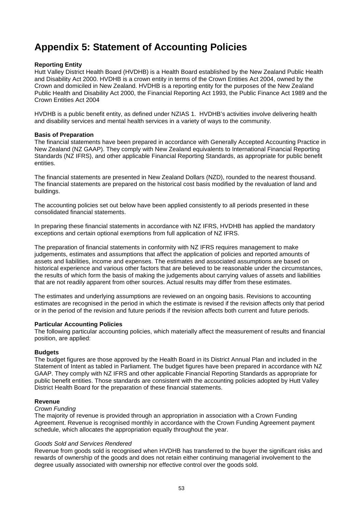## **Appendix 5: Statement of Accounting Policies**

### **Reporting Entity**

Hutt Valley District Health Board (HVDHB) is a Health Board established by the New Zealand Public Health and Disability Act 2000. HVDHB is a crown entity in terms of the Crown Entities Act 2004, owned by the Crown and domiciled in New Zealand. HVDHB is a reporting entity for the purposes of the New Zealand Public Health and Disability Act 2000, the Financial Reporting Act 1993, the Public Finance Act 1989 and the Crown Entities Act 2004

HVDHB is a public benefit entity, as defined under NZIAS 1. HVDHB's activities involve delivering health and disability services and mental health services in a variety of ways to the community.

### **Basis of Preparation**

The financial statements have been prepared in accordance with Generally Accepted Accounting Practice in New Zealand (NZ GAAP). They comply with New Zealand equivalents to International Financial Reporting Standards (NZ IFRS), and other applicable Financial Reporting Standards, as appropriate for public benefit entities.

The financial statements are presented in New Zealand Dollars (NZD), rounded to the nearest thousand. The financial statements are prepared on the historical cost basis modified by the revaluation of land and buildings.

The accounting policies set out below have been applied consistently to all periods presented in these consolidated financial statements.

In preparing these financial statements in accordance with NZ IFRS, HVDHB has applied the mandatory exceptions and certain optional exemptions from full application of NZ IFRS.

The preparation of financial statements in conformity with NZ IFRS requires management to make judgements, estimates and assumptions that affect the application of policies and reported amounts of assets and liabilities, income and expenses. The estimates and associated assumptions are based on historical experience and various other factors that are believed to be reasonable under the circumstances, the results of which form the basis of making the judgements about carrying values of assets and liabilities that are not readily apparent from other sources. Actual results may differ from these estimates.

The estimates and underlying assumptions are reviewed on an ongoing basis. Revisions to accounting estimates are recognised in the period in which the estimate is revised if the revision affects only that period or in the period of the revision and future periods if the revision affects both current and future periods.

### **Particular Accounting Policies**

The following particular accounting policies, which materially affect the measurement of results and financial position, are applied:

### **Budgets**

The budget figures are those approved by the Health Board in its District Annual Plan and included in the Statement of Intent as tabled in Parliament. The budget figures have been prepared in accordance with NZ GAAP. They comply with NZ IFRS and other applicable Financial Reporting Standards as appropriate for public benefit entities. Those standards are consistent with the accounting policies adopted by Hutt Valley District Health Board for the preparation of these financial statements.

### **Revenue**

### *Crown Funding*

The majority of revenue is provided through an appropriation in association with a Crown Funding Agreement. Revenue is recognised monthly in accordance with the Crown Funding Agreement payment schedule, which allocates the appropriation equally throughout the year.

### *Goods Sold and Services Rendered*

Revenue from goods sold is recognised when HVDHB has transferred to the buyer the significant risks and rewards of ownership of the goods and does not retain either continuing managerial involvement to the degree usually associated with ownership nor effective control over the goods sold.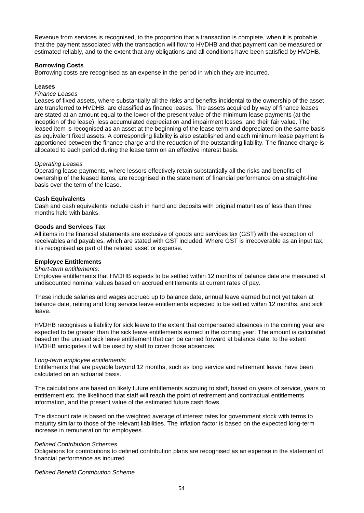Revenue from services is recognised, to the proportion that a transaction is complete, when it is probable that the payment associated with the transaction will flow to HVDHB and that payment can be measured or estimated reliably, and to the extent that any obligations and all conditions have been satisfied by HVDHB.

### **Borrowing Costs**

Borrowing costs are recognised as an expense in the period in which they are incurred.

### **Leases**

### *Finance Leases*

Leases of fixed assets, where substantially all the risks and benefits incidental to the ownership of the asset are transferred to HVDHB, are classified as finance leases. The assets acquired by way of finance leases are stated at an amount equal to the lower of the present value of the minimum lease payments (at the inception of the lease), less accumulated depreciation and impairment losses; and their fair value. The leased item is recognised as an asset at the beginning of the lease term and depreciated on the same basis as equivalent fixed assets. A corresponding liability is also established and each minimum lease payment is apportioned between the finance charge and the reduction of the outstanding liability. The finance charge is allocated to each period during the lease term on an effective interest basis.

### *Operating Leases*

Operating lease payments, where lessors effectively retain substantially all the risks and benefits of ownership of the leased items, are recognised in the statement of financial performance on a straight-line basis over the term of the lease.

### **Cash Equivalents**

Cash and cash equivalents include cash in hand and deposits with original maturities of less than three months held with banks.

### **Goods and Services Tax**

All items in the financial statements are exclusive of goods and services tax (GST) with the exception of receivables and payables, which are stated with GST included. Where GST is irrecoverable as an input tax, it is recognised as part of the related asset or expense.

### **Employee Entitlements**

### *Short-term entitlements:*

Employee entitlements that HVDHB expects to be settled within 12 months of balance date are measured at undiscounted nominal values based on accrued entitlements at current rates of pay.

These include salaries and wages accrued up to balance date, annual leave earned but not yet taken at balance date, retiring and long service leave entitlements expected to be settled within 12 months, and sick leave.

HVDHB recognises a liability for sick leave to the extent that compensated absences in the coming year are expected to be greater than the sick leave entitlements earned in the coming year. The amount is calculated based on the unused sick leave entitlement that can be carried forward at balance date, to the extent HVDHB anticipates it will be used by staff to cover those absences.

### *Long-term employee entitlements:*

Entitlements that are payable beyond 12 months, such as long service and retirement leave, have been calculated on an actuarial basis.

The calculations are based on likely future entitlements accruing to staff, based on years of service, years to entitlement etc, the likelihood that staff will reach the point of retirement and contractual entitlements information, and the present value of the estimated future cash flows.

The discount rate is based on the weighted average of interest rates for government stock with terms to maturity similar to those of the relevant liabilities. The inflation factor is based on the expected long-term increase in remuneration for employees.

### *Defined Contribution Schemes*

Obligations for contributions to defined contribution plans are recognised as an expense in the statement of financial performance as incurred.

*Defined Benefit Contribution Scheme*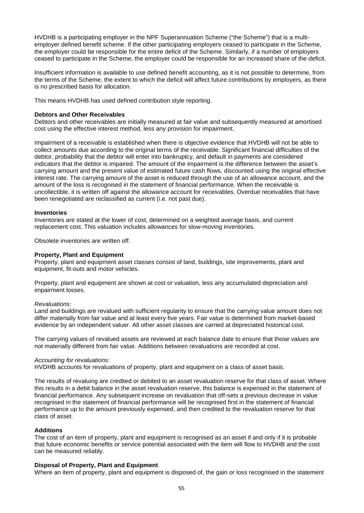HVDHB is a participating employer in the NPF Superannuation Scheme ("the Scheme") that is a multiemployer defined benefit scheme. If the other participating employers ceased to participate in the Scheme, the employer could be responsible for the entire deficit of the Scheme. Similarly, if a number of employers ceased to participate in the Scheme, the employer could be responsible for an increased share of the deficit.

Insufficient information is available to use defined benefit accounting, as it is not possible to determine, from the terms of the Scheme, the extent to which the deficit will affect future contributions by employers, as there is no prescribed basis for allocation.

This means HVDHB has used defined contribution style reporting.

### **Debtors and Other Receivables**

Debtors and other receivables are initially measured at fair value and subsequently measured at amortised cost using the effective interest method, less any provision for impairment.

Impairment of a receivable is established when there is objective evidence that HVDHB will not be able to collect amounts due according to the original terms of the receivable. Significant financial difficulties of the debtor, probability that the debtor will enter into bankruptcy, and default in payments are considered indicators that the debtor is impaired. The amount of the impairment is the difference between the asset's carrying amount and the present value of estimated future cash flows, discounted using the original effective interest rate. The carrying amount of the asset is reduced through the use of an allowance account, and the amount of the loss is recognised in the statement of financial performance. When the receivable is uncollectible, it is written off against the allowance account for receivables. Overdue receivables that have been renegotiated are reclassified as current (i.e. not past due).

### **Inventories**

Inventories are stated at the lower of cost, determined on a weighted average basis, and current replacement cost. This valuation includes allowances for slow-moving inventories.

Obsolete inventories are written off.

### **Property, Plant and Equipment**

Property, plant and equipment asset classes consist of land, buildings, site improvements, plant and equipment, fit-outs and motor vehicles.

Property, plant and equipment are shown at cost or valuation, less any accumulated depreciation and impairment losses.

### *Revaluations:*

Land and buildings are revalued with sufficient regularity to ensure that the carrying value amount does not differ materially from fair value and at least every five years. Fair value is determined from market-based evidence by an independent valuer. All other asset classes are carried at depreciated historical cost.

The carrying values of revalued assets are reviewed at each balance date to ensure that those values are not materially different from fair value. Additions between revaluations are recorded at cost.

### *Accounting for revaluations:*

HVDHB accounts for revaluations of property, plant and equipment on a class of asset basis.

The results of revaluing are credited or debited to an asset revaluation reserve for that class of asset. Where this results in a debit balance in the asset revaluation reserve, this balance is expensed in the statement of financial performance. Any subsequent increase on revaluation that off-sets a previous decrease in value recognised in the statement of financial performance will be recognised first in the statement of financial performance up to the amount previously expensed, and then credited to the revaluation reserve for that class of asset.

### **Additions**

The cost of an item of property, plant and equipment is recognised as an asset if and only if it is probable that future economic benefits or service potential associated with the item will flow to HVDHB and the cost can be measured reliably.

### **Disposal of Property, Plant and Equipment**

Where an item of property, plant and equipment is disposed of, the gain or loss recognised in the statement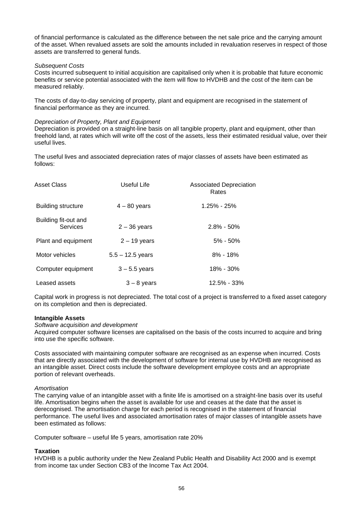of financial performance is calculated as the difference between the net sale price and the carrying amount of the asset. When revalued assets are sold the amounts included in revaluation reserves in respect of those assets are transferred to general funds.

### *Subsequent Costs*

Costs incurred subsequent to initial acquisition are capitalised only when it is probable that future economic benefits or service potential associated with the item will flow to HVDHB and the cost of the item can be measured reliably.

The costs of day-to-day servicing of property, plant and equipment are recognised in the statement of financial performance as they are incurred.

### *Depreciation of Property, Plant and Equipment*

Depreciation is provided on a straight-line basis on all tangible property, plant and equipment, other than freehold land, at rates which will write off the cost of the assets, less their estimated residual value, over their useful lives.

The useful lives and associated depreciation rates of major classes of assets have been estimated as follows:

| Asset Class                      | Useful Life        | <b>Associated Depreciation</b><br>Rates |
|----------------------------------|--------------------|-----------------------------------------|
| Building structure               | $4 - 80$ years     | $1.25\% - 25\%$                         |
| Building fit-out and<br>Services | $2 - 36$ years     | $2.8\% - 50\%$                          |
| Plant and equipment              | $2 - 19$ years     | $5\% - 50\%$                            |
| Motor vehicles                   | $5.5 - 12.5$ years | $8\% - 18\%$                            |
| Computer equipment               | $3 - 5.5$ years    | 18% - 30%                               |
| Leased assets                    | $3 - 8$ years      | $12.5\% - 33\%$                         |

Capital work in progress is not depreciated. The total cost of a project is transferred to a fixed asset category on its completion and then is depreciated.

### **Intangible Assets**

### *Software acquisition and development*

Acquired computer software licenses are capitalised on the basis of the costs incurred to acquire and bring into use the specific software.

Costs associated with maintaining computer software are recognised as an expense when incurred. Costs that are directly associated with the development of software for internal use by HVDHB are recognised as an intangible asset. Direct costs include the software development employee costs and an appropriate portion of relevant overheads.

### *Amortisation*

The carrying value of an intangible asset with a finite life is amortised on a straight-line basis over its useful life. Amortisation begins when the asset is available for use and ceases at the date that the asset is derecognised. The amortisation charge for each period is recognised in the statement of financial performance. The useful lives and associated amortisation rates of major classes of intangible assets have been estimated as follows:

Computer software – useful life 5 years, amortisation rate 20%

### **Taxation**

HVDHB is a public authority under the New Zealand Public Health and Disability Act 2000 and is exempt from income tax under Section CB3 of the Income Tax Act 2004.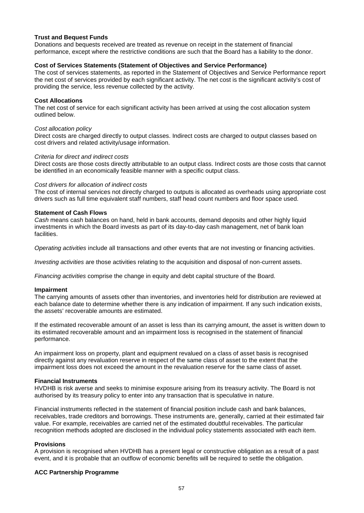### **Trust and Bequest Funds**

Donations and bequests received are treated as revenue on receipt in the statement of financial performance, except where the restrictive conditions are such that the Board has a liability to the donor.

### **Cost of Services Statements (Statement of Objectives and Service Performance)**

The cost of services statements, as reported in the Statement of Objectives and Service Performance report the net cost of services provided by each significant activity. The net cost is the significant activity's cost of providing the service, less revenue collected by the activity.

### **Cost Allocations**

The net cost of service for each significant activity has been arrived at using the cost allocation system outlined below.

#### *Cost allocation policy*

Direct costs are charged directly to output classes. Indirect costs are charged to output classes based on cost drivers and related activity/usage information.

### *Criteria for direct and indirect costs*

Direct costs are those costs directly attributable to an output class. Indirect costs are those costs that cannot be identified in an economically feasible manner with a specific output class.

#### *Cost drivers for allocation of indirect costs*

The cost of internal services not directly charged to outputs is allocated as overheads using appropriate cost drivers such as full time equivalent staff numbers, staff head count numbers and floor space used.

### **Statement of Cash Flows**

*Cash* means cash balances on hand, held in bank accounts, demand deposits and other highly liquid investments in which the Board invests as part of its day-to-day cash management, net of bank loan facilities.

*Operating activities* include all transactions and other events that are not investing or financing activities.

*Investing activities* are those activities relating to the acquisition and disposal of non-current assets.

*Financing activities* comprise the change in equity and debt capital structure of the Board.

### **Impairment**

The carrying amounts of assets other than inventories, and inventories held for distribution are reviewed at each balance date to determine whether there is any indication of impairment. If any such indication exists, the assets' recoverable amounts are estimated.

If the estimated recoverable amount of an asset is less than its carrying amount, the asset is written down to its estimated recoverable amount and an impairment loss is recognised in the statement of financial performance.

An impairment loss on property, plant and equipment revalued on a class of asset basis is recognised directly against any revaluation reserve in respect of the same class of asset to the extent that the impairment loss does not exceed the amount in the revaluation reserve for the same class of asset.

### **Financial Instruments**

HVDHB is risk averse and seeks to minimise exposure arising from its treasury activity. The Board is not authorised by its treasury policy to enter into any transaction that is speculative in nature.

Financial instruments reflected in the statement of financial position include cash and bank balances, receivables, trade creditors and borrowings. These instruments are, generally, carried at their estimated fair value. For example, receivables are carried net of the estimated doubtful receivables. The particular recognition methods adopted are disclosed in the individual policy statements associated with each item.

### **Provisions**

A provision is recognised when HVDHB has a present legal or constructive obligation as a result of a past event, and it is probable that an outflow of economic benefits will be required to settle the obligation.

### **ACC Partnership Programme**